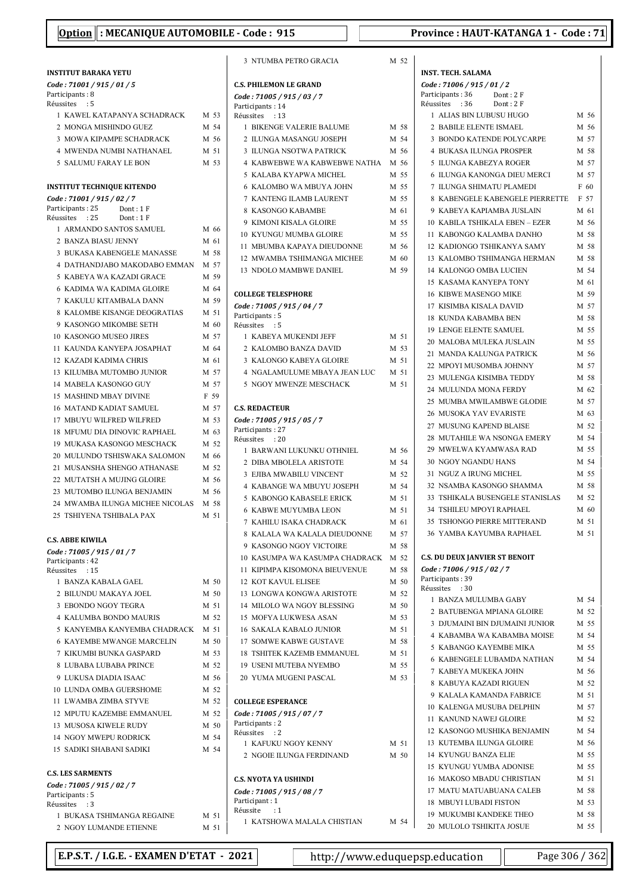| <b>INSTITUT BARAKA YETU</b>       |      |
|-----------------------------------|------|
| Code: 71001 / 915 / 01 / 5        |      |
| Participants: 8                   |      |
| Réussites<br>$\cdot$ :5           |      |
| 1 KAWEL KATAPANYA SCHADRACK       | M 53 |
| 2 MONGA MISHINDO GUEZ             | M 54 |
| <b>3 MOWA KIPAMPE SCHADRACK</b>   | M 56 |
| <b>4 MWENDA NUMBI NATHANAEL</b>   | M 51 |
| 5 SALUMU FARAY LE BON             | M 53 |
| <b>INSTITUT TECHNIQUE KITENDO</b> |      |
| Code: 71001 / 915 / 02 / 7        |      |
| Participants: 25<br>Dont: 1F      |      |
| Réussites : 25<br>Dont: 1F        |      |
| 1 ARMANDO SANTOS SAMUEL           | M 66 |
| 2 BANZA BIASU JENNY               | M 61 |
| <b>3 BUKASA KABENGELE MANASSE</b> | M 58 |
| 4 DATHANDJABO MAKODABO EMMAN      | M 57 |
| 5 KABEYA WA KAZADI GRACE          | M 59 |
| <b>6 KADIMA WA KADIMA GLOIRE</b>  | M 64 |
| 7 KAKULU KITAMBALA DANN           | M 59 |
| 8 KALOMBE KISANGE DEOGRATIAS      | M 51 |
| 9 KASONGO MIKOMBE SETH            | M 60 |
| 10 KASONGO MUSEO JIRES            | M 57 |
| 11 KAUNDA KANYEPA JOSAPHAT        | M 64 |
| <b>12 KAZADI KADIMA CHRIS</b>     | M 61 |
| 13 KILUMBA MUTOMBO JUNIOR         | M 57 |
| <b>14 MABELA KASONGO GUY</b>      | M 57 |
| <b>15 MASHIND MBAY DIVINE</b>     | F 59 |
| <b>16 MATAND KADIAT SAMUEL</b>    | M 57 |
| 17 MBUYU WILFRED WILFRED          | M 53 |
| 18 MFUMU DIA DINOVIC RAPHAEL      | M 63 |
| 19 MUKASA KASONGO MESCHACK        | M 52 |
| 20 MULUNDO TSHISWAKA SALOMON      | M 66 |
| 21 MUSANSHA SHENGO ATHANASE       | M 52 |
| 22 MUTATSH A MUJING GLOIRE        | M 56 |
| 23 MUTOMBO ILUNGA BENJAMIN        | M 56 |
| 24 MWAMBA ILUNGA MICHEE NICOLAS   | M 58 |
| 25 TSHIYENA TSHIBALA PAX          | M 51 |
| <b>C.S. ABBE KIWILA</b>           |      |
| Code: 71005 / 915 / 01 / 7        |      |
| Participants: 42                  |      |
| Réussites : 15                    |      |
| 1 BANZA KABALA GAEL               | M 50 |
| 2 BILUNDU MAKAYA JOEL             | M 50 |
| 3 EBONDO NGOY TEGRA               | M 51 |
| <b>4 KALUMBA BONDO MAURIS</b>     | M 52 |
| 5 KANYEMBA KANYEMBA CHADRACK      | M 51 |
| <b>6 KAYEMBE MWANGE MARCELIN</b>  | M 50 |
| 7 KIKUMBI BUNKA GASPARD           | M 53 |
| 8 LUBABA LUBABA PRINCE            | M 52 |
| 9 LUKUSA DIADIA ISAAC             | M 56 |
| 10 LUNDA OMBA GUERSHOME           | M 52 |
| 11 LWAMBA ZIMBA STYVE             | M 52 |
| 12 MPUTU KAZEMBE EMMANUEL         | M 52 |
| 13 MUSOSA KIWELE RUDY             | M 50 |
| 14 NGOY MWEPU RODRICK             | M 54 |
| <b>15 SADIKI SHABANI SADIKI</b>   | M 54 |
| <b>C.S. LES SARMENTS</b>          |      |
| Code: 71005 / 915 / 02 / 7        |      |
| Participants: 5                   |      |

| 5                       | 2 ILUNGA MASANGU JOSEPH                        |      | M 54 |
|-------------------------|------------------------------------------------|------|------|
| l                       | 3 ILUNGA NSOTWA PATRICK                        |      | M 56 |
| 3                       | 4 KABWEBWE WA KABWEBWE NATHA                   | M 56 |      |
|                         | 5 KALABA KYAPWA MICHEL                         |      | M 55 |
|                         | 6 KALOMBO WA MBUYA JOHN                        | M 55 |      |
|                         | 7 KANTENG ILAMB LAURENT                        | M 55 |      |
|                         | 8 KASONGO KABAMBE                              | M 61 |      |
|                         | 9 KIMONI KISALA GLOIRE                         | M 55 |      |
| 5                       | <b>10 KYUNGU MUMBA GLOIRE</b>                  | M 55 |      |
| l                       | 11 MBUMBA KAPAYA DIEUDONNE                     | M 56 |      |
| ŝ                       |                                                | M 60 |      |
| 7                       | 12 MWAMBA TSHIMANGA MICHEE                     |      |      |
| €                       | 13 NDOLO MAMBWE DANIEL                         | M 59 |      |
| 4                       |                                                |      |      |
| 9                       | <b>COLLEGE TELESPHORE</b>                      |      |      |
| l                       | Code: 71005 / 915 / 04 / 7<br>Participants: 5  |      |      |
| $\mathfrak z$           | Réussites : 5                                  |      |      |
| 7                       | 1 KABEYA MUKENDI JEFF                          | M 51 |      |
| 4                       | 2 KALOMBO BANZA DAVID                          | M 53 |      |
| l                       | 3 KALONGO KABEYA GLOIRE                        | M 51 |      |
| 7                       | 4 NGALAMULUME MBAYA JEAN LUC                   | M 51 |      |
| 7                       | 5 NGOY MWENZE MESCHACK                         | M 51 |      |
| Ì                       |                                                |      |      |
|                         |                                                |      |      |
| 7                       | <b>C.S. REDACTEUR</b>                          |      |      |
| 3                       | Code: 71005 / 915 / 05 / 7<br>Participants: 27 |      |      |
| 3                       | Réussites : 20                                 |      |      |
| $\overline{c}$          | 1 BARWANI LUKUNKU OTHNIEL                      | M 56 |      |
| 5                       | 2 DIBA MBOLELA ARISTOTE                        | M 54 |      |
| $\overline{c}$          | 3 EJIBA MWABILU VINCENT                        | M 52 |      |
| 5                       | 4 KABANGE WA MBUYU JOSEPH                      | M 54 |      |
| 5                       | 5 KABONGO KABASELE ERICK                       | M 51 |      |
| 8                       | <b>6 KABWE MUYUMBA LEON</b>                    |      | M 51 |
| l                       | 7 KAHILU ISAKA CHADRACK                        | M 61 |      |
|                         | 8 KALALA WA KALALA DIEUDONNE                   |      |      |
|                         |                                                | M 57 |      |
|                         | 9 KASONGO NGOY VICTOIRE                        | M 58 |      |
|                         | 10 KASUMPA WA KASUMPA CHADRACK                 | M 52 |      |
|                         | 11 KIPIMPA KISOMONA BIEUVENUE                  | M 58 |      |
| )                       | 12 KOT KAVUL ELISEE                            |      | M 50 |
| $\mathfrak z$           | 13 LONGWA KONGWA ARISTOTE                      | M 52 |      |
| l                       | 14 MILOLO WA NGOY BLESSING                     | M 50 |      |
| 2                       | 15 MOFYA LUKWESA ASAN                          |      | M 53 |
| l                       | <b>16 SAKALA KABALO JUNIOR</b>                 |      | M 51 |
| Э                       | 17 SOMWE KABWE GUSTAVE                         |      | M 58 |
| 3                       | <b>18 TSHITEK KAZEMB EMMANUEL</b>              |      | M 51 |
| $\overline{c}$          | <b>19 USENI MUTEBA NYEMBO</b>                  |      | M 55 |
| 5                       | 20 YUMA MUGENI PASCAL                          |      | M 53 |
| $\overline{c}$          |                                                |      |      |
| $\overline{\mathbf{c}}$ | <b>COLLEGE ESPERANCE</b>                       |      |      |
| $\overline{\mathbf{c}}$ | Code: 71005 / 915 / 07 / 7                     |      |      |
| Ĵ                       | Participants: 2                                |      |      |
| 4                       | Réussites<br>: 2                               |      |      |
| 4                       | 1 KAFUKU NGOY KENNY                            | M 51 |      |
|                         | 2 NGOIE ILUNGA FERDINAND                       | M 50 |      |
|                         | <b>C.S. NYOTA YA USHINDI</b>                   |      |      |
|                         | Code: 71005 / 915 / 08 / 7                     |      |      |
|                         | Participant: 1                                 |      |      |
| l                       | Réussite<br>:1                                 |      |      |
| l                       | 1 KATSHOWA MALALA CHISTIAN                     | M 54 |      |
|                         |                                                |      |      |
|                         | $-2021$<br>http://www.eduau                    |      |      |

3 NTUMBA PETRO GRACIA M 52

 $1\,$  BIKENGE VALERIE BALUME  $\,$   $\,$  M  $\,$  58  $\,$ 

C.S. PHILEMON LE GRAND Code : 71005 / 915 / 03 / 7 Participants: 14 Réussites : 13

| <b>INST. TECH. SALAMA</b>             |      |
|---------------------------------------|------|
| Code: 71006 / 915 / 01 / 2            |      |
| Participants: 36<br>Dont: 2F          |      |
| Dont: 2F<br>Réussites<br>:36          |      |
| 1 ALIAS BIN LUBUSU HUGO               | M 56 |
| 2 BABILE ELENTE ISMAEL                | M 56 |
| <b>3 BONDO KATENDE POLYCARPE</b>      | M 57 |
| <b>4 BUKASA ILUNGA PROSPER</b>        | M 58 |
| <b>ILUNGA KABEZYA ROGER</b><br>5      | M 57 |
| <b>ILUNGA KANONGA DIEU MERCI</b><br>6 | M 57 |
| <b>ILUNGA SHIMATU PLAMEDI</b><br>7    | F 60 |
| KABENGELE KABENGELE PIERRETTE<br>8    | F 57 |
| 9 KABEYA KAPIAMBA JUSLAIN             | M 61 |
| 10 KABILA TSHIKALA EBEN – EZER        | M 56 |
| 11 KABONGO KALAMBA DANHO              | M 58 |
| 12 KADIONGO TSHIKANYA SAMY            | M 58 |
| 13 KALOMBO TSHIMANGA HERMAN           | M 58 |
| <b>14 KALONGO OMBA LUCIEN</b>         | M 54 |
| <b>15 KASAMA KANYEPA TONY</b>         | M 61 |
| <b>16 KIBWE MASENGO MIKE</b>          | M 59 |
| 17 KISIMBA KISALA DAVID               | M 57 |
| KUNDA KABAMBA BEN<br>18.              | M 58 |
| <b>19 LENGE ELENTE SAMUEL</b>         | M 55 |
| 20 MALOBA MULEKA JUSLAIN              | M 55 |
| 21 MANDA KALUNGA PATRICK              | M 56 |
| 22 MPOYI MUSOMBA JOHNNY               | M 57 |

| <b>15 KASAMA KANYEPA TONY</b>         | M 61   |
|---------------------------------------|--------|
| <b>16 KIBWE MASENGO MIKE</b>          | M 59   |
| <b>17 KISIMBA KISALA DAVID</b>        | M 57   |
| <b>18 KUNDA KABAMBA BEN</b>           | M 58   |
| <b>19 LENGE ELENTE SAMUEL</b>         | M 55   |
| 20 MALOBA MULEKA JUSLAIN              | M 55   |
| 21 MANDA KALUNGA PATRICK              | M 56   |
| 22 MPOYI MUSOMBA JOHNNY               | M 57   |
| 23 MULENGA KISIMBA TEDDY              | M 58   |
| 24 MULUNDA MONA FERDY                 | M 62   |
| 25 MUMBA MWILAMBWE GLODIE             | M 57   |
| 26 MUSOKA YAV EVARISTE                | M 63   |
| 27 MUSUNG KAPEND BLAISE               | M 52   |
| 28 MUTAHILE WA NSONGA EMERY           | M 54   |
| 29 MWELWA KYAMWASA RAD                | M 55   |
| <b>30 NGOY NGANDU HANS</b>            | M 54   |
| 31 NGUZ A IRUNG MICHEL                | M 55   |
| 32 NSAMBA KASONGO SHAMMA              | M 58   |
| 33 TSHIKALA BUSENGELE STANISLAS       | M 52   |
| <b>34 TSHILEU MPOYI RAPHAEL</b>       | M 60   |
| 35 TSHONGO PIERRE MITTERAND           | M 51   |
| <b>36 YAMBA KAYUMBA RAPHAEL</b>       | M 51   |
| <b>C.S. DU DEUX JANVIER ST BENOIT</b> |        |
| Code: 71006 / 915 / 02 / 7            |        |
| Participants: 39<br>Réussites : 30    |        |
| 1 BANZA MULUMBA GABY                  | M 54   |
| 2 BATUBENGA MPIANA GLOIRE             | M 52   |
| <b>3 DJUMAINI BIN DJUMAINI JUNIOR</b> | M 55   |
| 4 KABAMBA WA KABAMBA MOISE            | M 54   |
| 5 KABANGO KAYEMBE MIKA                | M 55   |
| 6. KARENGELE LURAMDA NATHAN           | $M$ 54 |

| 3  DIUMAINI BIN DIUMAINI JUNIOR | M 55 |      |
|---------------------------------|------|------|
|                                 |      | M 54 |
| 5 KABANGO KAYEMBE MIKA          |      | M 55 |
| 6 KABENGELE LUBAMDA NATHAN      |      | M 54 |
| 7  KABEYA MUKEKA JOHN           |      | M 56 |
| 8 KABUYA KAZADI RIGUEN          |      | M 52 |
| 9 KALALA KAMANDA FABRICE        | M 51 |      |
| 10 KALENGA MUSUBA DELPHIN       |      | M 57 |
| 11 KANUND NAWEL GLOIRE          |      | M 52 |
| 12 KASONGO MUSHIKA BENJAMIN     |      | M 54 |
| <b>13 KUTEMBA ILUNGA GLOIRE</b> |      | M 56 |
| <b>14 KYUNGU BANZA ELIE</b>     |      | M 55 |
| <b>15 KYUNGU YUMBA ADONISE</b>  |      | M 55 |
| 16  MAKOSO MBADU CHRISTIAN      | M 51 |      |
| 17 MATU MATUABUANA CALEB        |      | M 58 |
| <b>18 MBUYI LUBADI FISTON</b>   | M 53 |      |
| <b>19 MUKUMBI KANDEKE THEO</b>  |      | M 58 |
| 20 MULOLO TSHIKITA JOSUE        |      | M 55 |

E.P.S.T. / I.G.E. - EXAMEN D'ETAT - 2021  $\vert$  http://www.eduquepsp.education  $\vert$  Page 306 / 362

1 BUKASA TSHIMANGA REGAINE M 5 2 NGOY LUMANDE ETIENNE  $M$  5

Réussites : 3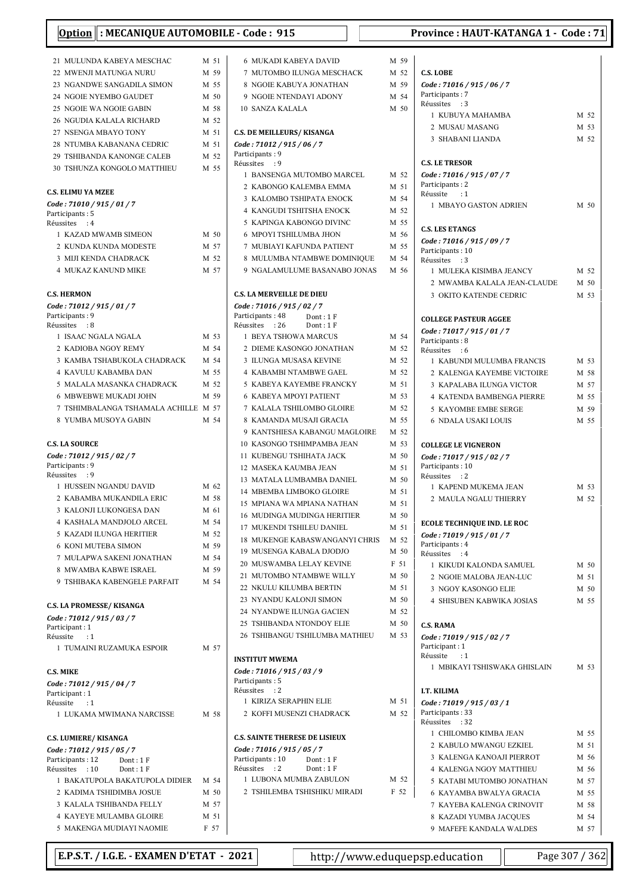| : MECANIQUE AUTOMOBILE - Code: 915<br><b>Option</b> |              | <b>Province: HAUT-KATANGA 1 - Code: 71</b>                |              |                                                |              |  |
|-----------------------------------------------------|--------------|-----------------------------------------------------------|--------------|------------------------------------------------|--------------|--|
|                                                     |              |                                                           |              |                                                |              |  |
| 21 MULUNDA KABEYA MESCHAC<br>22 MWENJI MATUNGA NURU | M 51<br>M 59 | <b>6 MUKADI KABEYA DAVID</b><br>7 MUTOMBO ILUNGA MESCHACK | M 59<br>M 52 | <b>C.S. LOBE</b>                               |              |  |
| 23 NGANDWE SANGADILA SIMON                          | M 55         | 8 NGOIE KABUYA JONATHAN                                   | M 59         | Code: 71016 / 915 / 06 / 7                     |              |  |
| 24 NGOIE NYEMBO GAUDET                              | M 50         | 9 NGOIE NTENDAYI ADONY                                    | M 54         | Participants: 7                                |              |  |
| 25 NGOIE WA NGOIE GABIN                             | M 58         | <b>10 SANZA KALALA</b>                                    | M 50         | Réussites : 3                                  |              |  |
| <b>26 NGUDIA KALALA RICHARD</b>                     | M 52         |                                                           |              | 1 KUBUYA MAHAMBA                               | M 52         |  |
| 27 NSENGA MBAYO TONY                                | M 51         | <b>C.S. DE MEILLEURS/ KISANGA</b>                         |              | 2 MUSAU MASANG                                 | M 53         |  |
| 28 NTUMBA KABANANA CEDRIC                           | M 51         | Code: 71012 / 915 / 06 / 7                                |              | 3 SHABANI LIANDA                               | M 52         |  |
| 29 TSHIBANDA KANONGE CALEB                          | M 52         | Participants: 9                                           |              |                                                |              |  |
| 30 TSHUNZA KONGOLO MATTHIEU                         | M 55         | Réussites : 9                                             |              | <b>C.S. LE TRESOR</b>                          |              |  |
|                                                     |              | 1 BANSENGA MUTOMBO MARCEL                                 | M 52<br>M 51 | Code: 71016 / 915 / 07 / 7<br>Participants: 2  |              |  |
| <b>C.S. ELIMU YA MZEE</b>                           |              | 2 KABONGO KALEMBA EMMA<br>3 KALOMBO TSHIPATA ENOCK        | M 54         | Réussite<br>$\cdot:1$                          |              |  |
| Code: 71010 / 915 / 01 / 7                          |              | 4 KANGUDI TSHITSHA ENOCK                                  | M 52         | 1 MBAYO GASTON ADRIEN                          | M 50         |  |
| Participants: 5<br>Réussites : 4                    |              | 5 KAPINGA KABONGO DIVINC                                  | M 55         |                                                |              |  |
| 1 KAZAD MWAMB SIMEON                                | M 50         | <b>6 MPOYI TSHILUMBA JHON</b>                             | M 56         | <b>C.S. LES ETANGS</b>                         |              |  |
| 2 KUNDA KUNDA MODESTE                               | M 57         | 7 MUBIAYI KAFUNDA PATIENT                                 | M 55         | Code: 71016 / 915 / 09 / 7                     |              |  |
| 3 MIJI KENDA CHADRACK                               | M 52         | 8 MULUMBA NTAMBWE DOMINIQUE                               | M 54         | Participants: 10<br>Réussites : 3              |              |  |
| <b>4 MUKAZ KANUND MIKE</b>                          | M 57         | 9 NGALAMULUME BASANABO JONAS                              | M 56         | 1 MULEKA KISIMBA JEANCY                        | M 52         |  |
|                                                     |              |                                                           |              | 2 MWAMBA KALALA JEAN-CLAUDE                    | M 50         |  |
| <b>C.S. HERMON</b>                                  |              | <b>C.S. LA MERVEILLE DE DIEU</b>                          |              | 3 OKITO KATENDE CEDRIC                         | M 53         |  |
| Code: 71012 / 915 / 01 / 7                          |              | Code: 71016 / 915 / 02 / 7                                |              |                                                |              |  |
| Participants: 9                                     |              | Participants: 48<br>Dont: 1F                              |              | <b>COLLEGE PASTEUR AGGEE</b>                   |              |  |
| Réussites : 8                                       | M 53         | Réussites : 26<br>Dont: $1 F$                             | M 54         | Code: 71017 / 915 / 01 / 7                     |              |  |
| 1 ISAAC NGALA NGALA<br>2 KADIOBA NGOY REMY          | M 54         | 1 BEYA TSHOWA MARCUS<br>2 DIEME KASONGO JONATHAN          | M 52         | Participants: 8                                |              |  |
| 3 KAMBA TSHABUKOLA CHADRACK                         | M 54         | 3 ILUNGA MUSASA KEVINE                                    | M 52         | Réussites : 6<br>1 KABUNDI MULUMBA FRANCIS     | M 53         |  |
| 4 KAVULU KABAMBA DAN                                | M 55         | 4 KABAMBI NTAMBWE GAEL                                    | M 52         | 2 KALENGA KAYEMBE VICTOIRE                     | M 58         |  |
| 5 MALALA MASANKA CHADRACK                           | M 52         | 5 KABEYA KAYEMBE FRANCKY                                  | M 51         | 3 KAPALABA ILUNGA VICTOR                       | M 57         |  |
| 6 MBWEBWE MUKADI JOHN                               | M 59         | <b>6 KABEYA MPOYI PATIENT</b>                             | M 53         | 4 KATENDA BAMBENGA PIERRE                      | M 55         |  |
| 7 TSHIMBALANGA TSHAMALA ACHILLE M 57                |              | 7 KALALA TSHILOMBO GLOIRE                                 | M 52         | 5 KAYOMBE EMBE SERGE                           | M 59         |  |
| 8 YUMBA MUSOYA GABIN                                | M 54         | 8 KAMANDA MUSAJI GRACIA                                   | M 55         | <b>6 NDALA USAKI LOUIS</b>                     | M 55         |  |
|                                                     |              | 9 KANTSHIESA KABANGU MAGLOIRE                             | M 52         |                                                |              |  |
| <b>C.S. LA SOURCE</b>                               |              | 10 KASONGO TSHIMPAMBA JEAN                                | M 53         | <b>COLLEGE LE VIGNERON</b>                     |              |  |
| Code: 71012 / 915 / 02 / 7                          |              | 11 KUBENGU TSHIHATA JACK                                  | M 50         | Code: 71017 / 915 / 02 / 7                     |              |  |
| Participants: 9                                     |              | 12 MASEKA KAUMBA JEAN                                     | M 51         | Participants: 10                               |              |  |
| Réussites : 9<br>1 HUSSEIN NGANDU DAVID             | M 62         | 13 MATALA LUMBAMBA DANIEL                                 | M 50         | Réussites : 2                                  |              |  |
| 2 KABAMBA MUKANDILA ERIC                            | M 58         | 14 MBEMBA LIMBOKO GLOIRE                                  | M 51         | 1 KAPEND MUKEMA JEAN<br>2 MAULA NGALU THIERRY  | M 53<br>M 52 |  |
| 3 KALONJI LUKONGESA DAN                             | M 61         | 15 MPIANA WA MPIANA NATHAN                                | M 51         |                                                |              |  |
| 4 KASHALA MANDJOLO ARCEL                            | M 54         | <b>16 MUDINGA MUDINGA HERITIER</b>                        | M 50         | <b>ECOLE TECHNIQUE IND. LE ROC</b>             |              |  |
| <b>5 KAZADI ILUNGA HERITIER</b>                     | M 52         | 17 MUKENDI TSHILEU DANIEL                                 | M 51         | Code: 71019 / 915 / 01 / 7                     |              |  |
| <b>6 KONI MUTEBA SIMON</b>                          | M 59         | 18 MUKENGE KABASWANGANYI CHRIS                            | M 52         | Participants: 4                                |              |  |
| 7 MULAPWA SAKENI JONATHAN                           | M 54         | 19 MUSENGA KABALA DJODJO                                  | M 50         | Réussites : 4                                  |              |  |
| 8 MWAMBA KABWE ISRAEL                               | M 59         | 20 MUSWAMBA LELAY KEVINE                                  | F 51<br>M 50 | 1 KIKUDI KALONDA SAMUEL                        | M 50         |  |
| 9 TSHIBAKA KABENGELE PARFAIT                        | M 54         | 21 MUTOMBO NTAMBWE WILLY<br>22 NKULU KILUMBA BERTIN       | M 51         | 2 NGOIE MALOBA JEAN-LUC                        | M 51         |  |
|                                                     |              | 23 NYANDU KALONJI SIMON                                   | M 50         | 3 NGOY KASONGO ELIE                            | M 50         |  |
| <b>C.S. LA PROMESSE/ KISANGA</b>                    |              | 24 NYANDWE ILUNGA GACIEN                                  | M 52         | 4 SHISUBEN KABWIKA JOSIAS                      | M 55         |  |
| Code: 71012 / 915 / 03 / 7                          |              | 25 TSHIBANDA NTONDOY ELIE                                 | M 50         | <b>C.S. RAMA</b>                               |              |  |
| Participant: 1<br>Réussite : 1                      |              | 26 TSHIBANGU TSHILUMBA MATHIEU                            | M 53         | Code: 71019 / 915 / 02 / 7                     |              |  |
| 1 TUMAINI RUZAMUKA ESPOIR                           | M 57         |                                                           |              | Participant: 1                                 |              |  |
|                                                     |              | <b>INSTITUT MWEMA</b>                                     |              | Réussite<br>$\cdot$ :1                         |              |  |
| <b>C.S. MIKE</b>                                    |              | Code: 71016 / 915 / 03 / 9                                |              | 1 MBIKAYI TSHISWAKA GHISLAIN                   | M 53         |  |
| Code: 71012 / 915 / 04 / 7                          |              | Participants: 5                                           |              |                                                |              |  |
| Participant: 1                                      |              | Réussites : 2<br>1 KIRIZA SERAPHIN ELIE                   | M 51         | I.T. KILIMA                                    |              |  |
| Réussite<br>$\cdot$ :1                              |              | 2 KOFFI MUSENZI CHADRACK                                  | M 52         | Code: 71019 / 915 / 03 / 1<br>Participants: 33 |              |  |
| 1 LUKAMA MWIMANA NARCISSE                           | M 58         |                                                           |              | Réussites : 32                                 |              |  |
| <b>C.S. LUMIERE/ KISANGA</b>                        |              | <b>C.S. SAINTE THERESE DE LISIEUX</b>                     |              | 1 CHILOMBO KIMBA JEAN                          | M 55         |  |
| Code: 71012 / 915 / 05 / 7                          |              | Code: 71016 / 915 / 05 / 7                                |              | 2 KABULO MWANGU EZKIEL                         | M 51         |  |
| Participants: 12<br>Dont: $1 F$                     |              | Participants: 10<br>Dont: 1F                              |              | 3 KALENGA KANOAJI PIERROT                      | M 56         |  |
| Réussites : 10<br>Dont: $1 F$                       |              | Réussites : 2<br>Dont: 1 F                                |              | 4 KALENGA NGOY MATTHIEU                        | M 56         |  |
| 1 BAKATUPOLA BAKATUPOLA DIDIER                      | M 54         | 1 LUBONA MUMBA ZABULON                                    | M 52         | 5 KATABI MUTOMBO JONATHAN                      | M 57         |  |
| 2 KADIMA TSHIDIMBA JOSUE                            | M 50         | 2 TSHILEMBA TSHISHIKU MIRADI                              | F 52         | 6 KAYAMBA BWALYA GRACIA                        | M 55         |  |
| 3 KALALA TSHIBANDA FELLY                            | M 57         |                                                           |              | 7 KAYEBA KALENGA CRINOVIT                      | M 58         |  |
| 4 KAYEYE MULAMBA GLOIRE                             | M 51         |                                                           |              | 8 KAZADI YUMBA JACQUES                         | M 54         |  |
| 5 MAKENGA MUDIAYI NAOMIE                            | F 57         |                                                           |              | 9 MAFEFE KANDALA WALDES                        | M 57         |  |

|     | M 59         |                                                 |              |  |
|-----|--------------|-------------------------------------------------|--------------|--|
|     | M 52         | <b>C.S. LOBE</b>                                |              |  |
|     | M 59         | Code: 71016 / 915 / 06 / 7                      |              |  |
|     | M 54         | Participants: 7<br>Réussites<br>:3              |              |  |
|     | M 50         | 1 KUBUYA MAHAMBA                                | M 52         |  |
|     |              | 2 MUSAU MASANG                                  | M 53         |  |
|     |              | 3 SHABANI LIANDA                                | M 52         |  |
|     |              |                                                 |              |  |
|     |              | <b>C.S. LE TRESOR</b>                           |              |  |
|     | M 52         | Code: 71016 / 915 / 07 / 7                      |              |  |
|     | M 51         | Participants: 2                                 |              |  |
|     | M 54         | Réussite<br>$\cdots$<br>1 MBAYO GASTON ADRIEN   | M 50         |  |
|     | M 52         |                                                 |              |  |
|     | M 55         | <b>C.S. LES ETANGS</b>                          |              |  |
|     | M 56         | Code: 71016 / 915 / 09 / 7                      |              |  |
|     | M 55         | Participants: 10                                |              |  |
| JE  | M 54         | Réussites<br>:3                                 |              |  |
| AS  | M 56         | 1 MULEKA KISIMBA JEANCY                         | M 52         |  |
|     |              | 2 MWAMBA KALALA JEAN-CLAUDE                     | M 50         |  |
|     |              | <b>3 OKITO KATENDE CEDRIC</b>                   | M 53         |  |
|     |              |                                                 |              |  |
|     |              | <b>COLLEGE PASTEUR AGGEE</b>                    |              |  |
|     | M 54         | Code: 71017 / 915 / 01 / 7<br>Participants: 8   |              |  |
|     | M 52         | Réussites<br>$\cdot$ 6                          |              |  |
|     | M 52         | 1 KABUNDI MULUMBA FRANCIS                       | M 53         |  |
|     | M 52         | 2 KALENGA KAYEMBE VICTOIRE                      | M 58         |  |
|     | M 51         | 3 KAPALABA ILUNGA VICTOR                        | M 57         |  |
|     | M 53         | <b>4 KATENDA BAMBENGA PIERRE</b>                | M 55         |  |
|     | M 52         | 5 KAYOMBE EMBE SERGE                            | M 59         |  |
|     | M 55         | <b>6 NDALA USAKI LOUIS</b>                      | M 55         |  |
| RE  | M 52<br>M 53 |                                                 |              |  |
|     | M 50         | <b>COLLEGE LE VIGNERON</b>                      |              |  |
|     | M 51         | Code: 71017 / 915 / 02 / 7<br>Participants: 10  |              |  |
|     | M 50         | Réussites : 2                                   |              |  |
|     | M 51         | 1 KAPEND MUKEMA JEAN                            | M 53         |  |
|     | M 51         | 2 MAULA NGALU THIERRY                           | M 52         |  |
|     | M 50         |                                                 |              |  |
|     | M 51         | ECOLE TECHNIQUE IND. LE ROC                     |              |  |
| RIS | M 52         | Code: 71019 / 915 / 01 / 7                      |              |  |
|     | M 50         | Participants: 4<br>Réussites : 4                |              |  |
|     | F 51         | 1 KIKUDI KALONDA SAMUEL                         | M 50         |  |
|     | M 50         | 2 NGOIE MALOBA JEAN-LUC                         | M 51         |  |
|     | M 51         | 3 NGOY KASONGO ELIE                             | M 50         |  |
|     | M 50         | <b>4 SHISUBEN KABWIKA JOSIAS</b>                | M 55         |  |
|     | M 52         |                                                 |              |  |
|     | M 50         | <b>C.S. RAMA</b>                                |              |  |
| 'U  | M 53         | Code: 71019 / 915 / 02 / 7                      |              |  |
|     |              | Participant: 1<br>Réussite : 1                  |              |  |
|     |              | 1 MBIKAYI TSHISWAKA GHISLAIN                    | M 53         |  |
|     |              |                                                 |              |  |
|     |              | I.T. KILIMA                                     |              |  |
|     | M 51         | Code: 71019 / 915 / 03 / 1                      |              |  |
|     | M 52         | Participants: 33                                |              |  |
|     |              | Réussites<br>:32                                |              |  |
|     |              | 1 CHILOMBO KIMBA JEAN<br>2 KABULO MWANGU EZKIEL | M 55<br>M 51 |  |
|     |              | 3 KALENGA KANOAJI PIERROT                       | M 56         |  |
|     |              | 4 KALENGA NGOY MATTHIEU                         | M 56         |  |
|     | M 52         | 5 KATABI MUTOMBO JONATHAN                       | M 57         |  |
|     | F 52         | 6 KAYAMBA BWALYA GRACIA                         | M 55         |  |
|     |              | 7 KAYEBA KALENGA CRINOVIT                       | M 58         |  |
|     |              | 8 KAZADI YUMBA JACQUES                          | M 54         |  |
|     |              |                                                 |              |  |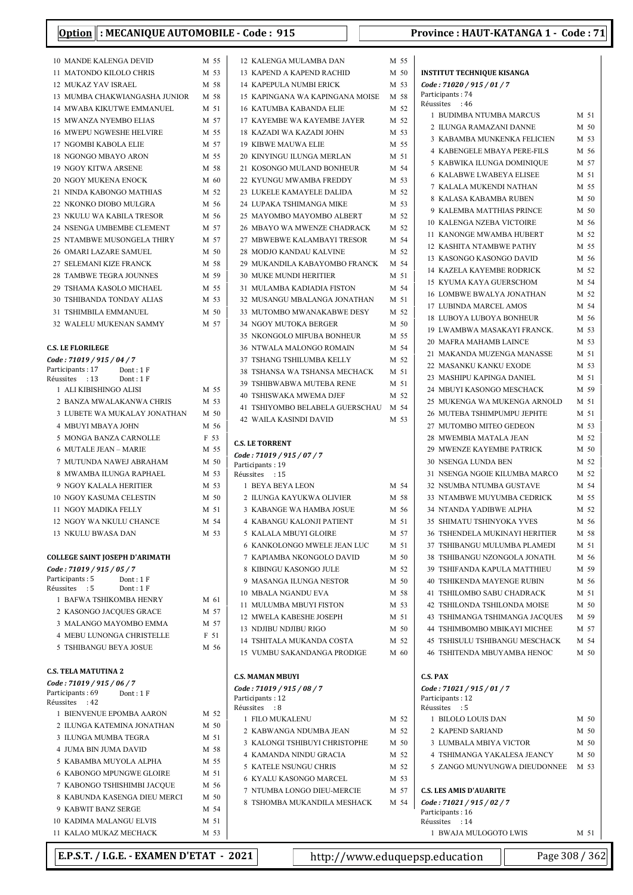1 BUDIMBA NTUMBA MARCUS M 51  $2\,$ ILUNGA RAMAZANI DANNE $\,$   $\,$   $\,$  M  $\,$  50  $\,$ 3 KABAMBA MUNKENKA FELICIEN M 53 4 KABENGELE MBAYA PERE-FILS M 56 5 KABWIKA ILUNGA DOMINIQUE M 57 6 M 51 KALABWE LWABEYA ELISEE 7 KALALA MUKENDI NATHAN M 55 8 KALASA KABAMBA RUBEN M 50 9 KALEMBA MATTHIAS PRINCE M 50 10 KALENGA NZEBA VICTOIRE M 56 11 KANONGE MWAMBA HUBERT M 52 12 KASHITA NTAMBWE PATHY M 55 13 KASONGO KASONGO DAVID M 56 14 KAZELA KAYEMBE RODRICK M 52 15 KYUMA KAYA GUERSCHOM M 54  $16\,$  LOMBWE BWALYA JONATHAN  $\,$  M  $\,$  52  $\,$ 17 LUBINDA MARCEL AMOS M 54 18 LUBOYA LUBOYA BONHEUR  $$\rm{M}$  56 19 LWAMBWA MASAKAYI FRANCK. M 53

INSTITUT TECHNIQUE KISANGA Code : 71020 / 915 / 01 / 7 Participants: 74 Réussites : 46

|    | <b>10 MANDE KALENGA DEVID</b>                             | M 55            |  |
|----|-----------------------------------------------------------|-----------------|--|
|    | 11 MATONDO KILOLO CHRIS                                   | M 53            |  |
|    | 12 MUKAZ YAV ISRAEL                                       | M 58            |  |
|    | 13 MUMBA CHAKWIANGASHA JUNIOR                             | M 58            |  |
|    | 14 MWABA KIKUTWE EMMANUEL                                 | M 51            |  |
|    | <b>15 MWANZA NYEMBO ELIAS</b>                             | M 57            |  |
|    | 16 MWEPU NGWESHE HELVIRE                                  | M 55            |  |
|    | 17 NGOMBI KABOLA ELIE                                     | M 57            |  |
|    | 18 NGONGO MBAYO ARON                                      | M 55            |  |
|    | 19 NGOY KITWA ARSENE<br>20 NGOY MUKENA ENOCK              | M 58<br>M 60    |  |
|    | 21 NINDA KABONGO MATHIAS                                  | M 52            |  |
|    | 22 NKONKO DIOBO MULGRA                                    | M 56            |  |
| 23 | NKULU WA KABILA TRESOR                                    | M 56            |  |
|    | 24 NSENGA UMBEMBE CLEMENT                                 | M 57            |  |
| 25 | NTAMBWE MUSONGELA THIRY                                   | M 57            |  |
|    | 26 OMARI LAZARE SAMUEL                                    | M <sub>50</sub> |  |
|    | 27 SELEMANI KIZE FRANCK                                   | M 58            |  |
|    | 28 TAMBWE TEGRA JOUNNES                                   | M 59            |  |
|    | 29 TSHAMA KASOLO MICHAEL                                  | M 55            |  |
|    | 30 TSHIBANDA TONDAY ALIAS                                 | M 53            |  |
|    | 31 TSHIMBILA EMMANUEL                                     | M 50            |  |
|    | 32 WALELU MUKENAN SAMMY                                   | M 57            |  |
|    | <b>C.S. LE FLORILEGE</b>                                  |                 |  |
|    | Code: 71019 / 915 / 04 / 7                                |                 |  |
|    | Participants: 17<br>Dont: 1F                              |                 |  |
|    | Réussites : 13<br>Dont: 1F<br>1 ALI KIBISHINGO ALISI      | M 55            |  |
|    | 2 BANZA MWALAKANWA CHRIS                                  | M 53            |  |
| 3  | LUBETE WA MUKALAY JONATHAN                                | M 50            |  |
|    | 4 MBUYI MBAYA JOHN                                        | M 56            |  |
| 5  | MONGA BANZA CARNOLLE                                      | F 53            |  |
|    | 6 MUTALE JEAN - MARIE                                     | M 55            |  |
|    | 7 MUTUNDA NAWEJ ABRAHAM                                   | M 50            |  |
|    | 8 MWAMBA ILUNGA RAPHAEL                                   | M 53            |  |
|    | 9 NGOY KALALA HERITIER                                    | M 53            |  |
|    | 10 NGOY KASUMA CELESTIN                                   | M <sub>50</sub> |  |
|    | 11 NGOY MADIKA FELLY                                      | M 51            |  |
|    | 12 NGOY WA NKULU CHANCE                                   | M 54            |  |
|    | 13 NKULU BWASA DAN                                        | M 53            |  |
|    | <b>COLLEGE SAINT JOSEPH D'ARIMATH</b>                     |                 |  |
|    | Code: 71019 / 915 / 05 / 7                                |                 |  |
|    | Participants: 5<br>Dont: 1 F<br>Réussites : 5<br>Dont: 1F |                 |  |
|    | 1 BAFWA TSHIKOMBA HENRY                                   | M 61            |  |
|    | 2 KASONGO JACQUES GRACE                                   | M 57            |  |
|    | 3 MALANGO MAYOMBO EMMA                                    | M 57            |  |
|    | 4 MEBU LUNONGA CHRISTELLE                                 | F 51            |  |
|    | 5 TSHIBANGU BEYA JOSUE                                    | M 56            |  |
|    |                                                           |                 |  |
|    | <b>C.S. TELA MATUTINA 2</b><br>Code: 71019 / 915 / 06 / 7 |                 |  |
|    | Participants: 69<br>Dont: 1 F<br>Réussites : 42           |                 |  |
|    | 1 BIENVENUE EPOMBA AARON                                  | M 52            |  |
|    | 2 ILUNGA KATEMINA JONATHAN                                | M 50            |  |
|    | 3 ILUNGA MUMBA TEGRA                                      | M 51            |  |
|    | <b>4 JUMA BIN JUMA DAVID</b>                              | M 58            |  |
|    | 5 KABAMBA MUYOLA ALPHA                                    | M 55            |  |
|    | 6 KABONGO MPUNGWE GLOIRE<br>7 KABONGO TSHISHIMBI JACQUE   | M 51<br>M 56    |  |
|    | 8 KABUNDA KASENGA DIEU MERCI                              | M 50            |  |
|    | 9 KABWIT BANZ SERGE                                       | M 54            |  |
|    | <b>10 KADIMA MALANGU ELVIS</b>                            | M 51            |  |
|    | 11 KALAO MUKAZ MECHACK                                    | M 53            |  |

| 12 KALENGA MULAMBA DAN                                   | M 55            |
|----------------------------------------------------------|-----------------|
| 13 KAPEND A KAPEND RACHID                                | M 50            |
| <b>14 KAPEPULA NUMBI ERICK</b>                           | M 53            |
| 15 KAPINGANA WA KAPINGANA MOISE                          | M 58            |
| <b>16 KATUMBA KABANDA ELIE</b>                           | M 52            |
| 17 KAYEMBE WA KAYEMBE JAYER                              | M 52            |
| 18 KAZADI WA KAZADI JOHN                                 | M 53            |
| <b>19 KIBWE MAUWA ELIE</b>                               | M 55            |
| 20 KINYINGU ILUNGA MERLAN                                | M 51            |
| 21 KOSONGO MULAND BONHEUR                                | M 54            |
| 22 KYUNGU MWAMBA FREDDY                                  | M 53            |
| 23 LUKELE KAMAYELE DALIDA                                | M 52            |
| 24 LUPAKA TSHIMANGA MIKE                                 | M 53            |
| 25 MAYOMBO MAYOMBO ALBERT                                | M 52            |
| 26 MBAYO WA MWENZE CHADRACK                              | M 52            |
| 27 MBWEBWE KALAMBAYI TRESOR                              | M 54            |
| 28 MODJO KANDAU KALVINE                                  | M 52            |
| 29 MUKANDILA KABAYOMBO FRANCK                            | M 54            |
| <b>30 MUKE MUNDI HERITIER</b>                            | M 51            |
| MULAMBA KADIADIA FISTON<br>31                            | M 54            |
| 32 MUSANGU MBALANGA JONATHAN                             | M 51            |
| 33 MUTOMBO MWANAKABWE DESY<br>34 NGOY MUTOKA BERGER      | M 52<br>$M$ 50  |
| 35 NKONGOLO MIFUBA BONHEUR                               | M 55            |
| 36 NTWALA MALONGO ROMAIN                                 | M 54            |
| 37 TSHANG TSHILUMBA KELLY                                | M 52            |
| TSHANSA WA TSHANSA MECHACK<br>38                         | M 51            |
| <b>39 TSHIBWABWA MUTEBA RENE</b>                         | M 51            |
| <b>40 TSHISWAKA MWEMA DJEF</b>                           | M 52            |
| 41<br>TSHIYOMBO BELABELA GUERSCHAU                       | M 54            |
| <b>42 WAILA KASINDI DAVID</b>                            | M 53            |
|                                                          |                 |
| <b>C.S. LE TORRENT</b>                                   |                 |
|                                                          |                 |
| Code: 71019 / 915 / 07 / 7<br>Participants: 19           |                 |
| Réussites : 15                                           |                 |
| 1 BEYA BEYA LEON                                         | M 54            |
| 2 ILUNGA KAYUKWA OLIVIER                                 | M 58            |
| 3 KABANGE WA HAMBA JOSUE                                 | M 56            |
| KABANGU KALONJI PATIENT<br>4                             | M 51            |
| 5 KALALA MBUYI GLOIRE                                    | M 57            |
| 6 KANKOLONGO MWELE JEAN LUC                              | M 51            |
| 7 KAPIAMBA NKONGOLO DAVID                                | M <sub>50</sub> |
| 8 KIBINGU KASONGO JULE                                   | M 52            |
| 9 MASANGA ILUNGA NESTOR                                  | M 50            |
| <b>10 MBALA NGANDU EVA</b>                               | M 58            |
| 11 MULUMBA MBUYI FISTON                                  | M 53            |
| 12 MWELA KABESHE JOSEPH                                  | M 51            |
| 13 NDJIBU NDJIBU RIGO                                    | M <sub>50</sub> |
| 14 TSHITALA MUKANDA COSTA<br>15 VUMBU SAKANDANGA PRODIGE | M 52<br>M 60    |
|                                                          |                 |
| <b>C.S. MAMAN MBUYI</b>                                  |                 |
| Code: 71019 / 915 / 08 / 7                               |                 |
| Participants: 12                                         |                 |
| Réussites : 8<br>1 FILO MUKALENU                         | M 52            |
| 2 KABWANGA NDUMBA JEAN                                   | M 52            |
| 3 KALONGI TSHIBUYI CHRISTOPHE                            | M 50            |
| 4 KAMANDA NINDU GRACIA                                   | M 52            |
| 5 KATELE NSUNGU CHRIS                                    | M 52            |
| 6 KYALU KASONGO MARCEL                                   | M 53            |

8 TSHOMBA MUKANDILA MESHACK

| м <i>эт</i> салых импэрио <i>г</i> |
|------------------------------------|
| M 54   Code: 71021 / 915 /         |
| Particinants: 16                   |

| 20 MAFRA MAHAMB LAINCE                      | M 53   |  |
|---------------------------------------------|--------|--|
| 21 MAKANDA MUZENGA MANASSE                  | M 51   |  |
| 22 MASANKU KANKU EXODE                      | M 53   |  |
| 23 MASHIPU KAPINGA DANIEL                   | M 51   |  |
| 24 MBUYI KASONGO MESCHACK                   | M 59   |  |
| 25 MUKENGA WA MUKENGA ARNOLD M 51           |        |  |
| 26 MUTEBA TSHIMPUMPU JEPHTE                 | M 51   |  |
| 27 MUTOMBO MITEO GEDEON                     | M 53   |  |
| 28 MWEMBIA MATALA JEAN                      | M 52   |  |
| 29 MWENZE KAYEMBE PATRICK                   | $M$ 50 |  |
| <b>30 NSENGA LUNDA BEN</b>                  | M 52   |  |
| 31 NSENGA NGOIE KILUMBA MARCO               | M 52   |  |
| <b>32 NSUMBA NTUMBA GUSTAVE</b>             | M 54   |  |
| 33 NTAMBWE MUYUMBA CEDRICK                  | M 55   |  |
| <b>34 NTANDA YADIBWE ALPHA</b>              | M 52   |  |
| <b>35 SHIMATU TSHINYOKA YVES</b>            | M 56   |  |
| 36 TSHENDELA MUKINAYI HERITIER              | M 58   |  |
| 37 TSHIBANGU MULUMBA PLAMEDI                | M 51   |  |
| 38 TSHIBANGU NZONGOLA JONATH.               | M 56   |  |
| 39 TSHIFANDA KAPULA MATTHIEU M 59           |        |  |
| <b>40 TSHIKENDA MAYENGE RUBIN</b>           | M 56   |  |
| 41 TSHILOMBO SABU CHADRACK                  | M 51   |  |
| 42 TSHILONDA TSHILONDA MOISE                | M 50   |  |
| 43 TSHIMANGA TSHIMANGA JACQUES M 59         |        |  |
| <b>44 TSHIMBOMBO MBIKAYI MICHEE</b><br>M 57 |        |  |
| 45 TSHISULU TSHIBANGU MESCHACK M 54         |        |  |
| 46 TSHITENDA MBUYAMBA HENOC                 | M 50   |  |

#### C.S. PAX

| Code: 71021 / 915 / 01 / 7     |      |
|--------------------------------|------|
| Participants: 12               |      |
| $R\acute{e}$ ussites : 5       |      |
| 1 BILOLO LOUIS DAN             | M 50 |
| 2. KAPEND SARIAND              | M 50 |
| 3 LUMBALA MBIYA VICTOR         | M 50 |
| 4 TSHIMANGA YAKALESA IEANCY    | M 50 |
| 5 ZANGO MUNYUNGWA DIEUDONNEE   | M 53 |
| <b>C.S. LES AMIS D'AUARITE</b> |      |
|                                |      |
| Code: 71021 / 915 / 02 / 7     |      |
| Participants: 16               |      |
| Réussites : 14                 |      |
| 1 BWAJA MULOGOTO LWIS          | M 51 |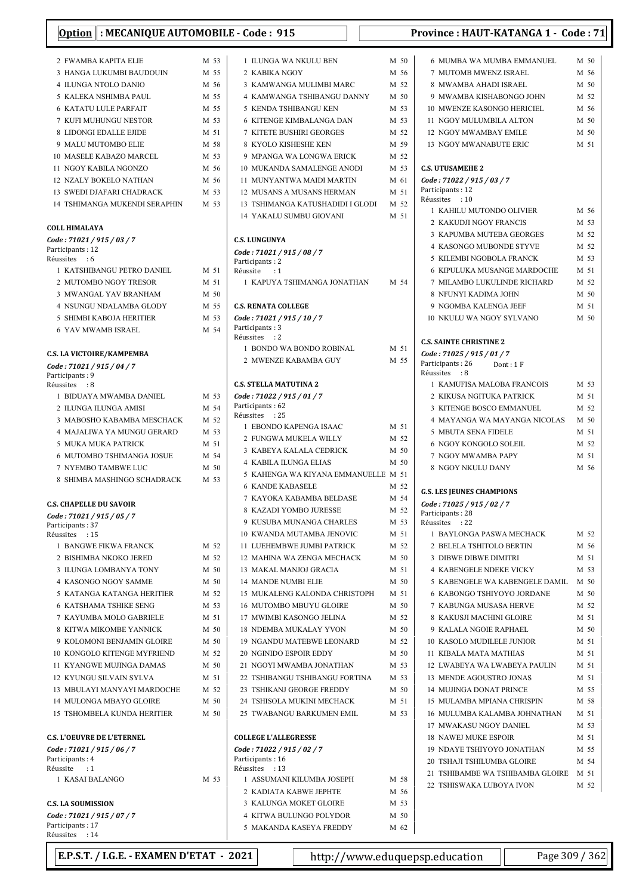| Option   : MECANIQUE AUTOMOBILE - C                     |      |                     |
|---------------------------------------------------------|------|---------------------|
| 2 FWAMBA KAPITA ELIE                                    | M 53 | 1                   |
| 3 HANGA LUKUMBI BAUDOUIN                                | M 55 | $\overline{2}$      |
| 4 ILUNGA NTOLO DANIO                                    | M 56 | 3                   |
| 5 KALEKA NSHIMBA PAUL                                   | M 55 | $\overline{4}$      |
| <b>6 KATATU LULE PARFAIT</b>                            | M 55 | 5                   |
| 7 KUFI MUHUNGU NESTOR                                   | M 53 | 6                   |
| <b>8 LIDONGI EDALLE EJIDE</b>                           | M 51 | 7                   |
| 9 MALU MUTOMBO ELIE                                     | M 58 | 8                   |
| 10 MASELE KABAZO MARCEL                                 | M 53 | 9                   |
| 11 NGOY KABILA NGONZO                                   | M 56 | 10                  |
| <b>12 NZALY BOKELO NATHAN</b>                           | M 56 | 11                  |
| 13 SWEDI DJAFARI CHADRACK                               | M 53 | 12                  |
| <b>14 TSHIMANGA MUKENDI SERAPHIN</b>                    | M 53 | 13<br>14            |
| <b>COLL HIMALAYA</b>                                    |      |                     |
| Code: 71021 / 915 / 03 / 7<br>Participants: 12          |      | C.S.                |
| Réussites<br>:6                                         |      | Code<br>Part        |
| 1 KATSHIBANGU PETRO DANIEL                              | M 51 | Réus                |
| 2 MUTOMBO NGOY TRESOR                                   | M 51 | 1                   |
| 3 MWANGAL YAV BRANHAM                                   | M 50 |                     |
| <b>4 NSUNGU NDALAMBA GLODY</b>                          | M 55 | C.S.                |
| <b>5 SHIMBI KABOJA HERITIER</b>                         | M 53 | Code                |
| <b>6 YAV MWAMB ISRAEL</b>                               | M 54 | Part                |
|                                                         |      | Réus                |
| C.S. LA VICTOIRE/KAMPEMBA<br>Code: 71021 / 915 / 04 / 7 |      | 1<br>$\overline{2}$ |
| Participants: 9                                         |      |                     |
| Réussites : 8<br>1 BIDUAYA MWAMBA DANIEL                | M 53 | C.S.<br>Code        |
| 2 ILUNGA ILUNGA AMISI                                   | M 54 | Part                |
| 3 MABOSHO KABAMBA MESCHACK                              | M 52 | Réus                |
| 4 MAJALIWA YA MUNGU GERARD                              | M 53 | 1                   |
| 5 MUKA MUKA PATRICK                                     | M 51 | 2                   |
| <b>6 MUTOMBO TSHIMANGA JOSUE</b>                        | M 54 | 3                   |
| <b>7 NYEMBO TAMBWE LUC</b>                              | M 50 | 4                   |
| 8 SHIMBA MASHINGO SCHADRACK                             | M 53 | 5                   |
|                                                         |      | 6                   |
| <b>C.S. CHAPELLE DU SAVOIR</b>                          |      | 7                   |
| Code: 71021 / 915 / 05 / 7                              |      | 8<br>9              |
| Participants: 37<br>Réussites : 15                      |      | 10                  |
| 1 BANGWE FIKWA FRANCK                                   | M 52 | 11                  |
| 2 BISHIMBA NKOKO JERED                                  | M 52 | 12                  |
| 3 ILUNGA LOMBANYA TONY                                  | M 50 | 13                  |
| 4 KASONGO NGOY SAMME                                    | M 50 | 14                  |
| 5 KATANGA KATANGA HERITIER                              | M 52 | 15                  |
| <b>6 KATSHAMA TSHIKE SENG</b>                           | M 53 | 16                  |
| 7 KAYUMBA MOLO GABRIELE                                 | M 51 | 17                  |
| 8 KITWA MIKOMBE YANNICK                                 | M 50 | 18                  |
| 9 KOLOMONI BENJAMIN GLOIRE                              | M 50 | 19                  |
| <b>10 KONGOLO KITENGE MYFRIEND</b>                      | M 52 | 20                  |
| 11 KYANGWE MUJINGA DAMAS                                | M 50 | 21                  |
| 12 KYUNGU SILVAIN SYLVA                                 | M 51 | 22                  |
| 13 MBULAYI MANYAYI MARDOCHE                             | M 52 | 23                  |
| 14 MULONGA MBAYO GLOIRE                                 | M 50 | 24                  |
| 15 TSHOMBELA KUNDA HERITIER                             | M 50 | 25                  |
| <b>C.S. L'OEUVRE DE L'ETERNEL</b>                       |      | COL                 |
| Code: 71021 / 915 / 06 / 7                              |      | Code                |
| Participants: 4                                         |      | Part                |
| Réussite : 1                                            |      | Réus                |
| 1 KASAI BALANGO                                         | M 53 | 1                   |
|                                                         |      | 2                   |
| <b>C.S. LA SOUMISSION</b>                               |      | 3                   |
| Code: 71021 / 915 / 07 / 7<br>Participants: 17          |      | 4                   |
| Réussites : 14                                          |      | 5                   |

| 1 ILUNGA WA NKULU BEN                                     | M 50 |              |
|-----------------------------------------------------------|------|--------------|
|                                                           |      |              |
| 2 KABIKA NGOY                                             |      | M 56         |
| 3 KAMWANGA MULIMBI MARC                                   |      | M 52         |
| 4 KAMWANGA TSHIBANGU DANNY                                | M 50 |              |
| 5 KENDA TSHIBANGU KEN                                     | M 53 |              |
|                                                           |      |              |
| 6 KITENGE KIMBALANGA DAN                                  | M 53 |              |
| 7 KITETE BUSHIRI GEORGES                                  | M 52 |              |
| 8 KYOLO KISHESHE KEN                                      |      | M 59         |
| 9 MPANGA WA LONGWA ERICK                                  | M 52 |              |
| 10 MUKANDA SAMALENGE ANODI                                | M 53 |              |
|                                                           |      |              |
| 11 MUNYANTWA MAIDI MARTIN                                 | M 61 |              |
| 12 MUSANS A MUSANS HERMAN                                 | M 51 |              |
| 13 TSHIMANGA KATUSHADIDI I GLODI                          | M 52 |              |
| 14 YAKALU SUMBU GIOVANI                                   | M 51 |              |
|                                                           |      |              |
|                                                           |      |              |
| C.S. LUNGUNYA                                             |      |              |
| Code: 71021 / 915 / 08 / 7                                |      |              |
| Participants: 2                                           |      |              |
| Réussite : 1                                              |      |              |
| 1  KAPUYA TSHIMANGA JONATHAN                              | M 54 |              |
|                                                           |      |              |
| <b>C.S. RENATA COLLEGE</b>                                |      |              |
| Code: 71021 / 915 / 10 / 7                                |      |              |
| Participants: 3                                           |      |              |
| Réussites : 2                                             |      |              |
| 1 BONDO WA BONDO ROBINAL                                  | M 51 |              |
|                                                           |      |              |
| 2 MWENZE KABAMBA GUY                                      | M 55 |              |
|                                                           |      |              |
| <b>C.S. STELLA MATUTINA 2</b>                             |      |              |
| Code: 71022 / 915 / 01 / 7                                |      |              |
| Participants: 62                                          |      |              |
| Réussites : 25                                            |      |              |
| 1 EBONDO KAPENGA ISAAC                                    | M 51 |              |
| 2 FUNGWA MUKELA WILLY                                     | M 52 |              |
| <b>3 KABEYA KALALA CEDRICK</b>                            | M 50 |              |
|                                                           |      |              |
| <b>4 KABILA ILUNGA ELIAS</b>                              |      | M 50         |
| 5 KAHENGA WA KIYANA EMMANUELLE M 51                       |      |              |
|                                                           |      |              |
| <b>6 KANDE KABASELE</b>                                   |      | M 52         |
|                                                           |      |              |
| 7 KAYOKA KABAMBA BELDASE                                  |      | M 54         |
| 8 KAZADI YOMBO JURESSE                                    |      | M 52         |
| 9 KUSUBA MUNANGA CHARLES                                  |      | M 53         |
| 10 KWANDA MUTAMBA JENOVIC                                 | M 51 |              |
| 11 LUEHEMBWE JUMBI PATRICK                                |      | M 52         |
|                                                           |      |              |
| 12 MAHINA WA ZENGA MECHACK                                |      | M 50         |
| 13 MAKAL MANJOJ GRACIA                                    | M 51 |              |
| <b>14 MANDE NUMBI ELIE</b>                                |      | M 50         |
| 15 MUKALENG KALONDA CHRISTOPH                             | M 51 |              |
| 16 MUTOMBO MBUYU GLOIRE                                   |      | M 50         |
| 17 MWIMBI KASONGO JELINA                                  |      | M 52         |
|                                                           |      |              |
| 18 NDEMBA MUKALAY YVON                                    |      | M 50         |
| 19 NGANDU MATEBWE LEONARD                                 |      | M 52         |
| 20 NGINIDO ESPOIR EDDY                                    |      | M 50         |
| 21 NGOYI MWAMBA JONATHAN                                  |      | M 53         |
| 22 TSHIBANGU TSHIBANGU FORTINA                            | M 53 |              |
| 23 TSHIKANJ GEORGE FREDDY                                 |      | M 50         |
|                                                           |      |              |
| 24 TSHISOLA MUKINI MECHACK                                | M 51 |              |
| 25 TWABANGU BARKUMEN EMIL                                 | M 53 |              |
|                                                           |      |              |
| <b>COLLEGE L'ALLEGRESSE</b>                               |      |              |
| Code: 71022 / 915 / 02 / 7                                |      |              |
| Participants: 16                                          |      |              |
| Réussites<br>: 13                                         |      |              |
| 1 ASSUMANI KILUMBA JOSEPH                                 |      | M 58         |
| 2 KADIATA KABWE JEPHTE                                    |      | M 56         |
| 3 KALUNGA MOKET GLOIRE                                    |      | M 53         |
|                                                           |      |              |
| <b>4 KITWA BULUNGO POLYDOR</b><br>5 MAKANDA KASEYA FREDDY |      | M 50<br>M 62 |

| Option  : MECANIOUE AUTOMOBILE - Code :  915 |  | <b>Province: HAUT-KATANGA 1 - Code: 71</b> |
|----------------------------------------------|--|--------------------------------------------|
|----------------------------------------------|--|--------------------------------------------|

| 6 MUMBA WA MUMBA EMMANUEL             | M 50 |
|---------------------------------------|------|
| 7 MUTOMB MWENZ ISRAEL                 | M 56 |
| 8 MWAMBA AHADI ISRAEL                 | M 50 |
| 9 MWAMBA KISHABONGO JOHN              | M 52 |
| 10 MWENZE KASONGO HERICIEL            | M 56 |
| 11 NGOY MULUMBILA ALTON               | M 50 |
| 12 NGOY MWAMBAY EMILE                 | M 50 |
| <b>13 NGOY MWANABUTE ERIC</b>         | M 51 |
|                                       |      |
| <b>C.S. UTUSAMEHE 2</b>               |      |
| Code: 71022 / 915 / 03 / 7            |      |
| Participants: 12<br>Réussites : 10    |      |
| 1 KAHILU MUTONDO OLIVIER              | M 56 |
| 2 KAKUDJI NGOY FRANCIS                | M 53 |
| 3 KAPUMBA MUTEBA GEORGES              | M 52 |
| 4 KASONGO MUBONDE STYVE               | M 52 |
| 5 KILEMBI NGOBOLA FRANCK              | M 53 |
| 6 KIPULUKA MUSANGE MARDOCHE           | M 51 |
| 7 MILAMBO LUKULINDE RICHARD           | M 52 |
| 8 NFUNYI KADIMA JOHN                  | M 50 |
| 9 NGOMBA KALENGA JEEF                 | M 51 |
| 10 NKULU WA NGOY SYLVANO              | M 50 |
|                                       |      |
| <b>C.S. SAINTE CHRISTINE 2</b>        |      |
| Code: 71025 / 915 / 01 / 7            |      |
| Participants : 26<br>Dont: 1 F        |      |
| Réussites : 8                         |      |
| 1 KAMUFISA MALOBA FRANCOIS            | M 53 |
| 2 KIKUSA NGITUKA PATRICK              | M 51 |
| 3 KITENGE BOSCO EMMANUEL              | M 52 |
| 4 MAYANGA WA MAYANGA NICOLAS          | M 50 |
| 5 MBUTA SENA FIDELE                   | M 51 |
| 6 NGOY KONGOLO SOLEIL                 | M 52 |
| 7 NGOY MWAMBA PAPY                    | M 51 |
| 8 NGOY NKULU DANY                     | M 56 |
| G.S. LES JEUNES CHAMPIONS             |      |
| Code: 71025 / 915 / 02 / 7            |      |
| Participants: 28                      |      |
| Réussites : 22                        |      |
| 1 BAYLONGA PASWA MECHACK              | M 52 |
| 2 BELELA TSHITOLO BERTIN              | M 56 |
| 3 DIBWE DIBWE DIMITRI                 | M 51 |
| 4 KABENGELE NDEKE VICKY               | M 53 |
| 5 KABENGELE WA KABENGELE DAMIL        | M 50 |
| 6 KABONGO TSHIYOYO JORDANE            | M 50 |
| 7 KABUNGA MUSASA HERVE                | M 52 |
| 8  KAKUSJI MACHINI GLOIRE             | M 51 |
| 9 KALALA NGOIE RAPHAEL                | M 50 |
| 10 KASOLO MUDILELE JUNIOR             | M 51 |
| 11 KIBALA MATA MATHIAS                | M 51 |
| 12 LWABEYA WA LWABEYA PAULIN          | M 51 |
| 13 MENDE AGOUSTRO JONAS               | M 51 |
| 14 MUJINGA DONAT PRINCE               | M 55 |
| 15 MULAMBA MPIANA CHRISPIN            | M 58 |
| 16 MULUMBA KALAMBA JOHNATHAN M 51     |      |
| 17 MWAKASU NGOY DANIEL                | M 53 |
| 18 NAWEJ MUKE ESPOIR                  | M 51 |
| 19 NDAYE TSHIYOYO JONATHAN            | M 55 |
| 20 TSHAJI TSHILUMBA GLOIRE            | M 54 |
| 21 TSHIBAMBE WA TSHIBAMBA GLOIRE M 51 |      |
| 22 TSHISWAKA LUBOYA IVON              | M 52 |

E.P.S.T. / I.G.E. - EXAMEN D'ETAT - 2021 http://www.eduquepsp.education Page 309 / 362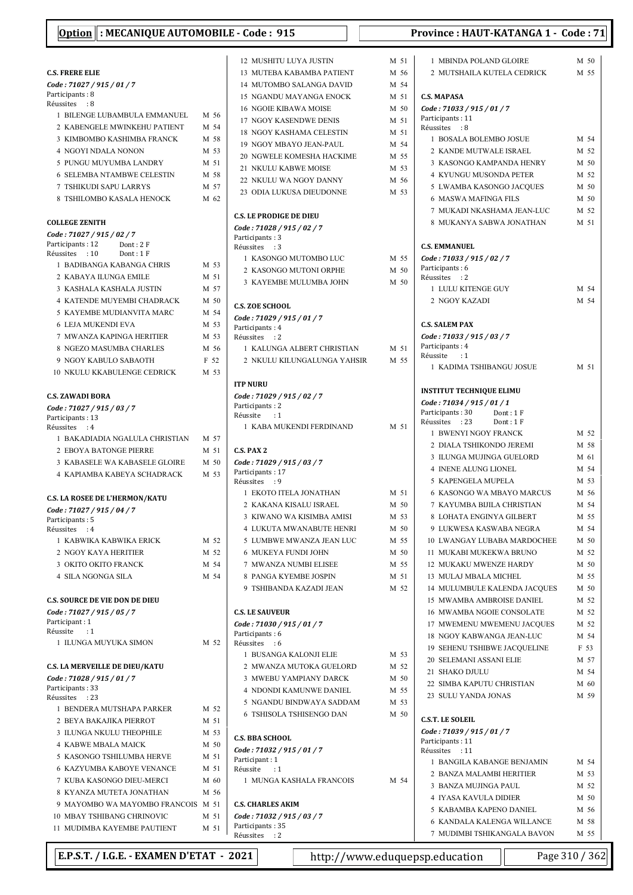|  |  | <u> Option</u> : MECANIQUE AUTOMOBILE - Code : 915 |  |  |  |  |
|--|--|----------------------------------------------------|--|--|--|--|
|--|--|----------------------------------------------------|--|--|--|--|

#### C.S. FRERE ELIE Code : 71027 / 915 / 01 / 7 Particinants : 8 Réussites : 8 1 BILENGE LUBAMBULA EMMANUEL M 56 2 KABENGELE MWINKEHU PATIENT M 54 3 KIMBOMBO KASHIMBA FRANCK M 58 4 NGOYI NDALA NONON M 53 5 PUNGU MUYUMBA LANDRY M 51 6 SELEMBA NTAMBWE CELESTIN M 58 7 TSHIKUDI SAPU LARRYS M 57 8 TSHILOMBO KASALA HENOCK M 62 COLLEGE ZENITH Code : 71027 / 915 / 02 / 7 Participants: 12 Dont: 2 F<br>Réussites : 10 Dont: 1 F Réussites : 10 1 BADIBANGA KABANGA CHRIS M 53 2 KABAYA ILUNGA EMILE M 51 Participants: 3 Réussites : 3

7 MWANZA KAPINGA HERITIER M 53 8 NGEZO MASUMBA CHARLES M 56 9 NGOY KABULO SABAOTH F 52 10 NKULU KKABULENGE CEDRICK M 53 C.S. ZAWADI BORA Code : 71027 / 915 / 03 / 7 Particinants: 13 Réussites : 4 1 BAKADIADIA NGALULA CHRISTIAN M 57 2 EBOYA BATONGE PIERRE M 51 3 KABASELE WA KABASELE GLOIRE M 50 4 KAPIAMBA KABEYA SCHADRACK M 53 C.S. LA ROSEE DE L'HERMON/KATU Code : 71027 / 915 / 04 / 7 Participants: 5 Réussites : 4 1 KABWIKA KABWIKA ERICK M 52 2 NGOY KAYA HERITIER M 52 3 OKITO OKITO FRANCK M 54 4 SILA NGONGA SILA M 54 C.S. SOURCE DE VIE DON DE DIEU Code : 71027 / 915 / 05 / 7 Participant : 1<br>Réussite : 1 **Réussite** 1 ILUNGA MUYUKA SIMON M 52 C.S. LA MERVEILLE DE DIEU/KATU Code : 71028 / 915 / 01 / 7 Participants: 33 Réussites : 23 1 BENDERA MUTSHAPA PARKER M 52 2 REVA BAKAJIKA PIERROT M51 3 ILUNGA NKULU THEOPHILE M 53 4 KABWE MBALA MAICK M 50 5 KASONGO TSHILUMBA HERVE M 51 6 KAZYUMBA KABOVE VENANCE M 51 7 KUBA KASONGO DIEU-MERCI M. 60

8 KVANZA MUTETA JONATHAN M56

9 MAYOMBO WA MAYOMBO FRANCOIS M 51 10 MBAY TSHIBANG CHRINOVIC M 51 11 MUDIMBA KAYEMBE PAUTIENT M 51

3 KASHALA KASHALA JUSTIN M 57 4 KATENDE MUYEMBI CHADRACK M 50 5 KAYEMBE MUDIANVITA MARC M 54 6 LEJA MUKENDI EVA M 53 12 MUSHITU LUYA JUSTIN M 5 13 MUTEBA KABAMBA PATIENT M 56 14 MUTOMBO SALANGA DAVID M 5 15 NGANDU MAYANGA ENOCK M 5 16 NGOIE KIBAWA MOISE M 50 17 NGOY KASENDWE DENIS M 5 18 NGOY KASHAMA CELESTIN M 5 19 NGOY MBAYO JEAN-PAUL M 54 20 NGWELE KOMESHA HACKIME M 5 21 NKULU KABWE MOISE M 5 22 NKULU WA NGOY DANNY M 5 23 ODIA LUKUSA DIEUDONNE M 5 C.S. LE PRODIGE DE DIEU Code : 71028 / 915 / 02 / 7 1 KASONGO MUTOMBO LUC M 5 2 KASONGO MUTONI ORPHE M 5 3 KAYEMBE MULUMBA JOHN M 5 C.S. ZOE SCHOOL Code : 71029 / 915 / 01 / 7 Participants: 4 Réussites : 2 1 KALUNGA ALBERT CHRISTIAN M 5 2 NKULU KILUNGALUNGA YAHSIR M 5 ITP NURU Code : 71029 / 915 / 02 / 7 Particinants: 2 Réussite : 1 1 KABA MUKENDI FERDINAND M 5 C.S. PAX 2 Code : 71029 / 915 / 03 / 7 Participants: 17 Réussites : 9 1 EKOTO ITELA JONATHAN M 5 2 KAKANA KISALU ISRAEL M 5 3 KIWANO WA KISIMBA AMISI M 5 4 LUKUTA MWANABUTE HENRI M 5 5 LUMBWE MWANZA JEAN LUC M 5 6 MUKEYA FUNDI JOHN M 5 7 MWANZA NUMBI ELISEE M 5 8 PANGA KYEMBE JOSPIN M 5 9 TSHIBANDA KAZADI JEAN M 5 C.S. LE SAUVEUR Code : 71030 / 915 / 01 / 7 Particinants : 6 Réussites : 6 1 BUSANGA KALONJI ELIE M 5 2. MWANZA MUTOKA GUELORD M 5 3 MWEBU YAMPIANY DARCK M 50 4 NDONDI KAMUNWE DANIEL M 5 5 NGANDU BINDWAYA SADDAM M 5 6 TSHISOLA TSHISENGO DAN M 5 C.S. BBA SCHOOL Code : 71032 / 915 / 01 / 7 Participant : 1<br>Réussite : 1 Réussite 1 MUNGA KASHALA FRANCOIS M 54 C.S. CHARLES AKIM

Code : 71032 / 915 / 03 / 7

Participants: 35<br>Réussites : 2 nessites

Province : HAUT-KATANGA 1 - Code : 71

| l                        | 1 MBINDA POLAND GLOIRE              | M 50 |
|--------------------------|-------------------------------------|------|
| 5                        | 2 MUTSHAILA KUTELA CEDRICK          | M 55 |
|                          |                                     |      |
| 4                        |                                     |      |
| l                        | C.S. MAPASA                         |      |
| C                        | Code: 71033 / 915 / 01 / 7          |      |
| l                        | Participants: 11                    |      |
| l                        | Réussites : 8                       |      |
| 4                        | 1 BOSALA BOLEMBO JOSUE              | M 54 |
| 5                        | 2 KANDE MUTWALE ISRAEL              | M 52 |
| 3                        | 3 KASONGO KAMPANDA HENRY            | M 50 |
|                          | <b>4 KYUNGU MUSONDA PETER</b>       | M 52 |
| 5                        | 5 LWAMBA KASONGO JACQUES            | M 50 |
| 3                        | <b>6 MASWA MAFINGA FILS</b>         | M 50 |
|                          | 7 MUKADI NKASHAMA JEAN-LUC          | M 52 |
|                          | 8 MUKANYA SABWA JONATHAN            | M 51 |
|                          |                                     |      |
|                          |                                     |      |
|                          | <b>C.S. EMMANUEL</b>                |      |
| 5                        | Code: 71033 / 915 / 02 / 7          |      |
| $\mathfrak z$            | Participants: 6                     |      |
| $\overline{\mathcal{L}}$ | Réussites : 2                       |      |
|                          | 1 LULU KITENGE GUY                  | M 54 |
|                          | 2 NGOY KAZADI                       | M 54 |
|                          |                                     |      |
|                          | <b>C.S. SALEM PAX</b>               |      |
|                          | Code: 71033 / 915 / 03 / 7          |      |
| l                        | Participants: 4                     |      |
| 5                        | Réussite : 1                        |      |
|                          | 1 KADIMA TSHIBANGU JOSUE            | M 51 |
|                          |                                     |      |
|                          | INSTITUT TECHNIQUE ELIMU            |      |
|                          | Code: 71034 / 915 / 01 / 1          |      |
|                          | Participants : 30<br>Dont: 1F       |      |
| l                        | Réussites : 23<br>Dont: 1F          |      |
|                          | 1 BWENYI NGOY FRANCK                | M 52 |
|                          | 2 DIALA TSHIKONDO JEREMI            | M 58 |
|                          | 3 ILUNGA MUJINGA GUELORD            | M 61 |
|                          | <b>4 INENE ALUNG LIONEL</b>         | M 54 |
|                          |                                     |      |
|                          | 5 KAPENGELA MUPELA                  | M 53 |
| l                        | <b>6 KASONGO WA MBAYO MARCUS</b>    | M 56 |
| Э                        | 7 KAYUMBA BIJILA CHRISTIAN          | M 54 |
| 3                        | 8 LOHATA ENGINYA GILBERT            | M 55 |
| C                        | 9 LUKWESA KASWABA NEGRA             | M 54 |
| 5                        | 10 LWANGAY LUBABA MARDOCHEE         | M 50 |
| $\mathfrak z$            | 11 MUKABI MUKEKWA BRUNO             | M 52 |
| 5                        | 12 MUKAKU MWENZE HARDY              | M 50 |
| l                        | 13 MULAJ MBALA MICHEL               | M 55 |
| $\overline{c}$           | 14 MULUMBULE KALENDA JACQUES        | M 50 |
|                          |                                     |      |
|                          | 15 MWAMBA AMBROISE DANIEL           | M 52 |
|                          | <b>16 MWAMBA NGOIE CONSOLATE</b>    | M 52 |
|                          | 17 MWEMENU MWEMENU JACQUES          | M 52 |
|                          | 18 NGOY KABWANGA JEAN-LUC           | M 54 |
|                          | <b>19 SEHENU TSHIBWE JACOUELINE</b> | F 53 |
| 3                        | 20 SELEMANI ASSANI ELIE             | M 57 |
| 2                        | 21 SHAKO DJULU                      | M 54 |
| C                        | 22 SIMBA KAPUTU CHRISTIAN           | M 60 |
| 5                        | 23 SULU YANDA JONAS                 | M 59 |
| 3                        |                                     |      |
| $\overline{\mathcal{L}}$ |                                     |      |
|                          | <b>C.S.T. LE SOLEIL</b>             |      |
|                          | Code: 71039 / 915 / 01 / 7          |      |
|                          | Participants: 11                    |      |
|                          | Réussites<br>$\cdot$ 11             |      |
|                          | 1 BANGILA KABANGE BENJAMIN          | M 54 |
| 4                        | 2 BANZA MALAMBI HERITIER            | M 53 |
|                          | 3 BANZA MUJINGA PAUL                | M 52 |
|                          | <b>4 IYASA KAVULA DIDIER</b>        | M 50 |
|                          | 5 KABAMBA KAPENO DANIEL             | M 56 |
|                          | 6 KANDALA KALENGA WILLANCE          | M 58 |
|                          | 7 MUDIMBI TSHIKANGALA BAVON         | M 55 |
|                          |                                     |      |

E.P.S.T. / I.G.E. - EXAMEN D'ETAT - 2021 | http://www.eduquepsp.education | Page 310 / 36.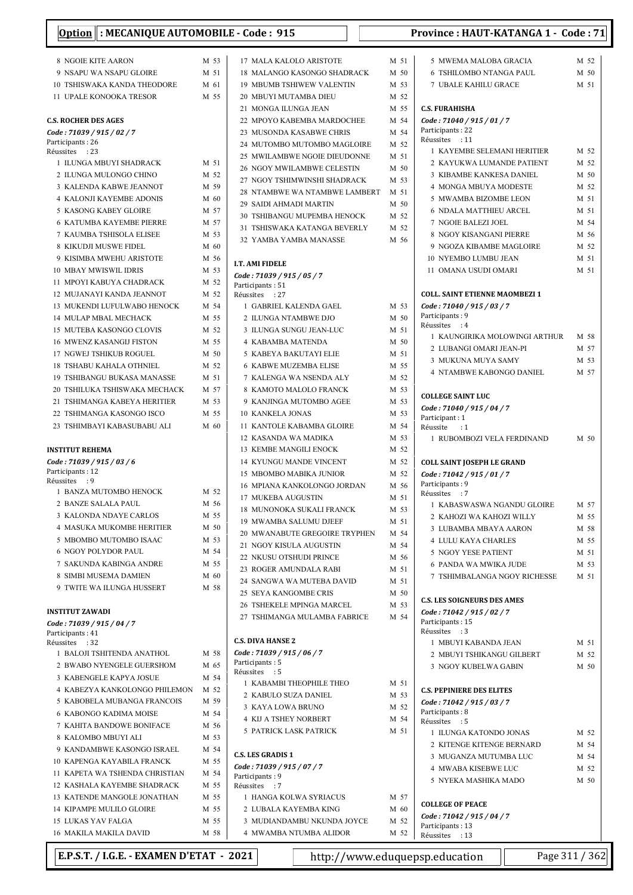| <u>, peron</u><br>אזיינישעוניי<br>ັ<br>.                   |              |                 |
|------------------------------------------------------------|--------------|-----------------|
| 8 NGOIE KITE AARON                                         | M 53         | 17              |
| 9 NSAPU WA NSAPU GLOIRE                                    | M 51         | 18              |
| 10 TSHISWAKA KANDA THEODORE                                | M 61         | 19              |
| <b>11 UPALE KONOOKA TRESOR</b>                             | M 55         | 20              |
|                                                            |              | 21              |
| <b>C.S. ROCHER DES AGES</b>                                |              | 22              |
| Code: 71039 / 915 / 02 / 7                                 |              | 23              |
| Participants: 26<br>Réussites<br>: 23                      |              | 24              |
| 1 ILUNGA MBUYI SHADRACK                                    | M 51         | 25              |
| 2 ILUNGA MULONGO CHINO                                     | M 52         | 26              |
| 3 KALENDA KABWE JEANNOT                                    | M 59         | 27<br>28        |
| <b>4 KALONJI KAYEMBE ADONIS</b>                            | M 60         | 29              |
| <b>5 KASONG KABEY GLOIRE</b>                               | M 57         | 30              |
| <b>6 KATUMBA KAYEMBE PIERRE</b>                            | M 57         | 31              |
| <b>7 KAUMBA TSHISOLA ELISEE</b>                            | M 53         | 32              |
| 8 KIKUDJI MUSWE FIDEL                                      | M 60         |                 |
| 9 KISIMBA MWEHU ARISTOTE                                   | M 56         | I.T. A          |
| 10 MBAY MWISWIL IDRIS<br>11 MPOYI KABUYA CHADRACK          | M 53<br>M 52 | Code            |
| 12 MUJANAYI KANDA JEANNOT                                  | M 52         | Partio          |
| 13 MUKENDI LUFULWABO HENOCK                                | M 54         | Réuss<br>1      |
| 14 MULAP MBAL MECHACK                                      | M 55         | 2               |
| 15 MUTEBA KASONGO CLOVIS                                   | M 52         | 3               |
| <b>16 MWENZ KASANGIJ FISTON</b>                            | M 55         | $\overline{4}$  |
| <b>17 NGWEJ TSHIKUB ROGUEL</b>                             | M 50         | 5               |
| <b>18 TSHABU KAHALA OTHNIEL</b>                            | M 52         | 6               |
| <b>19 TSHIBANGU BUKASA MANASSE</b>                         | M 51         | 7               |
| 20 TSHILUKA TSHISWAKA MECHACK                              | M 57         | 8               |
| 21 TSHIMANGA KABEYA HERITIER                               | M 53         | 9               |
| 22 TSHIMANGA KASONGO ISCO                                  | M 55         | 10              |
| 23 TSHIMBAYI KABASUBABU ALI                                | M 60         | 11              |
| <b>INSTITUT REHEMA</b>                                     |              | 12<br>13        |
| Code: 71039 / 915 / 03 / 6                                 |              | 14              |
| Participants: 12                                           |              | 15              |
| Réussites : 9                                              |              | 16              |
| 1 BANZA MUTOMBO HENOCK                                     | M 52         | 17              |
| 2 BANZE SALALA PAUL                                        | M 56         | 18              |
| 3 KALONDA NDAYE CARLOS<br><b>4 MASUKA MUKOMBE HERITIER</b> | M 55<br>M 50 | 19              |
| 5 MBOMBO MUTOMBO ISAAC                                     | M 53         | 20              |
| <b>6 NGOY POLYDOR PAUL</b>                                 | M 54         | 21              |
| 7 SAKUNDA KABINGA ANDRE                                    | M 55         | 22              |
| 8 SIMBI MUSEMA DAMIEN                                      | M 60         | 23              |
| 9 TWITE WA ILUNGA HUSSERT                                  | M 58         | 24              |
|                                                            |              | 25<br>26        |
| <b>INSTITUT ZAWADI</b>                                     |              | 27              |
| Code: 71039 / 915 / 04 / 7                                 |              |                 |
| Participants: 41<br>Réussites<br>: 32                      |              | C.S. D          |
| 1 BALOJI TSHITENDA ANATHOL                                 | M 58         | Code            |
| 2 BWABO NYENGELE GUERSHOM                                  | M 65         | Partio          |
| 3 KABENGELE KAPYA JOSUE                                    | M 54         | Réuss<br>1      |
| 4 KABEZYA KANKOLONGO PHILEMON                              | M 52         | 2               |
| 5 KABOBELA MUBANGA FRANCOIS                                | M 59         | 3               |
| 6 KABONGO KADIMA MOISE                                     | M 54         | 4               |
| 7 KAHITA BANDOWE BONIFACE                                  | M 56         | 5               |
| 8 KALOMBO MBUYI ALI<br>9 KANDAMBWE KASONGO ISRAEL          | M 53<br>M 54 |                 |
| <b>10 KAPENGA KAYABILA FRANCK</b>                          | M 55         | C.S. L          |
| 11 KAPETA WA TSHENDA CHRISTIAN                             | M 54         | Code            |
| 12 KASHALA KAYEMBE SHADRACK                                | M 55         | Partio<br>Réuss |
| 13 KATENDE MANGOLE JONATHAN                                | M 55         | 1               |
| 14 KIPAMPE MULILO GLOIRE                                   | M 55         | $\overline{2}$  |
| <b>15 LUKAS YAV FALGA</b>                                  | M 55         | 3               |
| 16 MAKILA MAKILA DAVID                                     | M 58         | $\overline{4}$  |

| 17 MALA KALOLO ARISTOTE                      | M 51         |
|----------------------------------------------|--------------|
| 18 MALANGO KASONGO SHADRACK                  | M 50         |
| <b>19 MBUMB TSHIWEW VALENTIN</b>             | M 53         |
| 20 MBUYI MUTAMBA DIEU                        | M 52         |
| 21 MONGA ILUNGA JEAN                         | M 55         |
| 22 MPOYO KABEMBA MARDOCHEE                   | M 54         |
| 23 MUSONDA KASABWE CHRIS                     | M 54         |
| 24 MUTOMBO MUTOMBO MAGLOIRE                  | M 52         |
| 25 MWILAMBWE NGOIE DIEUDONNE                 | M 51         |
| 26 NGOY MWILAMBWE CELESTIN                   | M 50         |
| 27 NGOY TSHIMWINSHI SHADRACK                 | M 53         |
| 28 NTAMBWE WA NTAMBWE LAMBERT                | M 51         |
| 29 SAIDI AHMADI MARTIN                       | M 50         |
| 30 TSHIBANGU MUPEMBA HENOCK                  | M 52         |
| 31 TSHISWAKA KATANGA BEVERLY                 | M 52         |
| 32 YAMBA YAMBA MANASSE                       | M 56         |
| <b>I.T. AMI FIDELE</b>                       |              |
| Code: 71039 / 915 / 05 / 7                   |              |
| Participants: 51                             |              |
| Réussites : 27                               |              |
| 1 GABRIEL KALENDA GAEL                       | M 53         |
| 2 ILUNGA NTAMBWE DJO                         | M 50<br>M 51 |
| 3 ILUNGA SUNGU JEAN-LUC<br>4 KABAMBA MATENDA | M 50         |
| 5 KABEYA BAKUTAYI ELIE                       | M 51         |
| 6 KABWE MUZEMBA ELISE                        | M 55         |
| 7 KALENGA WA NSENDA ALY                      | M 52         |
| 8 KAMOTO MALOLO FRANCK                       | M 53         |
| 9 KANJINGA MUTOMBO AGEE                      | M 53         |
| <b>10 KANKELA JONAS</b>                      | M 53         |
| 11 KANTOLE KABAMBA GLOIRE                    | M 54         |
| 12 KASANDA WA MADIKA                         | M 53         |
| <b>13 KEMBE MANGILI ENOCK</b>                | M 52         |
| 14 KYUNGU MANDE VINCENT                      | M 52         |
| <b>15 MBOMBO MABIKA JUNIOR</b>               | M 52         |
| 16 MPIANA KANKOLONGO JORDAN                  | M 56         |
| 17 MUKEBA AUGUSTIN                           | M 51         |
| 18 MUNONOKA SUKALI FRANCK                    | M 53         |
| 19 MWAMBA SALUMU DJEEF                       | M 51         |
| 20 MWANABUTE GREGOIRE TRYPHEN                | M 54         |
| 21 NGOY KISULA AUGUSTIN                      | M 54         |
| 22 NKUSU OTSHUDI PRINCE                      | M 56         |
| 23 ROGER AMUNDALA RABI                       | M 51         |
| 24 SANGWA WA MUTEBA DAVID                    | M 51         |
| 25 SEYA KANGOMBE CRIS                        | M 50         |
| 26 TSHEKELE MPINGA MARCEL                    | M 53         |
| 27 TSHIMANGA MULAMBA FABRICE                 | M 54         |
| <b>C.S. DIVA HANSE 2</b>                     |              |
| Code: 71039 / 915 / 06 / 7                   |              |
| Participants: 5                              |              |
| Réussites : 5<br>1 KABAMBI THEOPHILE THEO    | M 51         |
| 2 KABULO SUZA DANIEL                         | M 53         |
| 3 KAYA LOWA BRUNO                            | M 52         |
| <b>4 KIJ A TSHEY NORBERT</b>                 | M 54         |
| <b>5 PATRICK LASK PATRICK</b>                | M 51         |
| <b>C.S. LES GRADIS 1</b>                     |              |
| Code: 71039 / 915 / 07 / 7                   |              |
| Participants: 9                              |              |
| Réussites : 7                                |              |
| 1 HANGA KOLWA SYRIACUS                       | M 57         |
| 2 LUBALA KAYEMBA KING                        | M 60         |
| 3 MUDIANDAMBU NKUNDA JOYCE                   | M 52         |
| 4 MWAMBA NTUMBA ALIDOR                       | M 52         |

|                                                                     | M 52 |
|---------------------------------------------------------------------|------|
| <b>6 TSHILOMBO NTANGA PAUL</b>                                      | M 50 |
| <b>7 UBALE KAHILU GRACE</b>                                         | M 51 |
| C.S. FURAHISHA                                                      |      |
| Code: 71040 / 915 / 01 / 7                                          |      |
| Participants: 22                                                    |      |
| Réussites<br>: 11                                                   |      |
| 1 KAYEMBE SELEMANI HERITIER                                         | M 52 |
| 2 KAYUKWA LUMANDE PATIENT                                           | M 52 |
| <b>3 KIBAMBE KANKESA DANIEL</b>                                     | M 50 |
| <b>4 MONGA MBUYA MODESTE</b>                                        | M 52 |
| 5 MWAMBA BIZOMBE LEON                                               | M 51 |
| <b>6 NDALA MATTHIEU ARCEL</b>                                       | M 51 |
| 7 NGOIE BALEZI JOEL                                                 | M 54 |
| 8 NGOY KISANGANI PIERRE                                             | M 56 |
| 9 NGOZA KIBAMBE MAGLOIRE                                            | M 52 |
| 10 NYEMBO LUMBU JEAN                                                | M 51 |
| 11 OMANA USUDI OMARI                                                | M 51 |
| <b>COLL. SAINT ETIENNE MAOMBEZI 1</b><br>Code: 71040 / 915 / 03 / 7 |      |
| Participants: 9                                                     |      |
| Réussites : 4                                                       |      |
| 1  KAUNGIRIKA MOLOWINGI ARTHUR                                      | M 58 |
| 2 LUBANGI OMARI JEAN-PI                                             | M 57 |
| 3 MUKUNA MUYA SAMY                                                  | M 53 |
| 4 NTAMBWE KABONGO DANIEL                                            | M 57 |
| <b>COLLEGE SAINT LUC</b>                                            |      |
| Code: 71040 / 915 / 04 / 7                                          |      |
| Participant: 1<br>Réussite<br>$\cdots$                              |      |
| 1 RUBOMBOZI VELA FERDINAND                                          | M 50 |
|                                                                     |      |
| <b>COLL SAINT JOSEPH LE GRAND</b><br>Code: 71042 / 915 / 01 / 7     |      |
|                                                                     |      |
|                                                                     |      |
| Participants: 9<br>Réussites : 7                                    |      |
| 1 KABASWASWA NGANDU GLOIRE                                          | M 57 |
| 2 KAHOZI WA KAHOZI WILLY                                            | M 55 |
| 3 LUBAMBA MBAYA AARON                                               | M 58 |
| <b>4 LULU KAYA CHARLES</b>                                          | M 55 |
| <b>5 NGOY YESE PATIENT</b>                                          | M 51 |
| <b>6 PANDA WA MWIKA JUDE</b>                                        | M 53 |
| 7 TSHIMBALANGA NGOY RICHESSE                                        | M 51 |
| <b>C.S. LES SOIGNEURS DES AMES</b>                                  |      |
| Code: 71042 / 915 / 02 / 7                                          |      |
| Participants: 15                                                    |      |
| Réussites : 3                                                       |      |
| 1 MBUYI KABANDA JEAN                                                | M 51 |
| 2 MBUYI TSHIKANGU GILBERT                                           | M 52 |
| <b>3 NGOY KUBELWA GABIN</b>                                         | M 50 |
| <b>C.S. PEPINIERE DES ELITES</b>                                    |      |
| Code: 71042 / 915 / 03 / 7                                          |      |
| Participants: 8                                                     |      |
| Réussites : 5                                                       |      |
| 1 ILUNGA KATONDO JONAS                                              | M 52 |
| 2 KITENGE KITENGE BERNARD                                           | M 54 |
| 3 MUGANZA MUTUMBA LUC                                               | M 54 |
| <b>4 MWABA KISEBWE LUC</b>                                          | M 52 |
| 5 NYEKA MASHIKA MADO                                                | M 50 |
| <b>COLLEGE OF PEACE</b>                                             |      |
| Code: 71042 / 915 / 04 / 7                                          |      |
| Participants: 13<br>Réussites : 13                                  |      |

E.P.S.T. / I.G.E. - EXAMEN D'ETAT - 2021 http://www.eduquepsp.education Page 311 / 362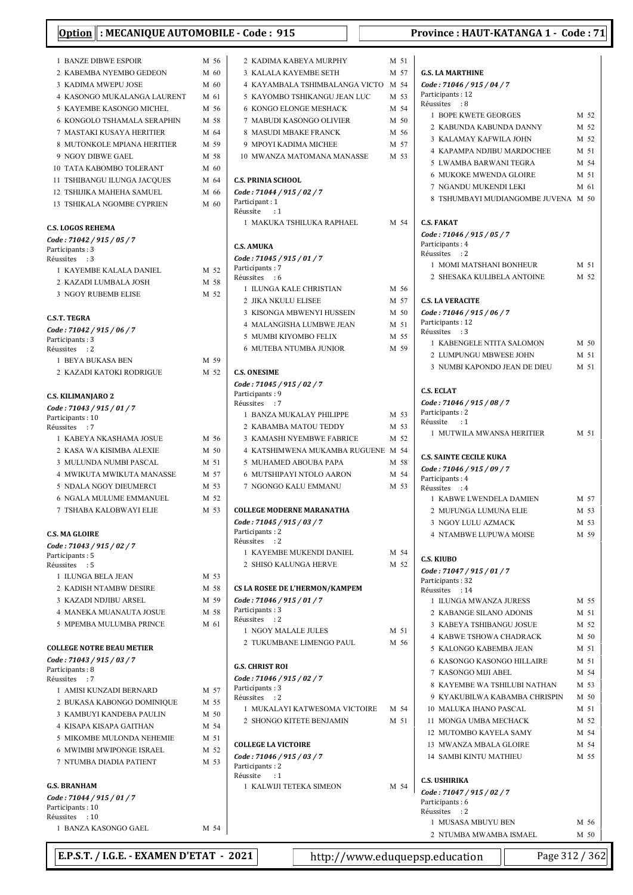|                                               | <u> Option</u>   : MECANIQUE AUTOMOBILE - C |      |                      |
|-----------------------------------------------|---------------------------------------------|------|----------------------|
|                                               | <b>1 BANZE DIBWE ESPOIR</b>                 | M 56 | $\overline{c}$       |
|                                               | 2 KABEMBA NYEMBO GEDEON                     | M 60 | 3                    |
|                                               | 3 KADIMA MWEPU JOSE                         | M 60 | 4                    |
|                                               | 4 KASONGO MUKALANGA LAURENT                 | M 61 | 5                    |
|                                               | 5 KAYEMBE KASONGO MICHEL                    | M 56 | 6                    |
|                                               | <b>6 KONGOLO TSHAMALA SERAPHIN</b>          | M 58 | $\overline{7}$       |
|                                               |                                             |      |                      |
|                                               | 7 MASTAKI KUSAYA HERITIER                   | M 64 | 8                    |
|                                               | 8 MUTONKOLE MPIANA HERITIER                 | M 59 | 9                    |
| 9 NGOY DIBWE GAEL                             |                                             | M 58 | 10                   |
|                                               | <b>10 TATA KABOMBO TOLERANT</b>             | M 60 |                      |
|                                               | 11 TSHIBANGU ILUNGA JACQUES                 | M 64 | C.S.                 |
|                                               | 12 TSHIJIKA MAHEHA SAMUEL                   | M 66 | Cod                  |
|                                               | 13 TSHIKALA NGOMBE CYPRIEN                  | M 60 | Part<br>Réu:         |
|                                               |                                             |      | 1                    |
| <b>C.S. LOGOS REHEMA</b>                      |                                             |      |                      |
| Code: 71042 / 915 / 05 / 7                    |                                             |      | C.S.                 |
| Participants: 3<br>Réussites : 3              |                                             |      | Cod                  |
|                                               | 1 KAYEMBE KALALA DANIEL                     | M 52 | Part                 |
|                                               | 2 KAZADI LUMBALA JOSH                       | M 58 | Réu:                 |
|                                               | <b>3 NGOY RUBEMB ELISE</b>                  |      | 1                    |
|                                               |                                             | M 52 | $\overline{c}$       |
|                                               |                                             |      | 3                    |
| <b>C.S.T. TEGRA</b>                           |                                             |      | $\overline{4}$       |
| Code: 71042 / 915 / 06 / 7<br>Participants: 3 |                                             |      | 5                    |
| Réussites : 2                                 |                                             |      | 6                    |
| 1 BEYA BUKASA BEN                             |                                             | M 59 |                      |
|                                               | 2 KAZADI KATOKI RODRIGUE                    | M 52 | C.S.                 |
|                                               |                                             |      | Cod                  |
| <b>C.S. KILIMANJARO 2</b>                     |                                             |      | Part                 |
| Code: 71043 / 915 / 01 / 7                    |                                             |      | Réu:                 |
| Participants: 10                              |                                             |      | 1                    |
| Réussites<br>$\cdot$ : 7                      |                                             |      | $\overline{c}$       |
|                                               | 1 KABEYA NKASHAMA JOSUE                     | M 56 | 3                    |
|                                               | 2 KASA WA KISIMBA ALEXIE                    | M 50 | 4                    |
|                                               | 3 MULUNDA NUMBI PASCAL                      | M 51 | 5                    |
|                                               | <b>4 MWIKUTA MWIKUTA MANASSE</b>            | M 57 | 6                    |
|                                               | 5 NDALA NGOY DIEUMERCI                      | M 53 | 7                    |
|                                               | <b>6 NGALA MULUME EMMANUEL</b>              | M 52 |                      |
|                                               | 7 TSHABA KALOBWAYI ELIE                     | M 53 | COL                  |
|                                               |                                             |      | Cod                  |
| <b>C.S. MA GLOIRE</b>                         |                                             |      | Part                 |
| Code: 71043 / 915 / 02 / 7                    |                                             |      | Réu:                 |
| Participants: 5                               |                                             |      | 1                    |
| Réussites : 5                                 |                                             |      | $\overline{c}$       |
| 1 ILUNGA BELA JEAN                            |                                             | M 53 |                      |
|                                               | 2 KADISH NTAMBW DESIRE                      | M 58 | CS L                 |
|                                               | 3 KAZADI NDJIBU ARSEL                       | M 59 | Cod                  |
|                                               | 4 MANEKA MUANAUTA JOSUE                     | M 58 | Part                 |
|                                               | 5 MPEMBA MULUMBA PRINCE                     | M 61 | Réu:<br>$\mathbf{1}$ |
|                                               |                                             |      |                      |
|                                               | <b>COLLEGE NOTRE BEAU METIER</b>            |      | $\overline{c}$       |
| Code: 71043 / 915 / 03 / 7                    |                                             |      |                      |
| Participants: 8                               |                                             |      | G.S.                 |
| Réussites : 7                                 |                                             |      | Cod<br>Part          |
|                                               | 1 AMISI KUNZADI BERNARD                     | M 57 | Réu:                 |
|                                               | 2 BUKASA KABONGO DOMINIQUE                  | M 55 | 1                    |
|                                               | 3 KAMBUYI KANDEBA PAULIN                    | M 50 | $\overline{c}$       |
|                                               | 4 KISAPA KISAPA GAITHAN                     | M 54 |                      |
|                                               | 5 MIKOMBE MULONDA NEHEMIE                   | M 51 | COL                  |
|                                               | 6 MWIMBI MWIPONGE ISRAEL                    | M 52 | Cod                  |
|                                               | 7 NTUMBA DIADIA PATIENT                     | M 53 | Part                 |
|                                               |                                             |      | Réu:                 |
| <b>G.S. BRANHAM</b>                           |                                             |      | 1                    |
| Code: 71044 / 915 / 01 / 7                    |                                             |      |                      |
| Participants: 10                              |                                             |      |                      |
| Réussites : 10                                |                                             | M 54 |                      |
|                                               | 1 BANZA KASONGO GAEL                        |      |                      |

| <b>3 KALALA KAYEMBE SETH</b>                  |      | M 57 |
|-----------------------------------------------|------|------|
| 4 KAYAMBALA TSHIMBALANGA VICTO                | M 54 |      |
| 5 KAYOMBO TSHIKANGU JEAN LUC                  | M 53 |      |
| <b>6 KONGO ELONGE MESHACK</b>                 |      | M 54 |
| 7 MABUDI KASONGO OLIVIER                      |      |      |
|                                               |      | M 50 |
| 8 MASUDI MBAKE FRANCK                         |      | M 56 |
| 9 MPOYI KADIMA MICHEE                         |      | M 57 |
| 10 MWANZA MATOMANA MANASSE                    | M 53 |      |
| <b>C.S. PRINIA SCHOOL</b>                     |      |      |
| Code: 71044 / 915 / 02 / 7                    |      |      |
| Participant: 1                                |      |      |
| Réussite : 1<br>1 MAKUKA TSHILUKA RAPHAEL     |      | M 54 |
| <b>C.S. AMUKA</b>                             |      |      |
|                                               |      |      |
| Code: 71045 / 915 / 01 / 7<br>Participants: 7 |      |      |
| Réussites : 6                                 |      |      |
| 1 ILUNGA KALE CHRISTIAN                       |      | M 56 |
| 2 JIKA NKULU ELISEE                           |      | M 57 |
| 3 KISONGA MBWENYI HUSSEIN                     |      | M 50 |
| <b>4 MALANGISHA LUMBWE JEAN</b>               |      | M 51 |
| 5 MUMBI KIYOMBO FELIX                         |      | M 55 |
|                                               |      |      |
| 6 MUTEBA NTUMBA JUNIOR                        |      | M 59 |
| <b>C.S. ONESIME</b>                           |      |      |
| Code: 71045 / 915 / 02 / 7                    |      |      |
| Participants: 9<br>Réussites : 7              |      |      |
| 1 BANZA MUKALAY PHILIPPE                      |      | M 53 |
| 2 KABAMBA MATOU TEDDY                         |      | M 53 |
| 3 KAMASHI NYEMBWE FABRICE                     |      | M 52 |
| 4 KATSHIMWENA MUKAMBA RUGUENE M 54            |      |      |
|                                               |      | M 58 |
| 5 MUHAMED ABOUBA PAPA                         |      |      |
| 6 MUTSHIPAYI NTOLO AARON                      |      | M 54 |
| 7 NGONGO KALU EMMANU                          |      | M 53 |
| <b>COLLEGE MODERNE MARANATHA</b>              |      |      |
| Code: 71045 / 915 / 03 / 7<br>Participants: 2 |      |      |
| Réussites : 2                                 |      |      |
| 1 KAYEMBE MUKENDI DANIEL                      |      | M 54 |
| 2 SHISO KALUNGA HERVE                         |      | M 52 |
|                                               |      |      |
| CS LA ROSEE DE L'HERMON/KAMPEM                |      |      |
| Code: 71046 / 915 / 01 / 7                    |      |      |
| Participants: 3<br>Réussites : 2              |      |      |
| 1 NGOY MALALE JULES                           |      | M 51 |
| 2 TUKUMBANE LIMENGO PAUL                      |      | M 56 |
|                                               |      |      |
| <b>G.S. CHRIST ROI</b>                        |      |      |
| Code: 71046 / 915 / 02 / 7                    |      |      |
| Participants: 3                               |      |      |
| Réussites : 2                                 |      |      |
| 1 MUKALAYI KATWESOMA VICTOIRE                 | M 54 |      |
| 2 SHONGO KITETE BENJAMIN                      |      | M 51 |
| <b>COLLEGE LA VICTOIRE</b>                    |      |      |
| Code: 71046 / 915 / 03 / 7                    |      |      |
| Participants: 2                               |      |      |
| Réussite : 1                                  |      |      |
| 1 KALWIJI TETEKA SIMEON                       |      | M 54 |
|                                               |      |      |
|                                               |      |      |
|                                               |      |      |

 $\overline{\phantom{a}}$ 

| 1 BANZE DIBWE ESPOIR                     | M 56         | 2 KADIMA KABEYA MURPHY                        | M 51 |                                                |                |
|------------------------------------------|--------------|-----------------------------------------------|------|------------------------------------------------|----------------|
| 2 KABEMBA NYEMBO GEDEON                  | M 60         | 3 KALALA KAYEMBE SETH                         | M 57 | <b>G.S. LA MARTHINE</b>                        |                |
| 3 KADIMA MWEPU JOSE                      | M 60         | 4 KAYAMBALA TSHIMBALANGA VICTO                | M 54 | Code: 71046 / 915 / 04 / 7                     |                |
| 4 KASONGO MUKALANGA LAURENT              | M 61         | 5 KAYOMBO TSHIKANGU JEAN LUC                  | M 53 | Participants: 12                               |                |
| 5 KAYEMBE KASONGO MICHEL                 | M 56         | 6 KONGO ELONGE MESHACK                        | M 54 | Réussites : 8                                  |                |
| 6 KONGOLO TSHAMALA SERAPHIN              | M 58         | 7 MABUDI KASONGO OLIVIER                      | M 50 | 1 BOPE KWETE GEORGES                           | M 52           |
| 7 MASTAKI KUSAYA HERITIER                | M 64         | 8 MASUDI MBAKE FRANCK                         | M 56 | 2 KABUNDA KABUNDA DANNY                        | M 52           |
| 8 MUTONKOLE MPIANA HERITIER              | M 59         | 9 MPOYI KADIMA MICHEE                         | M 57 | 3 KALAMAY KAFWILA JOHN                         | M 52           |
| 9 NGOY DIBWE GAEL                        | M 58         | 10 MWANZA MATOMANA MANASSE                    | M 53 | 4 KAPAMPA NDJIBU MARDOCHEE                     | M 51           |
| 10 TATA KABOMBO TOLERANT                 | M 60         |                                               |      | 5 LWAMBA BARWANI TEGRA                         | M 54           |
| 11 TSHIBANGU ILUNGA JACQUES              | M 64         | <b>C.S. PRINIA SCHOOL</b>                     |      | 6 MUKOKE MWENDA GLOIRE                         | M 51           |
| 12 TSHIJIKA MAHEHA SAMUEL                | M 66         | Code: 71044 / 915 / 02 / 7                    |      | 7 NGANDU MUKENDI LEKI                          | M 61           |
| 13 TSHIKALA NGOMBE CYPRIEN               | M 60         | Participant: 1<br>Réussite<br>$\cdot$ :1      |      | 8 TSHUMBAYI MUDIANGOMBE JUVENA M 50            |                |
| S. LOGOS REHEMA                          |              | 1 MAKUKA TSHILUKA RAPHAEL                     | M 54 | <b>C.S. FAKAT</b>                              |                |
| de : 71042 / 915 / 05 / 7                |              |                                               |      | Code: 71046 / 915 / 05 / 7                     |                |
| rticipants: 3                            |              | <b>C.S. AMUKA</b>                             |      | Participants: 4<br>Réussites : 2               |                |
| ussites : 3                              |              | Code: 71045 / 915 / 01 / 7                    |      | 1 MOMI MATSHANI BONHEUR                        | M 51           |
| 1 KAYEMBE KALALA DANIEL                  | M 52         | Participants: 7                               |      | 2 SHESAKA KULIBELA ANTOINE                     | M 52           |
| 2 KAZADI LUMBALA JOSH                    | M 58         | Réussites : 6                                 |      |                                                |                |
| 3 NGOY RUBEMB ELISE                      | M 52         | 1 ILUNGA KALE CHRISTIAN                       | M 56 |                                                |                |
|                                          |              | 2 JIKA NKULU ELISEE                           | M 57 | <b>C.S. LA VERACITE</b>                        |                |
| S.T. TEGRA                               |              | 3 KISONGA MBWENYI HUSSEIN                     | M 50 | Code: 71046 / 915 / 06 / 7<br>Participants: 12 |                |
| de : 71042 / 915 / 06 / 7                |              | 4 MALANGISHA LUMBWE JEAN                      | M 51 | Réussites : 3                                  |                |
| rticipants: 3                            |              | 5 MUMBI KIYOMBO FELIX                         | M 55 | 1 KABENGELE NTITA SALOMON                      | M 50           |
| ussites : 2                              |              | <b>6 MUTEBA NTUMBA JUNIOR</b>                 | M 59 | 2 LUMPUNGU MBWESE JOHN                         | M 51           |
| 1 BEYA BUKASA BEN                        | M 59         |                                               |      | 3 NUMBI KAPONDO JEAN DE DIEU                   | M 51           |
| 2 KAZADI KATOKI RODRIGUE                 | M 52         | <b>C.S. ONESIME</b>                           |      |                                                |                |
|                                          |              | Code: 71045 / 915 / 02 / 7                    |      | <b>C.S. ECLAT</b>                              |                |
| S. KILIMANJARO 2                         |              | Participants: 9                               |      |                                                |                |
| de : 71043 / 915 / 01 / 7                |              | Réussites : 7                                 |      | Code: 71046 / 915 / 08 / 7<br>Participants: 2  |                |
| rticipants: 10                           |              | 1 BANZA MUKALAY PHILIPPE                      | M 53 | Réussite : 1                                   |                |
| ussites : 7                              |              | 2 KABAMBA MATOU TEDDY                         | M 53 | 1 MUTWILA MWANSA HERITIER                      | M 51           |
| 1 KABEYA NKASHAMA JOSUE                  | M 56         | 3 KAMASHI NYEMBWE FABRICE                     | M 52 |                                                |                |
| 2 KASA WA KISIMBA ALEXIE                 | M 50         | 4 KATSHIMWENA MUKAMBA RUGUENE M 54            |      | <b>C.S. SAINTE CECILE KUKA</b>                 |                |
| 3 MULUNDA NUMBI PASCAL                   | M 51         | 5 MUHAMED ABOUBA PAPA                         | M 58 | Code: 71046 / 915 / 09 / 7                     |                |
| 4 MWIKUTA MWIKUTA MANASSE                | M 57         | 6 MUTSHIPAYI NTOLO AARON                      | M 54 | Participants: 4                                |                |
| 5 NDALA NGOY DIEUMERCI                   | M 53         | 7 NGONGO KALU EMMANU                          | M 53 | Réussites : 4                                  |                |
| 6 NGALA MULUME EMMANUEL                  | M 52         |                                               |      | 1 KABWE LWENDELA DAMIEN                        | M 57           |
| 7 TSHABA KALOBWAYI ELIE                  | M 53         | <b>COLLEGE MODERNE MARANATHA</b>              |      | 2 MUFUNGA LUMUNA ELIE                          | M 53           |
|                                          |              | Code: 71045 / 915 / 03 / 7                    |      | 3 NGOY LULU AZMACK                             | M 53           |
| S. MA GLOIRE                             |              | Participants: 2                               |      | 4 NTAMBWE LUPUWA MOISE                         | M 59           |
| de : 71043 / 915 / 02 / 7                |              | Réussites : 2<br>1 KAYEMBE MUKENDI DANIEL     | M 54 |                                                |                |
| rticipants : 5                           |              |                                               |      | <b>C.S. KIUBO</b>                              |                |
| ussites : 5                              |              | 2 SHISO KALUNGA HERVE                         | M 52 | Code: 71047 / 915 / 01 / 7                     |                |
| 1 ILUNGA BELA JEAN                       | M 53         |                                               |      | Participants: 32                               |                |
| 2 KADISH NTAMBW DESIRE                   | M 58         | <b>CS LA ROSEE DE L'HERMON/KAMPEM</b>         |      | Réussites : 14                                 |                |
| 3 KAZADI NDJIBU ARSEL                    | M 59         | Code: 71046 / 915 / 01 / 7<br>Participants: 3 |      | 1 ILUNGA MWANZA JURESS                         | M 55           |
| 4 MANEKA MUANAUTA JOSUE                  | M 58         | Réussites : 2                                 |      | 2 KABANGE SILANO ADONIS                        | M 51           |
| 5 MPEMBA MULUMBA PRINCE                  | M 61         | 1 NGOY MALALE JULES                           | M 51 | 3 KABEYA TSHIBANGU JOSUE                       | M 52           |
|                                          |              | 2 TUKUMBANE LIMENGO PAUL                      | M 56 | 4 KABWE TSHOWA CHADRACK                        | M 50           |
| <b>)LLEGE NOTRE BEAU METIER</b>          |              |                                               |      | 5 KALONGO KABEMBA JEAN                         | M 51           |
| de: 71043 / 915 / 03 / 7                 |              | <b>G.S. CHRIST ROI</b>                        |      | 6 KASONGO KASONGO HILLAIRE                     | M 51           |
| rticipants: 8<br>ussites : 7             |              | Code: 71046 / 915 / 02 / 7                    |      | 7 KASONGO MIJI ABEL                            | M 54           |
| 1 AMISI KUNZADI BERNARD                  | M 57         | Participants: 3                               |      | 8 KAYEMBE WA TSHILUBI NATHAN                   | M 53           |
|                                          |              | Réussites : 2                                 |      | 9 KYAKUBILWA KABAMBA CHRISPIN                  | M 50           |
| 2 BUKASA KABONGO DOMINIQUE               | M 55<br>M 50 | 1 MUKALAYI KATWESOMA VICTOIRE                 | M 54 | 10 MALUKA IHANO PASCAL                         | M 51           |
| 3 KAMBUYI KANDEBA PAULIN                 |              | 2 SHONGO KITETE BENJAMIN                      | M 51 | 11 MONGA UMBA MECHACK                          | M 52           |
| 4 KISAPA KISAPA GAITHAN                  | M 54         |                                               |      | 12 MUTOMBO KAYELA SAMY                         | M 54           |
| 5 MIKOMBE MULONDA NEHEMIE                | M 51         | <b>COLLEGE LA VICTOIRE</b>                    |      | 13 MWANZA MBALA GLOIRE                         | M 54           |
| 6 MWIMBI MWIPONGE ISRAEL                 | M 52         | Code: 71046 / 915 / 03 / 7                    |      | <b>14 SAMBI KINTU MATHIEU</b>                  | M 55           |
| 7 NTUMBA DIADIA PATIENT                  | M 53         | Participants: 2                               |      |                                                |                |
|                                          |              | Réussite<br>$\cdot$ :1                        |      | <b>C.S. USHIRIKA</b>                           |                |
| S. BRANHAM                               |              | 1 KALWIJI TETEKA SIMEON                       | M 54 | Code: 71047 / 915 / 02 / 7                     |                |
| de : 71044 / 915 / 01 / 7                |              |                                               |      | Participants: 6                                |                |
| rticipants : 10<br>ussites : 10          |              |                                               |      | Réussites : 2                                  |                |
| 1 BANZA KASONGO GAEL                     | M 54         |                                               |      | 1 MUSASA MBUYU BEN                             | M 56           |
|                                          |              |                                               |      | 2 NTUMBA MWAMBA ISMAEL                         | M 50           |
|                                          |              |                                               |      |                                                |                |
| E.P.S.T. / I.G.E. - EXAMEN D'ETAT - 2021 |              | http://www.eduquepsp.education                |      |                                                | Page 312 / 362 |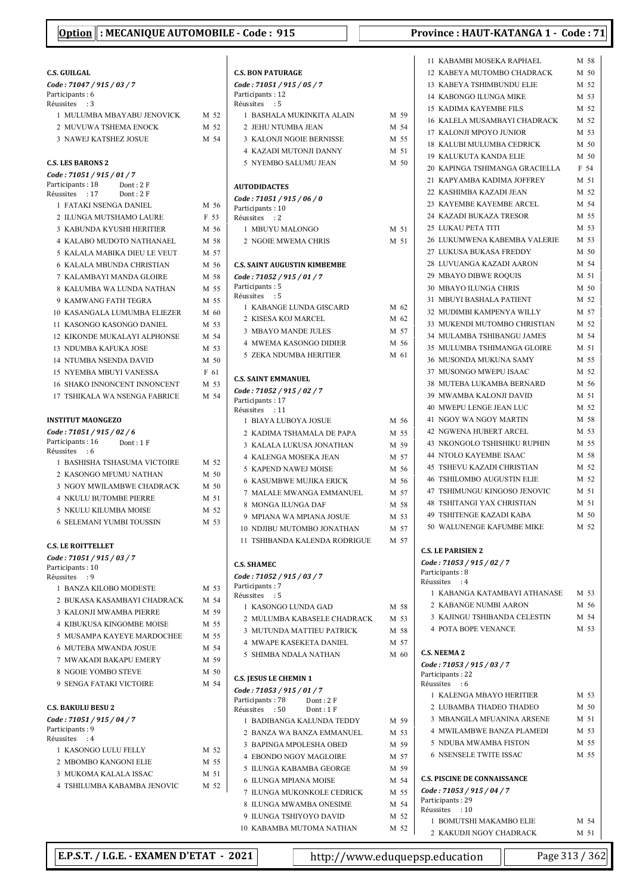#### C.S. GUILGAL Code : 71047 / 915 / 03 / 7 Participants: 6 Réussites : 3 1 MULUMBA MBAYABU JENOVICK M 52 2 MUVUWA TSHEMA ENOCK M 52 3 NAWEJ KATSHEZ JOSUE  $M$  54 C.S. LES BARONS 2 Code : 71051 / 915 / 01 / 7 Participants: 18 Dont: 2 F<br>Réussites : 17 Dont: 2 F Réussites : 17 1 FATAKI NSENGA DANIEL  $M$  56 2 ILUNGA MUTSHAMO LAURE F 53 3 KABUNDA KYUSHI HERITIER M 56 4 KALABO MUDOTO NATHANAEL M 58 5 KALALA MABIKA DIEU LE VEUT M 57 6 KALALA MBUNDA CHRISTIAN  $M$  56 7 KALAMBAYI MANDA GLOIRE M 58 8 KALUMBA WA LUNDA NATHAN M 55 9 KAMWANG FATH TEGRA M 55 10 KASANGALA LUMUMBA ELIEZER M 60 11 KASONGO KASONGO DANIEL M 53 12 KIKONDE MUKALAYI ALPHONSE M 54 13 NDUMBA KAFUKA JOSE M 53 14 NTUMBA NSENDA DAVID M 50 15 NYEMBA MBUYI VANESSA F 61 16 SHAKO INNONCENT INNONCENT M 53 17 TSHIKALA WA NSENGA FABRICE  $M$  54 INSTITUT MAONGEZO Code : 71051 / 915 / 02 / 6 Participants: 16 Dont: 1 F Réussites : 6 1 BASHISHA TSHASUMA VICTOIRE M 52 2 KASONGO MFUMU NATHAN M 50 3 NGOY MWILAMBWE CHADRACK M 50 4 NKULU BUTOMBE PIERRE M 51 5 NKULU KILUMBA MOISE M 52 6 SELEMANI YUMBI TOUSSIN M 53 C.S. LE ROITTELLET Code : 71051 / 915 / 03 / 7 Particinants: 10 Réussites : 9 1 BANZA KILOBO MODESTE M 53 2 BUKASA KASAMBAYI CHADRACK M 54 3 KALONJI MWAMBA PIERRE M 59 4 KIBUKUSA KINGOMBE MOISE M 55 5 MUSAMPA KAYEYE MARDOCHEE M 55 6 MUTEBA MWANDA JOSUE M 54 7 MWAKADI BAKAPU EMERY M 59 8 NGOIE YOMBO STEVE M 50 9 SENGA FATAKI VICTOIRE M 54 C.S. BAKULU BESU 2 Code : 71051 / 915 / 04 / 7 Particinants : 9 Réussites : 4 1 KASONGO LULU FELLY M 52 2 MBOMBO KANGONI ELIE M 55 3 MUKOMA KALALA ISSAC M 51 4 TSHILUMBA KABAMBA JENOVIC M 52

|                          | <b>C.S. BON PATURAGE</b>                                    |                 |
|--------------------------|-------------------------------------------------------------|-----------------|
|                          | Code: 71051 / 915 / 05 / 7                                  |                 |
|                          | Participants: 12<br>Réussites : 5                           |                 |
|                          | 1 BASHALA MUKINKITA ALAIN                                   | M 59            |
|                          | 2 JEHU NTUMBA JEAN                                          | M 54            |
|                          | 3 KALONJI NGOIE BERNISSE                                    | M 55            |
|                          | <b>4 KAZADI MUTONJI DANNY</b>                               | M 51            |
|                          | 5 NYEMBO SALUMU JEAN                                        | M <sub>50</sub> |
|                          |                                                             |                 |
|                          | <b>AUTODIDACTES</b>                                         |                 |
| ,                        | Code: 71051 / 915 / 06 / 0                                  |                 |
|                          | Participants: 10<br>Réussites : 2                           |                 |
| 5                        | 1 MBUYU MALONGO                                             | M 51            |
| i                        | 2 NGOIE MWEMA CHRIS                                         | M 51            |
|                          |                                                             |                 |
| 5                        | <b>C.S. SAINT AUGUSTIN KIMBEMBE</b>                         |                 |
| š                        | Code: 71052 / 915 / 01 / 7<br>Participants: 5               |                 |
|                          | Réussites : 5                                               |                 |
|                          | 1 KABANGE LUNDA GISCARD                                     | M 62            |
| )                        | 2 KISESA KOJ MARCEL                                         | M 62            |
|                          | <b>3 MBAYO MANDE JULES</b>                                  | M 57            |
|                          | <b>4 MWEMA KASONGO DIDIER</b>                               | M 56            |
| $\overline{\phantom{0}}$ | <b>5 ZEKA NDUMBA HERITIER</b>                               | M 61            |
|                          |                                                             |                 |
|                          | <b>C.S. SAINT EMMANUEL</b>                                  |                 |
|                          | Code: 71052 / 915 / 02 / 7<br>Participants: 17              |                 |
|                          | Réussites : 11                                              |                 |
|                          | 1 BIAYA LUBOYA JOSUE                                        | M 56            |
|                          | 2 KADIMA TSHAMALA DE PAPA                                   | M 55            |
|                          | 3 KALALA LUKUSA JONATHAN                                    | M 59            |
|                          | <b>4 KALENGA MOSEKA JEAN</b>                                | M 57            |
|                          | 5 KAPEND NAWEJ MOISE                                        | M 56            |
| ١                        | <b>6 KASUMBWE MUJIKA ERICK</b>                              | M 56            |
|                          | 7 MALALE MWANGA EMMANUEL                                    | M 57            |
|                          | 8 MONGA ILUNGA DAF                                          | M 58            |
|                          | 9 MPIANA WA MPIANA JOSUE                                    | M 53<br>M 57    |
|                          | 10 NDJIBU MUTOMBO JONATHAN<br>11 TSHIBANDA KALENDA RODRIGUE | M 57            |
|                          |                                                             |                 |
|                          | <b>C.S. SHAMEC</b>                                          |                 |
|                          | Code: 71052 / 915 / 03 / 7                                  |                 |
|                          | Participants: 7<br>Réussites : 5                            |                 |
|                          | 1 KASONGO LUNDA GAD                                         | M 58            |
|                          | 2 MULUMBA KABASELE CHADRACK                                 | M 53            |
|                          | 3 MUTUNDA MATTIEU PATRICK                                   | M 58            |
|                          | <b>4 MWAPE KASEKETA DANIEL</b>                              | M 57            |
|                          | <b>5 SHIMBA NDALA NATHAN</b>                                | M 60            |
|                          |                                                             |                 |
|                          | <b>C.S. JESUS LE CHEMIN 1</b>                               |                 |
|                          | Code: 71053 / 915 / 01 / 7                                  |                 |
|                          | Participants: 78<br>Dont: 2F<br>Dont: 1F<br>Réussites : 50  |                 |
|                          | 1 BADIBANGA KALUNDA TEDDY                                   | M 59            |
|                          | 2 BANZA WA BANZA EMMANUEL                                   | M 53            |
|                          | 3 BAPINGA MPOLESHA OBED                                     | M 59            |
|                          | 4 EBONDO NGOY MAGLOIRE                                      | M 57            |
|                          | 5 ILUNGA KABAMBA GEORGE                                     | M 59            |
|                          | <b>6 ILUNGA MPIANA MOISE</b>                                | M 54            |
|                          | 7 ILUNGA MUKONKOLE CEDRICK                                  | M 55            |
|                          | 8 ILUNGA MWAMBA ONESIME                                     | M 54            |
|                          | 9 ILUNGA TSHIYOYO DAVID                                     | M 52            |
|                          | 10 KABAMBA MUTOMA NATHAN                                    | M 52            |

| 11 KABAMBI MOSEKA RAPHAEL M 58                                                         |                 |
|----------------------------------------------------------------------------------------|-----------------|
| 12 KABEYA MUTOMBO CHADRACK                                                             | M 50            |
| 13 KABEYA TSHIMBUNDU ELIE                                                              | M 52            |
| 14 KABONGO ILUNGA MIKE                                                                 | M 53            |
| <b>15 KADIMA KAYEMBE FILS</b>                                                          | M 52            |
| 16 KALELA MUSAMBAYI CHADRACK                                                           | M 52            |
| 17 KALONJI MPOYO JUNIOR                                                                | M 53            |
| 18 KALUBI MULUMBA CEDRICK                                                              | M 50            |
| <b>19 KALUKUTA KANDA ELIE</b>                                                          | M 50            |
| 20 KAPINGA TSHIMANGA GRACIELLA                                                         | F 54            |
| 21 KAPYAMBA KADIMA JOFFREY                                                             | M 51            |
| 22 KASHIMBA KAZADI JEAN                                                                | M 52            |
| 23 KAYEMBE KAYEMBE ARCEL                                                               | M 54            |
|                                                                                        | M 55            |
| 24 KAZADI BUKAZA TRESOR                                                                |                 |
| <b>25 LUKAU PETA TITI</b>                                                              | M 53            |
| 26 LUKUMWENA KABEMBA VALERIE M 53                                                      |                 |
| 27 LUKUSA BUKASA FREDDY                                                                | M 50            |
| 28 LUVUANGA KAZADI AARON                                                               | M 54            |
|                                                                                        | M 51            |
|                                                                                        | M <sub>50</sub> |
|                                                                                        | M 52            |
| 32 MUDIMBI KAMPENYA WILLY                                                              | M 57            |
| 33 MUKENDI MUTOMBO CHRISTIAN                                                           | M 52            |
| <b>34 MULAMBA TSHIBANGU JAMES</b>                                                      | M 54            |
| 35 MULUMBA TSHIMANGA GLOIRE                                                            | M 51            |
| 36 MUSONDA MUKUNA SAMY                                                                 | M 55            |
| 37 MUSONGO MWEPU ISAAC                                                                 | M 52            |
| 38 MUTEBA LUKAMBA BERNARD                                                              | M 56            |
| 39 MWAMBA KALONJI DAVID                                                                | M 51            |
| 40 MWEPU LENGE JEAN LUC                                                                | M 52            |
| 41 NGOY WA NGOY MARTIN                                                                 | M 58            |
| 42 NGWENA HUBERT ARCEL                                                                 | M 53            |
| 43 NKONGOLO TSHISHIKU RUPHIN                                                           | M 55            |
| <b>44 NTOLO KAYEMBE ISAAC</b>                                                          | M 58            |
| 45 TSHEVU KAZADI CHRISTIAN                                                             | M 52            |
| 46 TSHILOMBO AUGUSTIN ELIE                                                             | M 52            |
|                                                                                        | M 51            |
|                                                                                        | M 51            |
| 47 TSHIMUNGU KINGOSO JENOVIC<br>48 TSHITANGI YAX CHRISTIAN<br>49 TSHITENGE KAZADI KABA |                 |
|                                                                                        | M 50            |
| 50 WALUNENGE KAFUMBE MIKE                                                              | M 52            |
|                                                                                        |                 |
| <b>C.S. LE PARISIEN 2</b>                                                              |                 |
| Code: 71053 / 915 / 02 / 7<br>Participants: 8                                          |                 |
| Réussites<br>$\cdot$ :4                                                                |                 |
| 1 KABANGA KATAMBAYI ATHANASE                                                           | M 53            |
| 2 KABANGE NUMBI AARON                                                                  | M 56            |
| 3 KAJINGU TSHIBANDA CELESTIN                                                           | M 54            |
| <b>4 POTA BOPE VENANCE</b>                                                             | M 53            |
|                                                                                        |                 |
| <b>C.S. NEEMA 2</b>                                                                    |                 |
| Code: 71053 / 915 / 03 / 7                                                             |                 |
| Participants: 22                                                                       |                 |
| Réussites<br>:6                                                                        |                 |
| 1 KALENGA MBAYO HERITIER                                                               | M 53            |
| 2 LUBAMBA THADEO THADEO                                                                | M <sub>50</sub> |
| 3 MBANGILA MFUANINA ARSENE                                                             | M 51            |
| 4 MWILAMBWE BANZA PLAMEDI                                                              | M 53            |
| 5 NDUBA MWAMBA FISTON                                                                  | M 55            |
| <b>6 NSENSELE TWITE ISSAC</b>                                                          | M 55            |
|                                                                                        |                 |
| <b>C.S. PISCINE DE CONNAISSANCE</b>                                                    |                 |
| Code: 71053 / 915 / 04 / 7                                                             |                 |
| Participants: 29                                                                       |                 |
| Réussites : 10                                                                         |                 |
| 1 BOMUTSHI MAKAMBO ELIE                                                                | M 54            |
| 2  KAKUDJI NGOY CHADRACK                                                               | M 51            |

E.P.S.T. / I.G.E. - EXAMEN D'ETAT - 2021 http://www.eduquepsp.education  $\parallel$  Page 313 / 362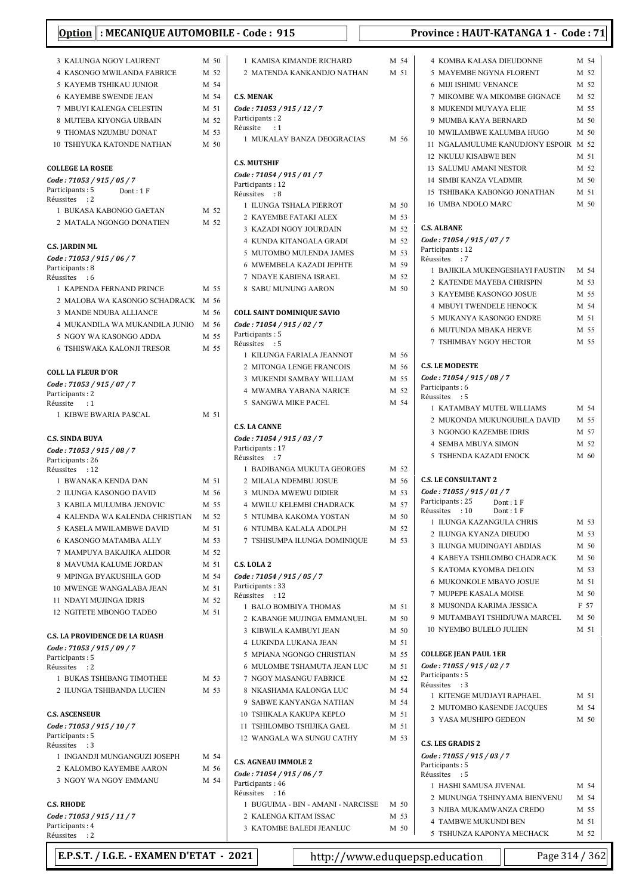| : MECANIQUE AUTOMOBILE - Code : 915<br><u>Option</u>    |                 |                                                                    |              |
|---------------------------------------------------------|-----------------|--------------------------------------------------------------------|--------------|
| 3 KALUNGA NGOY LAURENT                                  | M 50            | 1 KAMISA KIMANDE RICHARD                                           | M 54         |
| 4 KASONGO MWILANDA FABRICE                              | M 52            | 2 MATENDA KANKANDJO NATHAN                                         | M 51         |
| 5 KAYEMB TSHIKAU JUNIOR                                 | M 54            |                                                                    |              |
| <b>6 KAYEMBE SWENDE JEAN</b>                            | M 54            | <b>C.S. MENAK</b>                                                  |              |
| 7 MBUYI KALENGA CELESTIN                                | M 51            | Code: 71053 / 915 / 12 / 7                                         |              |
| 8 MUTEBA KIYONGA URBAIN                                 | M 52            | Participants: 2<br>Réussite<br>$\cdot$ 1                           |              |
| 9 THOMAS NZUMBU DONAT                                   | M 53            | 1 MUKALAY BANZA DEOGRACIAS                                         | M 56         |
| <b>10 TSHIYUKA KATONDE NATHAN</b>                       | M <sub>50</sub> |                                                                    |              |
| <b>COLLEGE LA ROSEE</b>                                 |                 | <b>C.S. MUTSHIF</b><br>Code: 71054 / 915 / 01 / 7                  |              |
| Code: 71053 / 915 / 05 / 7                              |                 | Participants: 12                                                   |              |
| Participants: 5<br>Dont: 1F<br>Réussites<br>$\cdot$ : 2 |                 | Réussites<br>$\cdot$ 8                                             |              |
| 1 BUKASA KABONGO GAETAN                                 | M 52            | 1 ILUNGA TSHALA PIERROT                                            | M 50         |
| 2 MATALA NGONGO DONATIEN                                | M 52            | 2 KAYEMBE FATAKI ALEX                                              | M 53         |
|                                                         |                 | 3 KAZADI NGOY JOURDAIN                                             | M 52         |
| C.S. JARDIN ML                                          |                 | 4 KUNDA KITANGALA GRADI<br>5 MUTOMBO MULENDA JAMES                 | M 52         |
| Code: 71053 / 915 / 06 / 7                              |                 | <b>6 MWEMBELA KAZADI JEPHTE</b>                                    | M 53<br>M 59 |
| Participants: 8                                         |                 | 7 NDAYE KABIENA ISRAEL                                             | M 52         |
| Réussites : 6<br>1 KAPENDA FERNAND PRINCE               | M 55            | 8 SABU MUNUNG AARON                                                | M 50         |
| 2 MALOBA WA KASONGO SCHADRACK                           | M 56            |                                                                    |              |
| 3 MANDE NDUBA ALLIANCE                                  | M 56            | <b>COLL SAINT DOMINIQUE SAVIO</b>                                  |              |
| 4 MUKANDILA WA MUKANDILA JUNIO                          | M 56            | Code: 71054 / 915 / 02 / 7                                         |              |
| 5 NGOY WA KASONGO ADDA                                  | M 55            | Participants: 5                                                    |              |
| <b>6 TSHISWAKA KALONJI TRESOR</b>                       | M 55            | Réussites<br>$\cdot$ :5                                            |              |
|                                                         |                 | 1 KILUNGA FARIALA JEANNOT                                          | M 56         |
| <b>COLL LA FLEUR D'OR</b>                               |                 | 2 MITONGA LENGE FRANCOIS<br>3 MUKENDI SAMBAY WILLIAM               | M 56<br>M 55 |
| Code: 71053 / 915 / 07 / 7                              |                 | 4 MWAMBA YABANA NARICE                                             | M 52         |
| Participants: 2<br>Réussite<br>$\cdot$ :1               |                 | 5 SANGWA MIKE PACEL                                                | M 54         |
| 1 KIBWE BWARIA PASCAL                                   | M 51            |                                                                    |              |
|                                                         |                 | <b>C.S. LA CANNE</b>                                               |              |
| <b>C.S. SINDA BUYA</b>                                  |                 | Code: 71054 / 915 / 03 / 7                                         |              |
| Code: 71053 / 915 / 08 / 7                              |                 | Participants: 17                                                   |              |
| Participants: 26                                        |                 | Réussites<br>$\cdot$ : 7<br>1 BADIBANGA MUKUTA GEORGES             | M 52         |
| Réussites : 12<br>1 BWANAKA KENDA DAN                   | M 51            | 2 MILALA NDEMBU JOSUE                                              | M 56         |
| 2 ILUNGA KASONGO DAVID                                  | M 56            | 3 MUNDA MWEWU DIDIER                                               | M 53         |
| 3  KABILA MULUMBA JENOVIC                               | M 55            | 4 MWILU KELEMBI CHADRACK                                           | M 57         |
| 4  KALENDA WA KALENDA CHRISTIAN                         | M 52            | 5 NTUMBA KAKOMA YOSTAN                                             | M 50         |
| 5 KASELA MWILAMBWE DAVID                                | M 51            | 6 NTUMBA KALALA ADOLPH                                             | M 52         |
| 6 KASONGO MATAMBA ALLY                                  | M 53            | 7 TSHISUMPA ILUNGA DOMINIQUE                                       | M 53         |
| 7 MAMPUYA BAKAJIKA ALIDOR                               | M 52            |                                                                    |              |
| 8 MAVUMA KALUME JORDAN                                  | M 51            | C.S. LOLA 2                                                        |              |
| 9 MPINGA BYAKUSHILA GOD                                 | M 54            | Code: 71054 / 915 / 05 / 7                                         |              |
| 10 MWENGE WANGALABA JEAN                                | M 51            | Participants: 33<br>Réussites<br>: 12                              |              |
| 11 NDAYI MUJINGA IDRIS                                  | M 52            | 1 BALO BOMBIYA THOMAS                                              | M 51         |
| 12 NGITETE MBONGO TADEO                                 | M 51            | 2 KABANGE MUJINGA EMMANUEL                                         | M 50         |
|                                                         |                 | 3 KIBWILA KAMBUYI JEAN                                             | M 50         |
| <b>C.S. LA PROVIDENCE DE LA RUASH</b>                   |                 | 4 LUKINDA LUKANA JEAN                                              | M 51         |
| Code: 71053 / 915 / 09 / 7<br>Participants: 5           |                 | 5 MPIANA NGONGO CHRISTIAN                                          | M 55         |
| Réussites : 2                                           |                 | 6 MULOMBE TSHAMUTA JEAN LUC                                        | M 51         |
| 1 BUKAS TSHIBANG TIMOTHEE                               | M 53            | 7 NGOY MASANGU FABRICE                                             | M 52         |
| 2 ILUNGA TSHIBANDA LUCIEN                               | M 53            | 8 NKASHAMA KALONGA LUC                                             | M 54         |
|                                                         |                 | 9 SABWE KANYANGA NATHAN                                            | M 54         |
| <b>C.S. ASCENSEUR</b>                                   |                 | 10 TSHIKALA KAKUPA KEPLO                                           | M 51         |
| Code: 71053 / 915 / 10 / 7                              |                 | 11 TSHILOMBO TSHIJIKA GAEL                                         | M 51         |
| Participants: 5<br>Réussites<br>: 3                     |                 | 12 WANGALA WA SUNGU CATHY                                          | M 53         |
| 1 INGANDJI MUNGANGUZI JOSEPH                            | M 54            |                                                                    |              |
| 2 KALOMBO KAYEMBE AARON                                 | M 56            | <b>C.S. AGNEAU IMMOLE 2</b>                                        |              |
| 3 NGOY WA NGOY EMMANU                                   | M 54            | Code: 71054 / 915 / 06 / 7<br>Participants: 46<br>Réussites<br>:16 |              |
| <b>C.S. RHODE</b>                                       |                 | 1 BUGUIMA - BIN - AMANI - NARCISSE                                 | M 50         |
| Code: 71053 / 915 / 11 / 7                              |                 | 2 KALENGA KITAM ISSAC                                              | M 53         |
| Participants: 4<br>Réussites : 2                        |                 | 3 KATOMBE BALEDI JEANLUC                                           | M 50         |

### 5 MAYEMBE NGYNA FLORENT M 52 6 MIJI ISHIMU VENANCE M 52 7 MIKOMBE WA MIKOMBE GIGNACE M 52 8 MUKENDI MUYAYA ELIE M 55 9 MUMBA KAYA BERNARD M 50 10 MWILAMBWE KALUMBA HUGO M 50 11 NGALAMULUME KANUDJONY ESPOIR M 52 12 NKULU KISABWE BEN M 51 13 SALUMU AMANI NESTOR M 52 14 SIMBI KANZA VLADMIR M 50 15 TSHIBAKA KABONGO JONATHAN M 51 16 UMBA NDOLO MARC M 50 C.S. ALBANE Code : 71054 / 915 / 07 / 7 Participants: 12 Réussites : 7 1 BAJIKILA MUKENGESHAYI FAUSTIN M 54 2 KATENDE MAYEBA CHRISPIN M 53 3 KAYEMBE KASONGO JOSUE M 55 4 MBUYI TWENDELE HENOCK M 54 5 MUKANYA KASONGO ENDRE M 51 6 MUTUNDA MBAKA HERVE M 55 7 TSHIMBAY NGOY HECTOR M 55 C.S. LE MODESTE Code : 71054 / 915 / 08 / 7 Participants: 6 Réussites : 5 1 KATAMBAY MUTEL WILLIAMS M 54 2 MUKONDA MUKUNGUBILA DAVID M 55 3 NGONGO KAZEMBE IDRIS M 57 4 SEMBA MBUYA SIMON M 52 5 TSHENDA KAZADI ENOCK M 60

#### C.S. LE CONSULTANT 2

| ו התוכנוסטונים היו להי             |                 |
|------------------------------------|-----------------|
| Code: 71055 / 915 / 01 / 7         |                 |
| Participants: 25 Dont: 1 F         |                 |
| Réussites : 10<br>Dont: $1 F$      |                 |
| 1 ILUNGA KAZANGULA CHRIS           | M 53            |
| 2 ILUNGA KYANZA DIEUDO             | M 53            |
| <b>3 ILUNGA MUDINGAYI ABDIAS</b>   | $M$ 50          |
| <b>4 KABEYA TSHILOMBO CHADRACK</b> | M 50            |
| 5 KATOMA KYOMBA DELOIN             | M 53            |
| <b>6 MUKONKOLE MBAYO JOSUE</b>     | M 51            |
| 7 MUPEPE KASALA MOISE              | $M$ 50          |
| 8 MUSONDA KARIMA JESSICA           | F 57            |
| 9 MUTAMBAYI TSHIDJUWA MARCEL       | $M$ 50          |
| <b>10 NYEMBO BULELO JULIEN</b>     | M 51            |
|                                    |                 |
| <b>COLLEGE JEAN PAUL 1ER</b>       |                 |
| Code: 71055 / 915 / 02 / 7         |                 |
| Participants: 5                    |                 |
| Réussites : 3                      |                 |
| 1 KITENGE MUDJAYI RAPHAEL          | M 51            |
| 2 MUTOMBO KASENDE JACQUES          | M 54            |
| 3 YASA MUSHIPO GEDEON              | M <sub>50</sub> |
|                                    |                 |
| <b>C.S. LES GRADIS 2</b>           |                 |
| Code: 71055 / 915 / 03 / 7         |                 |
| Participants: 5                    |                 |
| Réussites : 5                      |                 |
| 1 HASHI SAMUSA JIVENAL             | M 54            |
| 2 MUNUNGA TSHINYAMA BIENVENU       | M 54            |
| 3 NJIBA MUKAMWANZA CREDO           | M 55            |
| <b>4 TAMBWE MUKUNDI BEN</b>        | M 51            |
| TSHUNZA KAPONYA MECHACK<br>5       | M 52            |

# Option : MECANIQUE AUTOMOBILE - Code : 915 Province : HAUT-KATANGA 1 - Code : 71

4 KOMBA KALASA DIEUDONNE M 54

E.P.S.T. / I.G.E. - EXAMEN D'ETAT - 2021 http://www.eduquepsp.education  $\parallel$  Page 314 / 362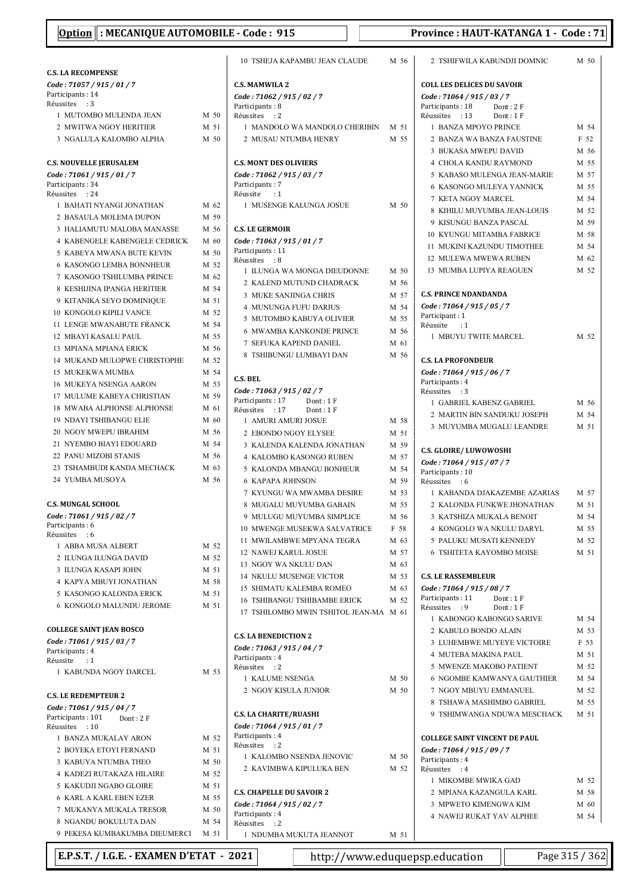|                                                    |              | 10 TSHEJAK                           |
|----------------------------------------------------|--------------|--------------------------------------|
| <b>C.S. LA RECOMPENSE</b>                          |              |                                      |
| Code: 71057 / 915 / 01 / 7                         |              | <b>C.S. MAMWILA</b>                  |
| Participants: 14<br>Réussites<br>$\cdot$ 3         |              | Code: 71062 / 9                      |
| 1 MUTOMBO MULENDA JEAN                             | M 50         | Participants: 8<br>Réussites : 2     |
| 2 MWITWA NGOY HERITIER                             | M 51         | 1 MANDOLO                            |
| 3 NGALULA KALOMBO ALPHA                            | M 50         | 2 MUSAU N                            |
|                                                    |              |                                      |
| <b>C.S. NOUVELLE JERUSALEM</b>                     |              | <b>C.S. MONT DES</b>                 |
| Code: 71061 / 915 / 01 / 7                         |              | Code: 71062 / 9                      |
| Participants: 34                                   |              | Participants: 7                      |
| Réussites<br>: 24                                  |              | Réussite<br>:1                       |
| 1 BAHATI NYANGI JONATHAN<br>2 BASAULA MOLEMA DUPON | M 62<br>M 59 | 1 MUSENGE                            |
| 3 HALIAMUTU MALOBA MANASSE                         | M 56         | <b>C.S. LE GERMOI</b>                |
| <b>4 KABENGELE KABENGELE CEDRICK</b>               | M 60         | Code: 71063 / 9                      |
| 5 KABEYA MWANA BUTE KEVIN                          | M 50         | Participants: 11                     |
| 6 KASONGO LEMBA BONNHEUR                           | M 52         | Réussites<br>: 8                     |
| <b>7 KASONGO TSHILUMBA PRINCE</b>                  | M 62         | 1 ILUNGA W                           |
| 8 KESHIJINA IPANGA HERITIER                        | M 54         | 2 KALEND N                           |
| 9 KITANIKA SEYO DOMINIOUE                          | M 51         | 3 MUKE SAI                           |
| <b>10 KONGOLO KIPILI VANCE</b>                     | M 52         | 4 MUNUNG.                            |
| 11 LENGE MWANABUTE FRANCK                          | M 54         | 5 MUTOMB                             |
| 12 MBAYI KASALU PAUL                               | M 55         | 6 MWAMBA                             |
| 13 MPIANA MPIANA ERICK                             | M 56         | 7 SEFUKA K                           |
| 14 MUKAND MULOPWE CHRISTOPHE                       | M 52         | 8 TSHIBUNG                           |
| 15 MUKEKWA MUMBA                                   | M 54         |                                      |
| <b>16 MUKEYA NSENGA AARON</b>                      | M 53         | C.S. BEL                             |
| 17 MULUME KABEYA CHRISTIAN                         | M 59         | Code: 71063 / 9                      |
| 18 MWABA ALPHONSE ALPHONSE                         | M 61         | Participants: 17<br>:17<br>Réussites |
| <b>19 NDAYI TSHIBANGU ELIE</b>                     | M 60         | 1 AMURI AN                           |
| 20 NGOY MWEPU IBRAHIM                              | M 56         | 2 EBONDO I                           |
| 21 NYEMBO BIAYI EDOUARD                            | M 54         | 3 KALENDA                            |
| 22 PANU MIZOBI STANIS                              | M 56         | 4 KALOMBO                            |
| 23 TSHAMBUDI KANDA MECHACK                         | M 63         | 5 KALONDA                            |
| 24 YUMBA MUSOYA                                    | M 56         | 6 KAPAPA J                           |
|                                                    |              | 7 KYUNGU                             |
| <b>C.S. MUNGAL SCHOOL</b>                          |              | 8 MUGALU                             |
| Code: 71061 / 915 / 02 / 7                         |              | 9 MULUGU                             |
| Participants: 6                                    |              | 10 MWENGE                            |
| Réussites<br>:6                                    |              | 11 MWILAMI                           |
| 1 ABBA MUSA ALBERT                                 | M 52         | 12 NAWEJ KA                          |
| 2 ILUNGA ILUNGA DAVID                              | M 52         | 13 NGOY WA                           |
| 3 ILUNGA KASAPI JOHN                               | M 51         | 14 NKULU M                           |
| 4 KAPYA MBUYI JONATHAN<br>5 KASONGO KALONDA ERICK  | M 58         | 15 SHIMATU                           |
| <b>6 KONGOLO MALUNDU JEROME</b>                    | M 51         | 16 TSHIBANO                          |
|                                                    | M 51         | 17 TSHILOMI                          |
| <b>COLLEGE SAINT JEAN BOSCO</b>                    |              |                                      |
| Code: 71061 / 915 / 03 / 7                         |              | <b>C.S. LA BENEDIO</b>               |
| Participants: 4                                    |              | Code: 71063 / 9                      |
| Réussite<br>$\cdot$ :1                             |              | Participants: 4                      |
| 1 KABUNDA NGOY DARCEL                              | M 53         | Réussites<br>: 2<br>1 KALUME I       |
|                                                    |              | 2 NGOY KIS                           |
| <b>C.S. LE REDEMPTEUR 2</b>                        |              |                                      |
| Code: 71061 / 915 / 04 / 7                         |              | <b>C.S. LA CHARIT</b>                |
| Participants: 101<br>Dont : 2 F<br>Réussites : 10  |              | Code: 71064 / 9                      |
| 1 BANZA MUKALAY ARON                               | M 52         | Participants: 4                      |
| 2 BOYEKA ETOYI FERNAND                             | M 51         | Réussites<br>:2                      |
| 3 KABUYA NTUMBA THEO                               | M 50         | 1 KALOMBO                            |
| 4 KADEZI RUTAKAZA HILAIRE                          | M 52         | 2 KAVIMBW                            |
| 5 KAKUDJI NGABO GLOIRE                             | M 51         |                                      |
| <b>6 KARL A KARL EBEN EZER</b>                     | M 55         | <b>C.S. CHAPELLE</b>                 |
| 7 MUKANYA MUKALA TRESOR                            | M 50         | Code: 71064 / 9                      |
| 8 NGANDU BOKULUTA DAN                              | M 54         | Participants: 4<br>Réussites<br>: 2  |
| 9 PEKESA KUMBAKUMBA DIEUMERCI M 51                 |              | 1 NDI JMRA                           |

| <b>C.S. MAMWILA 2</b>                                      |      |
|------------------------------------------------------------|------|
| Code: 71062 / 915 / 02 / 7                                 |      |
| Participants : 8                                           |      |
| Réussites<br>: 2                                           |      |
| 1 MANDOLO WA MANDOLO CHERIBIN                              | M 51 |
| 2 MUSAU NTUMBA HENRY                                       | M 55 |
|                                                            |      |
| <b>C.S. MONT DES OLIVIERS</b>                              |      |
| Code: 71062 / 915 / 03 / 7                                 |      |
| Participants: 7                                            |      |
| Réussite<br>$\cdot$ :1                                     |      |
| 1 MUSENGE KALUNGA JOSUE                                    | M 50 |
| <b>C.S. LE GERMOIR</b>                                     |      |
|                                                            |      |
| Code: 71063 / 915 / 01 / 7<br>Participants: 11             |      |
| Réussites : 8                                              |      |
| 1 ILUNGA WA MONGA DIEUDONNE                                | M 50 |
| 2 KALEND MUTUND CHADRACK                                   | M 56 |
| 3 MUKE SANJINGA CHRIS                                      | M 57 |
| <b>4 MUNUNGA FUFU DARIUS</b>                               | M 54 |
| 5 MUTOMBO KABUYA OLIVIER                                   | M 55 |
| <b>6 MWAMBA KANKONDE PRINCE</b>                            | M 56 |
| 7 SEFUKA KAPEND DANIEL                                     | M 61 |
| 8 TSHIBUNGU LUMBAYI DAN                                    | M 56 |
|                                                            |      |
| C.S. BEL                                                   |      |
| Code: 71063 / 915 / 02 / 7                                 |      |
| Participants: 17<br>Dont: 1F                               |      |
| Réussites : 17<br>Dont: 1 F                                |      |
| 1 AMURI AMURI JOSUE                                        | M 58 |
| 2 EBONDO NGOY ELYSEE                                       | M 51 |
| 3 KALENDA KALENDA JONATHAN                                 | M 59 |
| <b>4 KALOMBO KASONGO RUBEN</b>                             | M 57 |
| 5 KALONDA MBANGU BONHEUR                                   | M 54 |
| <b>6 KAPAPA JOHNSON</b>                                    | M 59 |
| 7 KYUNGU WA MWAMBA DESIRE                                  | M 53 |
| 8 MUGALU MUYUMBA GABAIN                                    | M 55 |
| 9 MULUGU MUYUMBA SIMPLICE                                  | M 56 |
| <b>10 MWENGE MUSEKWA SALVATRICE</b>                        | F 58 |
| 11 MWILAMBWE MPYANA TEGRA                                  | M 63 |
| 12 NAWEJ KARUL JOSUE                                       | M 57 |
| 13 NGOY WA NKULU DAN                                       | M 63 |
| <b>14 NKULU MUSENGE VICTOR</b>                             | M 53 |
| 15 SHIMATU KALEMBA ROMEO                                   | M 63 |
| <b>16 TSHIBANGU TSHIBAMBE ERICK</b>                        | M 52 |
|                                                            |      |
| 17 TSHILOMBO MWIN TSHITOL JEAN-MA M 61                     |      |
|                                                            |      |
| <b>C.S. LA BENEDICTION 2</b><br>Code: 71063 / 915 / 04 / 7 |      |
| Participants: 4                                            |      |
| Réussites : 2                                              |      |
| 1 KALUME NSENGA                                            | M 50 |
| 2 NGOY KISULA JUNIOR                                       | M 50 |
|                                                            |      |
| <b>C.S. LA CHARITE/RUASHI</b>                              |      |
| Code: 71064 / 915 / 01 / 7                                 |      |
| Participants: 4                                            |      |
| Réussites<br>$\cdot$ : 2                                   |      |
| 1 KALOMBO NSENDA JENOVIC                                   | M 50 |
| 2 KAVIMBWA KIPULUKA BEN                                    | M 52 |
|                                                            |      |
| <b>C.S. CHAPELLE DU SAVOIR 2</b>                           |      |
| Code: 71064 / 915 / 02 / 7                                 |      |
| Participants: 4<br>Réussites<br>$\cdot$ 2                  |      |
| 1 NDUMBA MUKUTA JEANNOT                                    | M 51 |
|                                                            |      |

| APAMBU JEAN CLAUDE                  | M 56         | 2 TSHIFWILA KABUNDJI DOMNIC                                                                           | M 50         |
|-------------------------------------|--------------|-------------------------------------------------------------------------------------------------------|--------------|
| 2                                   |              | <b>COLL LES DELICES DU SAVOIR</b>                                                                     |              |
| 915 / 02 / 7                        |              | Code: 71064 / 915 / 03 / 7<br>Participants: 18<br>Dont: 2F<br><b>Réussites</b><br>: 13<br>Dont: $1 F$ |              |
| O WA MANDOLO CHERIBIN               | M 51         | 1 BANZA MPOYO PRINCE                                                                                  | M 54         |
| <b>TUMBA HENRY</b>                  | M 55         | 2 BANZA WA BANZA FAUSTINE                                                                             | F 52         |
|                                     |              | 3 BUKASA MWEPU DAVID                                                                                  | M 56         |
| <b>OLIVIERS</b>                     |              | 4 CHOLA KANDU RAYMOND                                                                                 | M 55         |
| 915 / 03 / 7                        |              | 5 KABASO MULENGA JEAN-MARIE                                                                           | M 57         |
|                                     |              | 6 KASONGO MULEYA YANNICK                                                                              | M 55         |
| E KALUNGA JOSUE                     | M 50         | 7 KETA NGOY MARCEL                                                                                    | M 54         |
|                                     |              | 8 KIHILU MUYUMBA JEAN-LOUIS                                                                           | M 52         |
| IR                                  |              | 9 KISUNGU BANZA PASCAL                                                                                | M 59         |
| 915/01/7                            |              | <b>10 KYUNGU MITAMBA FABRICE</b>                                                                      | M 58         |
|                                     |              | 11 MUKINI KAZUNDU TIMOTHEE                                                                            | M 54         |
|                                     |              | 12 MULEWA MWEWA RUBEN<br>13 MUMBA LUPIYA REAGUEN                                                      | M 62<br>M 52 |
| VA MONGA DIEUDONNE                  | M 50<br>M 56 |                                                                                                       |              |
| MUTUND CHADRACK<br>NJINGA CHRIS     | M 57         | <b>C.S. PRINCE NDANDANDA</b>                                                                          |              |
| A FUFU DARIUS                       | M 54         | Code: 71064 / 915 / 05 / 7                                                                            |              |
| O KABUYA OLIVIER                    | M 55         | Participant: 1                                                                                        |              |
| A KANKONDE PRINCE                   | M 56         | Réussite<br>: 1                                                                                       |              |
| <b><i>CAPEND DANIEL</i></b>         | M 61         | 1 MBUYU TWITE MARCEL                                                                                  | M 52         |
| GU LUMBAYI DAN                      | M 56         |                                                                                                       |              |
|                                     |              | <b>C.S. LA PROFONDEUR</b>                                                                             |              |
|                                     |              | Code: 71064 / 915 / 06 / 7<br>Participants: 4                                                         |              |
| 915 / 02 / 7                        |              | Réussites<br>$\cdot$ :3                                                                               |              |
| Dont: $1 F$                         |              | 1 GABRIEL KABENZ GABRIEL                                                                              | M 56         |
| Dont: 1F<br>MURI JOSUE              | M 58         | 2 MARTIN BIN SANDUKU JOSEPH                                                                           | M 54         |
| NGOY ELYSEE                         | M 51         | 3 MUYUMBA MUGALU LEANDRE                                                                              | M 51         |
| A KALENDA JONATHAN                  | M 59         |                                                                                                       |              |
| O KASONGO RUBEN                     | M 57         | <b>C.S. GLOIRE/ LUWOWOSHI</b>                                                                         |              |
| A MBANGU BONHEUR                    | M 54         | Code: 71064 / 915 / 07 / 7<br>Participants: 10                                                        |              |
| OHNSON                              | M 59         | Réussites<br>:6                                                                                       |              |
| WA MWAMBA DESIRE                    | M 53         | 1 KABANDA DJAKAZEMBE AZARIAS                                                                          | M 57         |
| <b>MUYUMBA GABAIN</b>               | M 55         | 2 KALONDA FUNKWE JHONATHAN                                                                            | M 51         |
| <b>MUYUMBA SIMPLICE</b>             | M 56         | 3 KATSHIZA MUKALA BENOIT                                                                              | M 54         |
| <b>MUSEKWA SALVATRICE</b>           | F 58         | 4 KONGOLO WA NKULU DARYL                                                                              | M 55         |
| BWE MPYANA TEGRA                    | M 63         | 5 PALUKU MUSATI KENNEDY                                                                               | M 52         |
| ARUL JOSUE                          | M 57         | <b>6 TSHITETA KAYOMBO MOISE</b>                                                                       | M 51         |
| A NKULU DAN                         | M 63         |                                                                                                       |              |
| <b>IUSENGE VICTOR</b>               | M 53         | <b>C.S. LE RASSEMBLEUR</b>                                                                            |              |
| KALEMBA ROMEO<br>GU TSHIBAMBE ERICK | M 63<br>M 52 | Code: 71064 / 915 / 08 / 7<br>Participants: 11<br>Dont: 1F                                            |              |
| BO MWIN TSHITOL JEAN-MA M 61        |              | Réussites<br>$\cdot$ 9<br>Dont: $1 F$                                                                 |              |
|                                     |              | 1 KABONGO KABONGO SARIVE                                                                              | M 54         |
| CTION 2                             |              | 2 KABULO BONDO ALAIN                                                                                  | M 53         |
| 915/04/7                            |              | 3 LUHEMBWE MUYEYE VICTOIRE                                                                            | F 53         |
|                                     |              | 4 MUTEBA MAKINA PAUL                                                                                  | M 51         |
|                                     |              | 5 MWENZE MAKOBO PATIENT                                                                               | M 52         |
| NSENGA                              | M 50         | <b>6 NGOMBE KAMWANYA GAUTHIER</b>                                                                     | M 54         |
| SULA JUNIOR                         | M 50         | 7 NGOY MBUYU EMMANUEL                                                                                 | M 52         |
|                                     |              | 8 TSHAWA MASHIMBO GABRIEL                                                                             | M 55         |
| <b>E/RUASHI</b>                     |              | 9 TSHIMWANGA NDUWA MESCHACK                                                                           | M 51         |
| 915/01/7                            |              | <b>COLLEGE SAINT VINCENT DE PAUL</b>                                                                  |              |
|                                     |              | Code: 71064 / 915 / 09 / 7                                                                            |              |
| O NSENDA JENOVIC                    | M 50         | Participants: 4                                                                                       |              |
| VA KIPULUKA BEN                     | M 52         | Réussites : 4                                                                                         |              |
|                                     |              | 1 MIKOMBE MWIKA GAD                                                                                   | M 52         |
| <b>DU SAVOIR 2</b>                  |              | 2 MPIANA KAZANGULA KARL                                                                               | M 58         |
| 915 / 02 / 7                        |              | 3 MPWETO KIMENGWA KIM                                                                                 | M 60         |
|                                     |              | 4 NAWEJ RUKAT YAV ALPHEE                                                                              | M 54         |
|                                     |              |                                                                                                       |              |

E.P.S.T. / I.G.E. - EXAMEN D'ETAT - 2021 http://www.eduquepsp.education | Page 315 / 362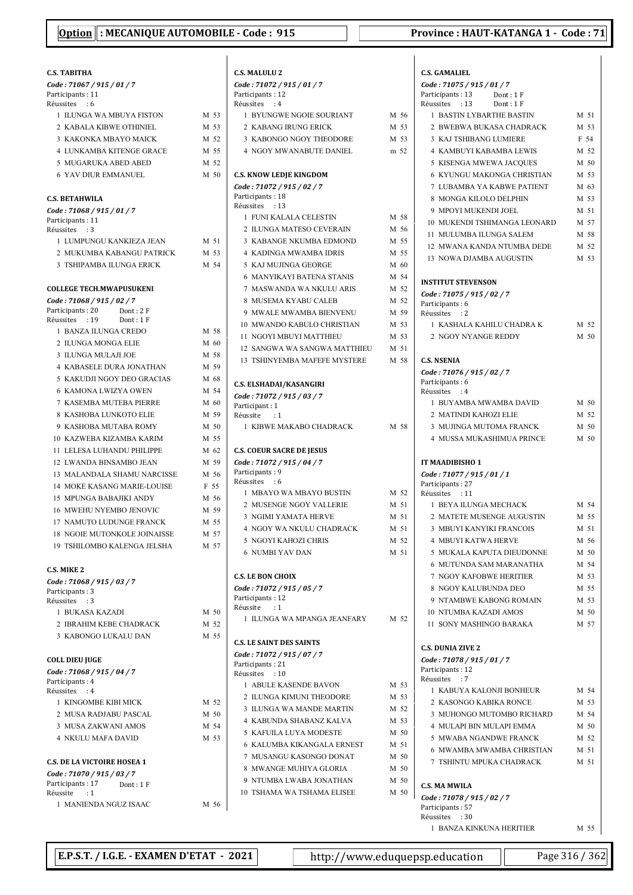| <b>C.S. TABITHA</b>                                              |      | С.:       |
|------------------------------------------------------------------|------|-----------|
| Code: 71067 / 915 / 01 / 7                                       |      | Cс        |
| Participants: 11                                                 |      | Pa        |
| Réussites : 6                                                    |      | Ré        |
| 1 ILUNGA WA MBUYA FISTON                                         | M 53 |           |
| 2 KABALA KIBWE OTHINIEL<br><b>3 KAKONKA MBAYO MAICK</b>          | M 53 |           |
|                                                                  | M 52 |           |
| <b>4 LUNKAMBA KITENGE GRACE</b>                                  | M 55 |           |
| 5 MUGARUKA ABED ABED                                             | M 52 |           |
| <b>6 YAV DIUR EMMANUEL</b>                                       | M 50 | С.:<br>Cс |
| <b>C.S. BETAHWILA</b>                                            |      | Pa        |
| Code: 71068 / 915 / 01 / 7                                       |      | Ré        |
| Participants: 11                                                 |      |           |
| Réussites<br>$\cdot$ 3                                           |      |           |
| 1 LUMPUNGU KANKIEZA JEAN                                         | M 51 |           |
| 2 MUKUMBA KABANGU PATRICK                                        | M 53 |           |
| 3 TSHIPAMBA ILUNGA ERICK                                         | M 54 |           |
| <b>COLLEGE TECH.MWAPUSUKENI</b>                                  |      |           |
| Code: 71068 / 915 / 02 / 7                                       |      |           |
| Participants : 20<br>Dont: 2F                                    |      |           |
| Réussites : 19<br>Dont: 1 F                                      |      |           |
| 1 BANZA ILUNGA CREDO                                             | M 58 |           |
| 2 ILUNGA MONGA ELIE                                              | M 60 |           |
| 3 ILUNGA MULAJI JOE                                              | M 58 |           |
| <b>4 KABASELE DURA JONATHAN</b>                                  | M 59 |           |
| 5 KAKUDJI NGOY DEO GRACIAS                                       | M 68 | C.:       |
| 6 KAMONA LWIZYA OWEN                                             | M 54 | Cс        |
| 7 KASEMBA MUTEBA PIERRE                                          | M 60 | Pa        |
| 8 KASHOBA LUNKOTO ELIE                                           | M 59 | Ré        |
| 9 KASHOBA MUTABA ROMY                                            | M 50 |           |
| 10 KAZWEBA KIZAMBA KARIM                                         | M 55 |           |
| 11 LELESA LUHANDU PHILIPPE                                       | M 62 | C.:       |
| 12 LWANDA BINSAMBO JEAN                                          | M 59 | Cс        |
| 13 MALANDALA SHAMU NARCISSE                                      | M 56 | Pa        |
| <b>14 MOKE KASANG MARIE-LOUISE</b>                               | F 55 | Ré        |
| <b>15 MPUNGA BABAJIKI ANDY</b>                                   | M 56 |           |
| 16 MWEHU NYEMBO JENOVIC                                          | M 59 |           |
| 17 NAMUTO LUDUNGE FRANCK                                         | M 55 |           |
| 18 NGOIE MUTONKOLE JOINAISSE                                     | M 57 |           |
| 19 TSHILOMBO KALENGA JELSHA                                      | M 57 |           |
|                                                                  |      |           |
| <b>C.S. MIKE 2</b><br>Code: 71068 / 915 / 03 / 7                 |      | С.        |
| Participants: 3                                                  |      | Cс        |
| Réussites : 3                                                    |      | Pa        |
| 1 BUKASA KAZADI                                                  | M 50 | Ré        |
| 2 IBRAHIM KEBE CHADRACK                                          | M 52 |           |
| 3 KABONGO LUKALU DAN                                             | M 55 | C.:       |
|                                                                  |      | $c_{c}$   |
| COLL DIEU JUGE                                                   |      | Pa        |
| Code: 71068 / 915 / 04 / 7<br>Participants: 4                    |      | Ré        |
| Réussites : 4                                                    |      |           |
| 1 KINGOMBE KIBI MICK                                             | M 52 |           |
| 2 MUSA RADJABU PASCAL                                            | M 50 |           |
| 3 MUSA ZAKWANI AMOS                                              | M 54 |           |
| <b>4 NKULU MAFA DAVID</b>                                        | M 53 |           |
|                                                                  |      |           |
| <b>C.S. DE LA VICTOIRE HOSEA 1</b><br>Code: 71070 / 915 / 03 / 7 |      |           |
| Participants: 17<br>Dont : 1 F                                   |      |           |
| Réussite<br>:1                                                   |      |           |
| 1 MANIENDA NGUZ ISAAC                                            | M 56 |           |

| Code: 71072 / 915 / 01 / 7                                   |              |
|--------------------------------------------------------------|--------------|
| Participants: 12<br>Réussites : 4                            |              |
| 1 BYUNGWE NGOIE SOURIANT                                     | M 56         |
| 2 KABANG IRUNG ERICK                                         | M 53         |
| 3 KABONGO NGOY THEODORE                                      | M 53         |
| 4 NGOY MWANABUTE DANIEL                                      | m 52         |
|                                                              |              |
| <b>C.S. KNOW LEDJE KINGDOM</b><br>Code: 71072 / 915 / 02 / 7 |              |
| Participants: 18                                             |              |
| Réussites : 13                                               |              |
| 1 FUNI KALALA CELESTIN                                       | M 58         |
| 2 ILUNGA MATESO CEVERAIN                                     | M 56         |
| 3 KABANGE NKUMBA EDMOND                                      | M 55         |
| <b>4 KADINGA MWAMBA IDRIS</b>                                | M 55         |
| 5 KAJ MUJINGA GEORGE                                         | M 60         |
| <b>6 MANYIKAYI BATENA STANIS</b>                             | M 54         |
| 7 MASWANDA WA NKULU ARIS                                     | M 52         |
| 8 MUSEMA KYABU CALEB                                         | M 52         |
| 9 MWALE MWAMBA BIENVENU<br>10 MWANDO KABULO CHRISTIAN        | M 59         |
| 11 NGOYI MBUYI MATTHIEU                                      | M 53<br>M 53 |
| 12 SANGWA WA SANGWA MATTHIEU                                 | M 51         |
| 13 TSHINYEMBA MAFEFE MYSTERE                                 | M 58         |
|                                                              |              |
| C.S. ELSHADAI/KASANGIRI                                      |              |
| Code: 71072 / 915 / 03 / 7                                   |              |
| Participant: 1<br>Réussite : 1                               |              |
| 1 KIBWE MAKABO CHADRACK                                      | M 58         |
|                                                              |              |
| <b>C.S. COEUR SACRE DE JESUS</b>                             |              |
| Code: 71072 / 915 / 04 / 7<br>Participants: 9                |              |
| Réussites<br>$\cdot$ 6                                       |              |
| 1 MBAYO WA MBAYO BUSTIN                                      | M 52         |
| 2 MUSENGE NGOY VALLERIE                                      | M 51         |
| <b>3 NGIMI YAMATA HERVE</b>                                  | M 51         |
| 4 NGOY WA NKULU CHADRACK                                     | M 51         |
| 5 NGOYI KAHOZI CHRIS                                         | M 52         |
|                                                              | M 51         |
| <b>6 NUMBI YAV DAN</b>                                       |              |
| <b>C.S. LE BON CHOIX</b>                                     |              |
| Code: 71072 / 915 / 05 / 7                                   |              |
| Participants: 12                                             |              |
| Réussite<br>:1                                               |              |
| 1 ILUNGA WA MPANGA JEANFARY                                  | M 52         |
| <b>C.S. LE SAINT DES SAINTS</b>                              |              |
| Code: 71072 / 915 / 07 / 7                                   |              |
| Participants: 21                                             |              |
| Réussites : 10                                               |              |
| 1 ABULE KASENDE BAVON                                        | M 53         |
| 2 ILUNGA KIMUNI THEODORE                                     | M 53<br>M 52 |
| 3 ILUNGA WA MANDE MARTIN<br><b>4 KABUNDA SHABANZ KALVA</b>   |              |
| 5 KAFUILA LUYA MODESTE                                       | M 53         |
| 6 KALUMBA KIKANGALA ERNEST                                   | M 50<br>M 51 |
| 7 MUSANGU KASONGO DONAT                                      | M 50         |
| 8 MWANGE MUHIYA GLORIA                                       | M 50         |
| 9 NTUMBA LWABA JONATHAN                                      | M 50         |

|              | <b>C.S. GAMALIEL</b>                                      |              |
|--------------|-----------------------------------------------------------|--------------|
|              | Code: 71075 / 915 / 01 / 7                                |              |
|              | Participants: 13<br>Dont: 1F                              |              |
| M 56         | Réussites : 13<br>Dont: 1F<br>1 BASTIN LYBARTHE BASTIN    | M 51         |
| M 53         | 2 BWEBWA BUKASA CHADRACK                                  | M 53         |
| M 53         | 3 KAJ TSHIBANG LUMIERE                                    | F 54         |
| m 52         | <b>4 KAMBUYI KABAMBA LEWIS</b>                            | M 52         |
|              | 5 KISENGA MWEWA JACOUES                                   | $M$ 50       |
|              | <b>6 KYUNGU MAKONGA CHRISTIAN</b>                         | M 53         |
|              | 7 LUBAMBA YA KABWE PATIENT                                | M 63         |
|              | 8 MONGA KILOLO DELPHIN                                    | M 53         |
| M 58         | 9 MPOYI MUKENDI JOEL                                      | M 51         |
| M 56         | 10 MUKENDI TSHIMANGA LEONARD                              | M 57         |
| M 55         | 11 MULUMBA ILUNGA SALEM                                   | M 58         |
| M 55         | 12 MWANA KANDA NTUMBA DEDE                                | M 52         |
| M 60         | 13 NOWA DJAMBA AUGUSTIN                                   | M 53         |
| M 54         |                                                           |              |
| M 52         | <b>INSTITUT STEVENSON</b>                                 |              |
| M 52         | Code: 71075 / 915 / 02 / 7<br>Participants: 6             |              |
| M 59         | Réussites : 2                                             |              |
| M 53         | 1 KASHALA KAHILU CHADRA K                                 | M 52         |
| M 53         | 2 NGOY NYANGE REDDY                                       | M 50         |
| M 51         |                                                           |              |
| M 58         | <b>C.S. NSENIA</b>                                        |              |
|              | Code: 71076 / 915 / 02 / 7<br>Participants: 6             |              |
|              | Réussites : 4                                             |              |
|              | 1 BUYAMBA MWAMBA DAVID                                    | M 50         |
|              | 2 MATINDI KAHOZI ELIE                                     | M 52         |
| M 58         | 3 MUJINGA MUTOMA FRANCK                                   | M 50         |
|              | <b>4 MUSSA MUKASHIMUA PRINCE</b>                          | M 50         |
|              | IT MAADIBISHO 1                                           |              |
|              | Code: 71077 / 915 / 01 / 1                                |              |
|              | Participants: 27                                          |              |
| M 52<br>M 51 | Réussites : 11<br>1 BEYA ILUNGA MECHACK                   | M 54         |
| M 51         | 2 MATETE MUSENGE AUGUSTIN                                 | M 55         |
| M 51         | 3 MBUYI KANYIKI FRANCOIS                                  | M 51         |
| M 52         | <b>4 MBUYI KATWA HERVE</b>                                | M 56         |
| M 51         | 5 MUKALA KAPUTA DIEUDONNE                                 | M 50         |
|              | 6 MUTUNDA SAM MARANATHA                                   | M 54         |
|              | 7 NGOY KAFOBWE HERITIER                                   | M 53         |
|              | 8 NGOY KALUBUNDA DEO                                      | M 55         |
|              | 9 NTAMBWE KABONG ROMAIN                                   | M 53         |
| M 52         | <b>10 NTUMBA KAZADI AMOS</b>                              | M 50         |
|              | 11 SONY MASHINGO BARAKA                                   | M 57         |
|              | <b>C.S. DUNIA ZIVE 2</b>                                  |              |
|              | Code: 71078 / 915 / 01 / 7                                |              |
|              | Participants: 12                                          |              |
| M 53         | Réussites<br>$\cdot$ : 7                                  |              |
| M 53         | 1 KABUYA KALONJI BONHEUR                                  | M 54         |
| M 52         | 2 KASONGO KABIKA RONCE                                    | M 53         |
| M 53         | 3 MUHONGO MUTOMBO RICHARD                                 | M 54         |
| M 50         | <b>4 MULAPI BIN MULAPI EMMA</b><br>5 MWABA NGANDWE FRANCK | M 50         |
| M 51         | 6 MWAMBA MWAMBA CHRISTIAN                                 | M 52<br>M 51 |
| M 50         | 7 TSHINTU MPUKA CHADRACK                                  | M 51         |
| M 50         |                                                           |              |
| M 50         | <b>C.S. MA MWILA</b>                                      |              |
| M 50         | Code: 71078 / 915 / 02 / 7                                |              |
|              | Participants: 57                                          |              |
|              | Réussites : 30<br>1 BANZA KINKUNA HERITIER                | M 55         |
|              |                                                           |              |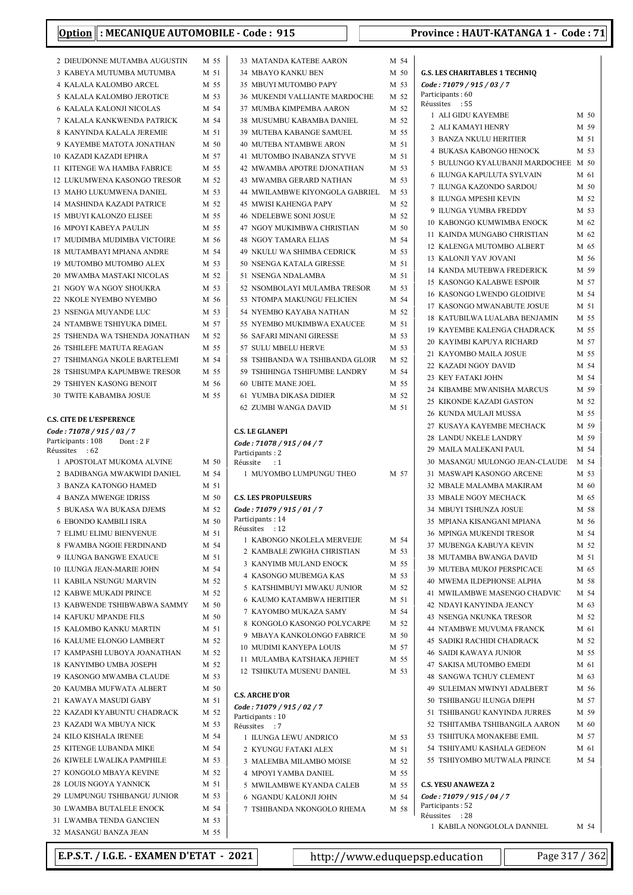| 2 DIEUDONNE MUTAMBA AUGUSTIN                             | M 55            |
|----------------------------------------------------------|-----------------|
| 3 KABEYA MUTUMBA MUTUMBA                                 | M 51            |
| <b>4 KALALA KALOMBO ARCEL</b>                            | M 55            |
| 5 KALALA KALOMBO JEROTICE                                | M 53            |
| <b>6 KALALA KALONJI NICOLAS</b>                          | M 54            |
| 7  KALALA KANKWENDA PATRICK                              | M 54            |
| 8 KANYINDA KALALA JEREMIE                                | M 51            |
| 9 KAYEMBE MATOTA JONATHAN                                | M <sub>50</sub> |
| <b>10 KAZADI KAZADI EPHRA</b>                            | M 57            |
| 11 KITENGE WA HAMBA FABRICE                              | M 55            |
| 12 LUKUMWENA KASONGO TRESOR                              | M 52            |
| 13 MAHO LUKUMWENA DANIEL                                 | M 53            |
| <b>14 MASHINDA KAZADI PATRICE</b>                        | M 52            |
| <b>15 MBUYI KALONZO ELISEE</b>                           | M 55            |
| <b>16 MPOYI KABEYA PAULIN</b>                            | M 55            |
| 17 MUDIMBA MUDIMBA VICTOIRE                              | M 56            |
| 18 MUTAMBAYI MPIANA ANDRE                                | M 54            |
| 19 MUTOMBO MUTOMBO ALEX                                  | M 53            |
| 20 MWAMBA MASTAKI NICOLAS                                | M 52            |
| 21 NGOY WA NGOY SHOUKRA                                  | M 53            |
| 22 NKOLE NYEMBO NYEMBO                                   | M 56            |
| 23 NSENGA MUYANDE LUC                                    | M 53            |
| 24 NTAMBWE TSHIYUKA DIMEL                                | M 57            |
| 25 TSHENDA WA TSHENDA JONATHAN                           | M 52            |
| <b>26 TSHILEFE MATUTA REAGAN</b>                         | M 55            |
| 27 TSHIMANGA NKOLE BARTELEMI                             | M 54            |
| 28 TSHISUMPA KAPUMBWE TRESOR                             | M 55<br>M 56    |
| 29 TSHIYEN KASONG BENOIT                                 | M 55            |
| <b>30 TWITE KABAMBA JOSUE</b>                            |                 |
| <b>C.S. CITE DE L'ESPERENCE</b>                          |                 |
| Code : 71078 / 915 / 03 / 7                              |                 |
|                                                          |                 |
| Participants : 108<br>Dont : 2 F                         |                 |
| Réussites : 62                                           |                 |
| 1 APOSTOLAT MUKOMA ALVINE                                | M 50            |
| 2 BADIBANGA MWAKWIDI DANIEL                              | M 54            |
| 3 BANZA KATONGO HAMED                                    | M 51            |
| <b>4 BANZA MWENGE IDRISS</b>                             | M 50            |
| 5 BUKASA WA BUKASA DJEMS                                 | M 52            |
| 6 EBONDO KAMBILI ISRA                                    | M 50            |
| 7 ELIMU ELIMU BIENVENUE                                  | M 51            |
| 8 FWAMBA NGOIE FERDINAND                                 | M 54            |
| <b>9 ILUNGA BANGWE EXAUCE</b>                            | M 51            |
| 10 ILUNGA JEAN-MARIE JOHN                                | M 54            |
| 11 KABILA NSUNGU MARVIN                                  | M 52            |
| 12 KABWE MUKADI PRINCE                                   | M 52            |
| 13 KABWENDE TSHIBWABWA SAMMY                             | M 50            |
| <b>14 KAFUKU MPANDE FILS</b>                             | M 50            |
| 15 KALOMBO KANKU MARTIN                                  | M 51            |
| <b>16 KALUME ELONGO LAMBERT</b>                          | M 52            |
| 17 KAMPASHI LUBOYA JOANATHAN                             | M 52            |
| 18 KANYIMBO UMBA JOSEPH                                  | M 52            |
| 19 KASONGO MWAMBA CLAUDE                                 | M 53            |
| 20 KAUMBA MUFWATA ALBERT                                 | M 50            |
| 21 KAWAYA MASUDI GABY                                    | M 51            |
| 22 KAZADI KYABUNTU CHADRACK                              | M 52            |
| 23 KAZADI WA MBUYA NICK                                  | M 53            |
| 24 KILO KISHALA IRENEE                                   | M 54            |
| 25 KITENGE LUBANDA MIKE                                  | M 54            |
| 26 KIWELE LWALIKA PAMPHILE                               | M 53            |
| 27 KONGOLO MBAYA KEVINE                                  | M 52<br>M 51    |
| 28 LOUIS NGOYA YANNICK                                   |                 |
| 29 LUMPUNGU TSHIBANGU JUNIOR<br>30 LWAMBA BUTALELE ENOCK | M 53<br>M 54    |

| <b>33 MATANDA KATEBE AARON</b>                                                           | M 54         |  |
|------------------------------------------------------------------------------------------|--------------|--|
| 34 MBAYO KANKU BEN                                                                       | M 50         |  |
| 35 MBUYI MUTOMBO PAPY                                                                    | M 53         |  |
| <b>36 MUKENDI VALLIANTE MARDOCHE</b>                                                     | M 52         |  |
| 37 MUMBA KIMPEMBA AARON                                                                  | M 52         |  |
| 38 MUSUMBU KABAMBA DANIEL                                                                | M 52         |  |
| 39 MUTEBA KABANGE SAMUEL                                                                 | M 55         |  |
| <b>40 MUTEBA NTAMBWE ARON</b>                                                            | M 51         |  |
| <b>41 MUTOMBO INABANZA STYVE</b>                                                         | M 51         |  |
| 42 MWAMBA APOTRE DJONATHAN                                                               | M 53         |  |
| <b>43 MWAMBA GERARD NATHAN</b>                                                           | M 53         |  |
| 44 MWILAMBWE KIYONGOLA GABRIEL                                                           | M 53         |  |
| <b>45 MWISI KAHENGA PAPY</b>                                                             | M 52         |  |
| <b>46 NDELEBWE SONI JOSUE</b>                                                            | M 52         |  |
| 47 NGOY MUKIMBWA CHRISTIAN                                                               | M 50         |  |
| <b>48 NGOY TAMARA ELIAS</b><br>49 NKULU WA SHIMBA CEDRICK                                | M 54<br>M 53 |  |
| <b>50 NSENGA KATALA GIRESSE</b>                                                          | M 51         |  |
| 51 NSENGA NDALAMBA                                                                       | M 51         |  |
| 52 NSOMBOLAYI MULAMBA TRESOR                                                             | M 53         |  |
| 53 NTOMPA MAKUNGU FELICIEN                                                               | M 54         |  |
| 54 NYEMBO KAYABA NATHAN                                                                  | M 52         |  |
| 55 NYEMBO MUKIMBWA EXAUCEE                                                               | M 51         |  |
| <b>56 SAFARI MINANI GIRESSE</b>                                                          | M 53         |  |
| 57 SULU MBELU HERVE                                                                      | M 53         |  |
| 58 TSHIBANDA WA TSHIBANDA GLOIR                                                          | M 52         |  |
| 59 TSHIHINGA TSHIFUMBE LANDRY                                                            | M 54         |  |
| <b>60 UBITE MANE JOEL</b>                                                                | M 55         |  |
| <b>61 YUMBA DIKASA DIDIER</b>                                                            | M 52         |  |
| <b>62 ZUMBI WANGA DAVID</b>                                                              | M 51         |  |
|                                                                                          |              |  |
| Code: 71078 / 915 / 04 / 7<br>Participants: 2<br>Réussite : 1<br>1 MUYOMBO LUMPUNGU THEO | M 57         |  |
|                                                                                          |              |  |
| <b>C.S. LES PROPULSEURS</b>                                                              |              |  |
| Code: 71079 / 915 / 01 / 7                                                               |              |  |
| Participants: 14                                                                         |              |  |
| Réussites : 12<br>1 KABONGO NKOLELA MERVEIJE                                             | M 54         |  |
| 2 KAMBALE ZWIGHA CHRISTIAN                                                               | M 53         |  |
| 3 KANYIMB MULAND ENOCK                                                                   | M 55         |  |
| 4 KASONGO MUBEMGA KAS                                                                    | M 53         |  |
| 5 KATSHIMBUYI MWAKU JUNIOR                                                               | M 52         |  |
| <b>6 KAUMO KATAMBWA HERITIER</b>                                                         | M 51         |  |
| 7 KAYOMBO MUKAZA SAMY                                                                    | M 54         |  |
| 8 KONGOLO KASONGO POLYCARPE                                                              | M 52         |  |
| 9 MBAYA KANKOLONGO FABRICE                                                               | M 50         |  |
| 10 MUDIMI KANYEPA LOUIS                                                                  | M 57         |  |
| 11 MULAMBA KATSHAKA JEPHET                                                               | M 55         |  |
| 12 TSHIKUTA MUSENU DANIEL                                                                | M 53         |  |
| <b>C.S. ARCHE D'OR</b><br>Code: 71079 / 915 / 02 / 7                                     |              |  |
| Participants: 10<br>Réussites : 7                                                        |              |  |
| 1 ILUNGA LEWU ANDRICO                                                                    | M 53         |  |
| 2 KYUNGU FATAKI ALEX                                                                     | M 51         |  |
| 3 MALEMBA MILAMBO MOISE                                                                  | M 52         |  |
| 4 MPOYI YAMBA DANIEL                                                                     | M 55         |  |
| 5 MWILAMBWE KYANDA CALEB                                                                 | M 55         |  |
| 6 NGANDU KALONJI JOHN                                                                    | M 54         |  |
| 7 TSHIBANDA NKONGOLO RHEMA                                                               | M 58         |  |

| G.S. LES CHARITABLES 1 TECHNIQ    |      |
|-----------------------------------|------|
| Code: 71079 / 915 / 03 / 7        |      |
| Participants: 60                  |      |
| Réussites : 55                    |      |
| 1 ALI GIDU KAYEMBE                | M 50 |
| 2 ALI KAMAYI HENRY                | M 59 |
| 3 BANZA NKULU HERITIER            | M 51 |
| 4 BUKASA KABONGO HENOCK           | M 53 |
| 5 BULUNGO KYALUBANJI MARDOCHEE    | M 50 |
| 6 ILUNGA KAPULUTA SYLVAIN         | M 61 |
| 7 ILUNGA KAZONDO SARDOU           | M 50 |
| 8 ILUNGA MPESHI KEVIN             | M 52 |
| 9 ILUNGA YUMBA FREDDY             | M 53 |
| 10 KABONGO KUMWIMBA ENOCK         | M 62 |
| 11 KAINDA MUNGABO CHRISTIAN       | M 62 |
| 12 KALENGA MUTOMBO ALBERT         | M 65 |
| 13 KALONJI YAV JOVANI             | M 56 |
| 14 KANDA MUTEBWA FREDERICK        | M 59 |
| <b>15 KASONGO KALABWE ESPOIR</b>  | M 57 |
| <b>16 KASONGO LWENDO GLOIDIVE</b> | M 54 |
| 17 KASONGO MWANABUTE JOSUE        | M 51 |
|                                   | M 55 |
| 18 KATUBILWA LUALABA BENJAMIN     |      |
| 19 KAYEMBE KALENGA CHADRACK       | M 55 |
| 20 KAYIMBI KAPUYA RICHARD         | M 57 |
| 21 KAYOMBO MAILA JOSUE            | M 55 |
| 22 KAZADI NGOY DAVID              | M 54 |
| 23 KEY FATAKI JOHN                | M 54 |
| 24 KIBAMBE MWANISHA MARCUS        | M 59 |
| 25 KIKONDE KAZADI GASTON          | M 52 |
| 26 KUNDA MULAJI MUSSA             | M 55 |
| 27 KUSAYA KAYEMBE MECHACK         | M 59 |
| 28 LANDU NKELE LANDRY             | M 59 |
| 29 MAILA MALEKANI PAUL            | M 54 |
| 30 MASANGU MULONGO JEAN-CLAUDE    | M 54 |
| 31 MASWAPI KASONGO ARCENE         | M 53 |
| 32 MBALE MALAMBA MAKIRAM          | M 60 |
| 33 MBALE NGOY MECHACK             | M 65 |
| 34 MBUYI TSHUNZA JOSUE            | M 58 |
| 35 MPIANA KISANGANI MPIANA        | M 56 |
| <b>36 MPINGA MUKENDI TRESOR</b>   | M 54 |
| 37 MUBENGA KABUYA KEVIN           | M 52 |
| 38 MUTAMBA BWANGA DAVID           | M 51 |
| 39 MUTEBA MUKOJ PERSPICACE        |      |
|                                   | M 65 |
| <b>40 MWEMA ILDEPHONSE ALPHA</b>  | M 58 |
| 41 MWILAMBWE MASENGO CHADVIC      | M 54 |
| 42 NDAYI KANYINDA JEANCY          | M 63 |
| <b>43 NSENGA NKUNKA TRESOR</b>    | M 52 |
| <b>44 NTAMBWE MUVUMA FRANCK</b>   | M 61 |
| <b>45 SADIKI RACHIDI CHADRACK</b> | M 52 |
| <b>46 SAIDI KAWAYA JUNIOR</b>     | M 55 |
| 47 SAKISA MUTOMBO EMEDI           | M 61 |
| <b>48 SANGWA TCHUY CLEMENT</b>    | M 63 |
| 49 SULEIMAN MWINYI ADALBERT       | M 56 |
| 50 TSHIBANGU ILUNGA DJEPH         | M 57 |
| 51 TSHIBANGU KANYINDA JURRES      | M 59 |
| 52 TSHITAMBA TSHIBANGILA AARON    | M 60 |
| 53 TSHITUKA MONAKEBE EMIL         | M 57 |
| 54 TSHIYAMU KASHALA GEDEON        | M 61 |
| 55 TSHIYOMBO MUTWALA PRINCE       | M 54 |
|                                   |      |
| <b>C.S. YESU ANAWEZA 2</b>        |      |
| Code: 71079 / 915 / 04 / 7        |      |
| Participants: 52                  |      |
| Réussites : 28                    |      |
| 1 KABILA NONGOLOLA DANNIEL        | M 54 |

E.P.S.T. / I.G.E. - EXAMEN D'ETAT - 2021 http://www.eduquepsp.education Page 317 / 362

32 MASANGU BANZA JEAN M 55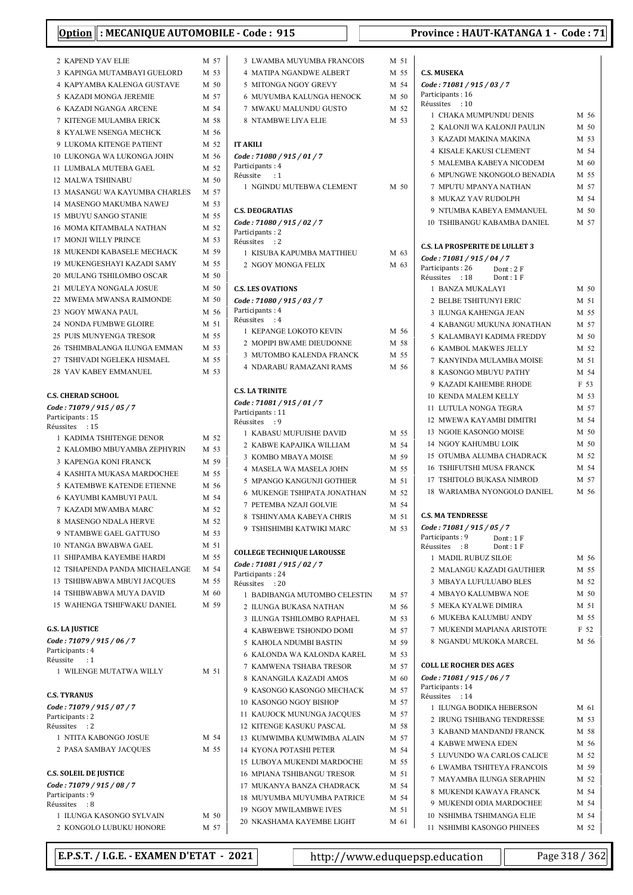| : MECANIQUE AUTOMOBILE - Code : 915<br><b>Option</b> |      |                                      |
|------------------------------------------------------|------|--------------------------------------|
| 2 KAPEND YAV ELIE                                    | M 57 | 3 LWAMBA MU                          |
| 3 KAPINGA MUTAMBAYI GUELORD                          | M 53 | 4 MATIPA NGA                         |
| <b>4 KAPYAMBA KALENGA GUSTAVE</b>                    | M 50 | 5 MITONGA NO                         |
| 5 KAZADI MONGA JEREMIE                               | M 57 | 6 MUYUMBA K                          |
| 6 KAZADI NGANGA ARCENE                               | M 54 | 7 MWAKU MAI                          |
| 7 KITENGE MULAMBA ERICK                              | M 58 | 8 NTAMBWE L                          |
| 8 KYALWE NSENGA MECHCK                               | M 56 |                                      |
| 9 LUKOMA KITENGE PATIENT                             | M 52 | <b>IT AKILI</b>                      |
| 10 LUKONGA WA LUKONGA JOHN                           | M 56 | Code: 71080 / 915                    |
| 11 LUMBALA MUTEBA GAEL                               | M 52 | Participants: 4                      |
| 12 MALWA TSHINABU                                    | M 50 | Réussite<br>: 1                      |
| 13 MASANGU WA KAYUMBA CHARLES                        | M 57 | 1 NGINDU MUT                         |
| 14 MASENGO MAKUMBA NAWEJ                             | M 53 |                                      |
| 15 MBUYU SANGO STANIE                                | M 55 | <b>C.S. DEOGRATIAS</b>               |
| 16 MOMA KITAMBALA NATHAN                             | M 52 | Code: 71080 / 915                    |
| 17 MONJI WILLY PRINCE                                | M 53 | Participants: 2<br>Réussites<br>: 2  |
| <b>18 MUKENDI KABASELE MECHACK</b>                   | M 59 | 1 KISUBA KAP                         |
| 19 MUKENGESHAYI KAZADI SAMY                          | M 55 | 2 NGOY MONG                          |
| 20 MULANG TSHILOMBO OSCAR                            | M 50 |                                      |
| 21 MULEYA NONGALA JOSUE                              | M 50 | <b>C.S. LES OVATIONS</b>             |
| 22 MWEMA MWANSA RAIMONDE                             | M 50 | Code: 71080 / 915                    |
| 23 NGOY MWANA PAUL                                   | M 56 | Participants: 4                      |
| 24 NONDA FUMBWE GLOIRE                               | M 51 | Réussites<br>:4                      |
| 25 PUIS MUNYENGA TRESOR                              | M 55 | 1 KEPANGE LC                         |
| 26 TSHIMBALANGA ILUNGA EMMAN                         | M 53 | 2 MOPIPI BWA                         |
| 27 TSHIVADI NGELEKA HISMAEL                          | M 55 | 3 MUTOMBO K                          |
| 28 YAV KABEY EMMANUEL                                | M 53 | 4 NDARABUR                           |
| C.S. CHERAD SCHOOL                                   |      | <b>C.S. LA TRINITE</b>               |
| Code: 71079 / 915 / 05 / 7                           |      | Code: 71081 / 915                    |
| Participants: 15<br>Réussites : 15                   |      | Participants: 11<br>Réussites<br>: 9 |
| 1 KADIMA TSHITENGE DENOR                             | M 52 | 1 KABASU MU<br>2 KABWE KAP           |
| 2 KALOMBO MBUYAMBA ZEPHYRIN                          | M 53 | 3 KOMBO MBA                          |
| <b>3 KAPENGA KONI FRANCK</b>                         | M 59 | 4 MASELA WA                          |
| 4 KASHITA MUKASA MARDOCHEE                           | M 55 | 5 MPANGO KA                          |
| 5 KATEMBWE KATENDE ETIENNE                           | M 56 | <b>6 MUKENGE TS</b>                  |
| 6 KAYUMBI KAMBUYI PAUL                               | M 54 | 7 PETEMBA NZ                         |
| 7 KAZADI MWAMBA MARC                                 | M 52 | 8 TSHINYAMA                          |
| 8 MASENGO NDALA HERVE                                | M 52 | 9 TSHISHIMBI                         |
| 9 NTAMBWE GAEL GATTUSO                               | M 53 |                                      |
| <b>10 NTANGA BWABWA GAEL</b>                         | M 51 | <b>COLLEGE TECHNIC</b>               |
| <b>11 SHIPAMBA KAYEMBE HARDI</b>                     | M 55 | Code: 71081 / 915                    |
| 12 TSHAPENDA PANDA MICHAELANGE                       | M 54 | Participants: 24                     |
| 13 TSHIBWABWA MBUYI JACQUES                          | M 55 | Réussites<br>: 20                    |
| 14 TSHIBWABWA MUYA DAVID                             | M 60 | 1 BADIBANGA                          |
| <b>15 WAHENGA TSHIFWAKU DANIEL</b>                   | M 59 | 2 ILUNGA BUK                         |
|                                                      |      | 3 ILUNGA TSH                         |
| G.S. LA JUSTICE                                      |      | <b>4 KABWEBWE</b>                    |
| Code: 71079 / 915 / 06 / 7                           |      | 5 KAHOLA NDI                         |
| Participants: 4<br>Réussite<br>$\cdot$ :1            |      | 6 KALONDA W                          |
| 1 WILENGE MUTATWA WILLY                              | M 51 | 7 KAMWENA T                          |
|                                                      |      | 8 KANANGILA                          |
| <b>C.S. TYRANUS</b>                                  |      | 9 KASONGO KA                         |
| Code: 71079 / 915 / 07 / 7                           |      | 10 KASONGO NO                        |
| Participants: 2                                      |      | 11 KAUJOCK MI                        |
| Réussites : 2                                        |      | 12 KITENGE KA                        |
| 1 NTITA KABONGO JOSUE                                | M 54 | 13 KUMWIMBA                          |
| 2 PASA SAMBAY JACQUES                                | M 55 | 14 KYONA POTA                        |
|                                                      |      | 15 LUBOYA MU                         |
| C.S. SOLEIL DE JUSTICE                               |      | <b>16 MPIANA TSH</b>                 |
| Code: 71079 / 915 / 08 / 7                           |      | 17 MUKANYA B                         |
| Participants: 9<br>Réussites<br>$\cdot$ : 8          |      | 18 MUYUMBA N                         |
| 1 ILUNGA KASONGO SYLVAIN                             | M 50 | 19 NGOY MWIL.                        |
| 2 KONGOLO LUBUKU HONORE                              | M 57 | 20 NKASHAMA                          |
|                                                      |      |                                      |

 $\mathbf{I}$ 

| 3 LWAMBA MUYUMBA FRANCOIS                                    | M 51         |
|--------------------------------------------------------------|--------------|
| <b>4 MATIPA NGANDWE ALBERT</b>                               | M 55         |
| 5 MITONGA NGOY GREVY                                         | M 54         |
| 6 MUYUMBA KALUNGA HENOCK                                     | M 50         |
| 7 MWAKU MALUNDU GUSTO                                        | M 52         |
| 8 NTAMBWE LIYA ELIE                                          | M 53         |
| <b>IT AKILI</b>                                              |              |
| Code: 71080 / 915 / 01 / 7                                   |              |
| Participants: 4                                              |              |
| Réussite<br>$\cdot$ :1                                       |              |
| 1 NGINDU MUTEBWA CLEMENT                                     | M 50         |
| <b>C.S. DEOGRATIAS</b>                                       |              |
| Code: 71080 / 915 / 02 / 7                                   |              |
| Participants: 2                                              |              |
| Réussites : 2                                                |              |
| 1 KISUBA KAPUMBA MATTHIEU                                    | M 63         |
| 2 NGOY MONGA FELIX                                           | M 63         |
| <b>C.S. LES OVATIONS</b>                                     |              |
| Code: 71080 / 915 / 03 / 7                                   |              |
| Participants: 4                                              |              |
| Réussites : 4                                                |              |
| 1 KEPANGE LOKOTO KEVIN                                       | M 56         |
| 2 MOPIPI BWAME DIEUDONNE                                     | M 58         |
| 3 MUTOMBO KALENDA FRANCK                                     | M 55         |
| <b>4 NDARABU RAMAZANI RAMS</b>                               | M 56         |
| <b>C.S. LA TRINITE</b>                                       |              |
| Code: 71081 / 915 / 01 / 7                                   |              |
| Participants: 11                                             |              |
| Réussites<br>: 9                                             |              |
| 1 KABASU MUFUISHE DAVID                                      | M 55         |
| 2 KABWE KAPAJIKA WILLIAM<br>3 KOMBO MBAYA MOISE              | M 54<br>M 59 |
| <b>4 MASELA WA MASELA JOHN</b>                               | M 55         |
| 5 MPANGO KANGUNJI GOTHIER                                    | M 51         |
| <b>6 MUKENGE TSHIPATA JONATHAN</b>                           | M 52         |
| <b>7 PETEMBA NZAJI GOLVIE</b>                                | M 54         |
| 8 TSHINYAMA KABEYA CHRIS                                     | M 51         |
| 9 TSHISHIMBI KATWIKI MARC                                    | M 53         |
|                                                              |              |
| <b>COLLEGE TECHNIQUE LAROUSSE</b>                            |              |
| Code: 71081 / 915 / 02 / 7<br>Participants: 24               |              |
| Réussites : 20                                               |              |
| 1 BADIBANGA MUTOMBO CELESTIN                                 | M 57         |
| 2 ILUNGA BUKASA NATHAN                                       | M 56         |
| 3 ILUNGA TSHILOMBO RAPHAEL                                   | M 53         |
| <b>4 KABWEBWE TSHONDO DOMI</b>                               | M 57         |
| <b>5 KAHOLA NDUMBI BASTIN</b>                                | M 59         |
| 6 KALONDA WA KALONDA KAREL<br><b>7 KAMWENA TSHABA TRESOR</b> | M 53         |
| 8 KANANGILA KAZADI AMOS                                      | M 57<br>M 60 |
| 9 KASONGO KASONGO MECHACK                                    | M 57         |
| 10 KASONGO NGOY BISHOP                                       | M 57         |
| KAUJOCK MUNUNGA JACQUES<br>11                                | M 57         |
| <b>12 KITENGE KASUKU PASCAL</b>                              | M 58         |
| 13 KUMWIMBA KUMWIMBA ALAIN                                   | M 57         |
| <b>14 KYONA POTASHI PETER</b>                                | M 54         |
| 15 LUBOYA MUKENDI MARDOCHE                                   | M 55         |
| <b>16 MPIANA TSHIBANGU TRESOR</b>                            | M 51         |
| 17 MUKANYA BANZA CHADRACK                                    | M 54         |
| 18 MUYUMBA MUYUMBA PATRICE                                   | M 54         |
| <b>19 NGOY MWILAMBWE IVES</b>                                | M 51         |
| 20 NKASHAMA KAYEMBE LIGHT                                    | M 61         |

| Province : HAUT-KATANGA 1 -  Code : 71 |  |  |  |  |  |  |  |  |  |  |  |
|----------------------------------------|--|--|--|--|--|--|--|--|--|--|--|
|----------------------------------------|--|--|--|--|--|--|--|--|--|--|--|

 $\overline{\phantom{a}}$ 

|   | <b>C.S. MUSEKA</b>                                   |      |
|---|------------------------------------------------------|------|
|   | Code: 71081 / 915 / 03 / 7                           |      |
|   | Participants: 16                                     |      |
|   | Réussites : 10                                       |      |
|   | 1 CHAKA MUMPUNDU DENIS                               | M 56 |
|   | 2 KALONJI WA KALONJI PAULIN                          | M 50 |
|   | <b>3 KAZADI MAKINA MAKINA</b>                        | M 53 |
|   | <b>4 KISALE KAKUSI CLEMENT</b>                       | M 54 |
|   | 5 MALEMBA KABEYA NICODEM                             | M 60 |
|   | $6\,$ MPUNGWE NKONGOLO BENADIA                       | M 55 |
| ) | 7 MPUTU MPANYA NATHAN                                | M 57 |
|   | 8 MUKAZ YAV RUDOLPH                                  | M 54 |
|   | 9 NTUMBA KABEYA EMMANUEL                             | M 50 |
|   | 10 TSHIBANGU KABAMBA DANIEL                          | M 57 |
|   | <b>C.S. LA PROSPERITE DE LULLET 3</b>                |      |
|   | Code: 71081 / 915 / 04 / 7                           |      |
|   | Participants: 26 Dont: 2 F                           |      |
|   | Réussites : 18<br>Dont : 1 F                         |      |
|   | 1 BANZA MUKALAYI                                     | M 50 |
|   | 2 BELBE TSHITUNYI ERIC                               | M 51 |
|   | <b>3 ILUNGA KAHENGA JEAN</b>                         | M 55 |
|   | <b>4 KABANGU MUKUNA JONATHAN</b>                     | M 57 |
|   | 5 KALAMBAYI KADIMA FREDDY                            | M 50 |
|   | <b>6 KAMBOL MAKWES JELLY</b>                         | M 52 |
|   | 7 KANYINDA MULAMBA MOISE                             | M 51 |
|   | 8 KASONGO MBUYU PATHY                                | M 54 |
|   | 9 KAZADI KAHEMBE RHODE                               | F 53 |
|   | <b>10 KENDA MALEM KELLY</b>                          | M 53 |
|   | 11 LUTULA NONGA TEGRA                                | M 57 |
|   | 12 MWEWA KAYAMBI DIMITRI                             | M 54 |
|   | 13 NGOIE KASONGO MOISE                               | M 50 |
|   | <b>14 NGOY KAHUMBU LOIK</b>                          | M 50 |
|   | 15 OTUMBA ALUMBA CHADRACK                            | M 52 |
|   | <b>16 TSHIFUTSHI MUSA FRANCK</b>                     | M 54 |
|   | 17 TSHITOLO BUKASA NIMROD                            | M 57 |
|   | 18 WARIAMBA NYONGOLO DANIEL                          | M 56 |
|   |                                                      |      |
|   | <b>C.S. MA TENDRESSE</b>                             |      |
|   | Code: 71081 / 915 / 05 / 7                           |      |
|   | Participants: 9<br>Dont: 1F                          |      |
|   | Dont: 1 F<br>Réussites<br>: 8<br>1 MADIL RUBUZ SILOE | M 56 |
|   | 2 MALANGU KAZADI GAUTHIER                            | M 55 |
|   |                                                      |      |
|   | 3 MBAYA LUFULUABO BLES                               | M 52 |
|   | <b>4 MBAYO KALUMBWA NOE</b>                          | M 50 |
|   | <b>5 MEKA KYALWE DIMIRA</b>                          | M 51 |
|   | <b>6 MUKEBA KALUMBU ANDY</b>                         | M 55 |
|   | 7 MUKENDI MAPIANA ARISTOTE                           | F 52 |
|   | 8 NGANDU MUKOKA MARCEL                               | M 56 |
|   |                                                      |      |
|   | <b>COLL LE ROCHER DES AGES</b>                       |      |
| ) | Code: 71081 / 915 / 06 / 7                           |      |
|   | Participants: 14<br>Réussites : 14                   |      |
|   | 1 ILUNGA BODIKA HEBERSON                             | M 61 |
|   | 2 IRUNG TSHIBANG TENDRESSE                           | M 53 |
|   | 3 KABAND MANDANDJ FRANCK                             | M 58 |
|   | <b>4 KABWE MWENA EDEN</b>                            |      |
|   |                                                      | M 56 |
|   | 5 LUVUNDO WA CARLOS CALICE                           | M 52 |
|   | <b>6 LWAMBA TSHITEYA FRANCOIS</b>                    | M 59 |
|   | 7 MAYAMBA ILUNGA SERAPHIN                            | M 52 |
|   | 8 MUKENDI KAWAYA FRANCK                              | M 54 |
|   | 9 MUKENDI ODIA MARDOCHEE                             | M 54 |
|   | <b>10 NSHIMBA TSHIMANGA ELIE</b>                     | M 54 |
|   | 11 NSHIMBI KASONGO PHINEES                           | M 52 |

E.P.S.T. / I.G.E. - EXAMEN D'ETAT - 2021 http://www.eduquepsp.education Page 318 / 362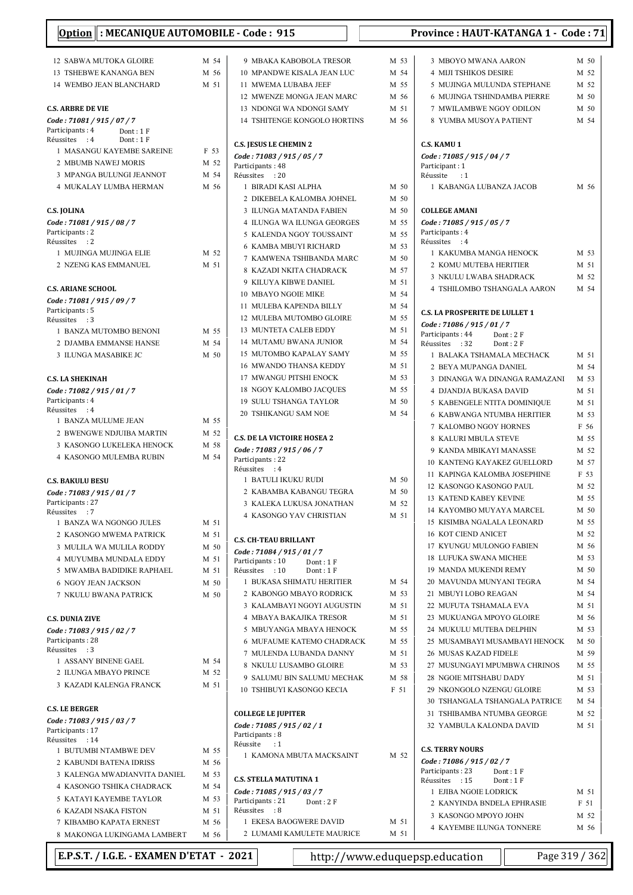| Option : MECANIQUE AUTOMOBILE - Code : 915                |      |                                                |      | <b>Province: HAUT-KATANGA 1 - Code: 71</b>                 |      |
|-----------------------------------------------------------|------|------------------------------------------------|------|------------------------------------------------------------|------|
| 12 SABWA MUTOKA GLOIRE                                    | M 54 | 9 MBAKA KABOBOLA TRESOR                        | M 53 | 3 MBOYO MWANA AARON                                        | M 50 |
| 13 TSHEBWE KANANGA BEN                                    | M 56 | 10 MPANDWE KISALA JEAN LUC                     | M 54 | <b>4 MIJI TSHIKOS DESIRE</b>                               | M 52 |
| 14 WEMBO JEAN BLANCHARD                                   | M 51 | 11 MWEMA LUBABA JEEF                           | M 55 | 5 MUJINGA MULUNDA STEPHANE                                 | M 52 |
|                                                           |      | 12 MWENZE MONGA JEAN MARC                      | M 56 | <b>6 MUJINGA TSHINDAMBA PIERRE</b>                         | M 50 |
| <b>C.S. ARBRE DE VIE</b>                                  |      | 13 NDONGI WA NDONGI SAMY                       | M 51 | 7 MWILAMBWE NGOY ODILON                                    | M 50 |
|                                                           |      | 14 TSHITENGE KONGOLO HORTINS                   | M 56 | 8 YUMBA MUSOYA PATIENT                                     | M 54 |
| Code: 71081 / 915 / 07 / 7<br>Participants: 4<br>Dont: 1F |      |                                                |      |                                                            |      |
| Réussites : 4<br>Dont: 1F                                 |      |                                                |      |                                                            |      |
| 1 MASANGU KAYEMBE SAREINE                                 | F 53 | <b>C.S. JESUS LE CHEMIN 2</b>                  |      | <b>C.S. KAMU 1</b>                                         |      |
| 2 MBUMB NAWEJ MORIS                                       | M 52 | Code: 71083 / 915 / 05 / 7<br>Participants: 48 |      | Code: 71085 / 915 / 04 / 7<br>Participant: 1               |      |
| 3 MPANGA BULUNGI JEANNOT                                  | M 54 | Réussites : 20                                 |      | Réussite : 1                                               |      |
| 4 MUKALAY LUMBA HERMAN                                    | M 56 | 1 BIRADI KASI ALPHA                            | M 50 | 1 KABANGA LUBANZA JACOB                                    | M 56 |
|                                                           |      | 2 DIKEBELA KALOMBA JOHNEL                      | M 50 |                                                            |      |
| <b>C.S. JOLINA</b>                                        |      | 3 ILUNGA MATANDA FABIEN                        | M 50 | <b>COLLEGE AMANI</b>                                       |      |
| Code: 71081 / 915 / 08 / 7                                |      | 4 ILUNGA WA ILUNGA GEORGES                     | M 55 | Code: 71085 / 915 / 05 / 7                                 |      |
| Participants: 2                                           |      | 5 KALENDA NGOY TOUSSAINT                       | M 55 | Participants: 4                                            |      |
| Réussites : 2                                             |      | <b>6 KAMBA MBUYI RICHARD</b>                   | M 53 | Réussites : 4                                              |      |
| 1 MUJINGA MUJINGA ELIE                                    | M 52 | 7 KAMWENA TSHIBANDA MARC                       | M 50 | 1 KAKUMBA MANGA HENOCK                                     | M 53 |
| 2 NZENG KAS EMMANUEL                                      | M 51 |                                                |      | 2 KOMU MUTEBA HERITIER                                     | M 51 |
|                                                           |      | 8 KAZADI NKITA CHADRACK                        | M 57 | 3 NKULU LWABA SHADRACK                                     | M 52 |
| <b>C.S. ARIANE SCHOOL</b>                                 |      | 9 KILUYA KIBWE DANIEL                          | M 51 | 4 TSHILOMBO TSHANGALA AARON                                | M 54 |
| Code: 71081 / 915 / 09 / 7                                |      | <b>10 MBAYO NGOIE MIKE</b>                     | M 54 |                                                            |      |
| Participants: 5                                           |      | 11 MULEBA KAPENDA BILLY                        | M 54 | <b>C.S. LA PROSPERITE DE LULLET 1</b>                      |      |
| Réussites : 3                                             |      | 12 MULEBA MUTOMBO GLOIRE                       | M 55 | Code: 71086 / 915 / 01 / 7                                 |      |
| 1 BANZA MUTOMBO BENONI                                    | M 55 | 13 MUNTETA CALEB EDDY                          | M 51 | Participants: 44<br>Dont: 2F                               |      |
| 2 DJAMBA EMMANSE HANSE                                    | M 54 | 14 MUTAMU BWANA JUNIOR                         | M 54 | Réussites : 32<br>Dont: 2F                                 |      |
| 3 ILUNGA MASABIKE JC                                      | M 50 | 15 MUTOMBO KAPALAY SAMY                        | M 55 | 1 BALAKA TSHAMALA MECHACK                                  | M 51 |
|                                                           |      | 16 MWANDO THANSA KEDDY                         | M 51 | 2 BEYA MUPANGA DANIEL                                      | M 54 |
| <b>C.S. LA SHEKINAH</b>                                   |      | 17 MWANGU PITSHI ENOCK                         | M 53 | 3 DINANGA WA DINANGA RAMAZANI                              | M 53 |
| Code: 71082 / 915 / 01 / 7                                |      | 18 NGOY KALOMBO JACQUES                        | M 55 | 4 DJANDJA BUKASA DAVID                                     | M 51 |
| Participants: 4                                           |      | <b>19 SULU TSHANGA TAYLOR</b>                  | M 50 | 5 KABENGELE NTITA DOMINIQUE                                | M 51 |
| Réussites : 4                                             |      | 20 TSHIKANGU SAM NOE                           | M 54 | <b>6 KABWANGA NTUMBA HERITIER</b>                          | M 53 |
| 1 BANZA MULUME JEAN                                       | M 55 |                                                |      | 7 KALOMBO NGOY HORNES                                      | F 56 |
| 2 BWENGWE NDJUIBA MARTIN                                  | M 52 | <b>C.S. DE LA VICTOIRE HOSEA 2</b>             |      | <b>8 KALURI MBULA STEVE</b>                                | M 55 |
| 3 KASONGO LUKELEKA HENOCK                                 | M 58 | Code: 71083 / 915 / 06 / 7                     |      | 9 KANDA MBIKAYI MANASSE                                    | M 52 |
| 4 KASONGO MULEMBA RUBIN                                   | M 54 | Participants: 22                               |      | 10 KANTENG KAYAKEZ GUELLORD                                | M 57 |
|                                                           |      | Réussites : 4                                  |      | 11 KAPINGA KALOMBA JOSEPHINE                               | F 53 |
| <b>C.S. BAKULU BESU</b>                                   |      | 1 BATULI IKUKU RUDI                            | M 50 | 12 KASONGO KASONGO PAUL                                    | M 52 |
| Code: 71083 / 915 / 01 / 7                                |      | 2 KABAMBA KABANGU TEGRA                        | M 50 | <b>13 KATEND KABEY KEVINE</b>                              | M 55 |
| Participants : 27                                         |      | 3 KALEKA LUKUSA JONATHAN                       | M 52 |                                                            |      |
| Réussites : 7                                             |      | 4 KASONGO YAV CHRISTIAN                        | M 51 | 14 KAYOMBO MUYAYA MARCEL                                   | M 50 |
| 1 BANZA WA NGONGO JULES                                   | M 51 |                                                |      | 15 KISIMBA NGALALA LEONARD                                 | M 55 |
| 2 KASONGO MWEMA PATRICK                                   | M 51 | <b>C.S. CH-TEAU BRILLANT</b>                   |      | <b>16 KOT CIEND ANICET</b>                                 | M 52 |
| 3 MULILA WA MULILA RODDY                                  | M 50 | Code: 71084 / 915 / 01 / 7                     |      | 17 KYUNGU MULONGO FABIEN                                   | M 56 |
| 4 MUYUMBA MUNDALA EDDY                                    | M 51 | Participants: 10<br>Dont: $1 F$                |      | 18 LUFUKA SWANA MICHEE                                     | M 53 |
| 5 MWAMBA BADIDIKE RAPHAEL                                 | M 51 | Réussites : 10<br>Dont: 1F                     |      | 19 MANDA MUKENDI REMY                                      | M 50 |
| <b>6 NGOY JEAN JACKSON</b>                                | M 50 | 1 BUKASA SHIMATU HERITIER                      | M 54 | 20 MAVUNDA MUNYANI TEGRA                                   | M 54 |
| 7 NKULU BWANA PATRICK                                     | M 50 | 2 KABONGO MBAYO RODRICK                        | M 53 | 21 MBUYI LOBO REAGAN                                       | M 54 |
|                                                           |      | 3 KALAMBAYI NGOYI AUGUSTIN                     | M 51 | 22 MUFUTA TSHAMALA EVA                                     | M 51 |
| <b>C.S. DUNIA ZIVE</b>                                    |      | 4 MBAYA BAKAJIKA TRESOR                        | M 51 | 23 MUKUANGA MPOYO GLOIRE                                   | M 56 |
| Code: 71083 / 915 / 02 / 7                                |      | 5 MBUYANGA MBAYA HENOCK                        | M 55 | 24 MUKULU MUTEBA DELPHIN                                   | M 53 |
| Participants: 28                                          |      | 6 MUFAUME KATEMO CHADRACK                      | M 55 | 25 MUSAMBAYI MUSAMBAYI HENOCK                              | M 50 |
| Réussites : 3                                             |      | 7 MULENDA LUBANDA DANNY                        | M 51 | 26 MUSAS KAZAD FIDELE                                      | M 59 |
| 1 ASSANY BINENE GAEL                                      | M 54 | 8 NKULU LUSAMBO GLOIRE                         | M 53 | 27 MUSUNGAYI MPUMBWA CHRINOS                               | M 55 |
| 2 ILUNGA MBAYO PRINCE                                     | M 52 | 9 SALUMU BIN SALUMU MECHAK                     | M 58 | 28 NGOIE MITSHABU DADY                                     | M 51 |
| 3 KAZADI KALENGA FRANCK                                   | M 51 | 10 TSHIBUYI KASONGO KECIA                      | F 51 | 29 NKONGOLO NZENGU GLOIRE                                  | M 53 |
|                                                           |      |                                                |      | 30 TSHANGALA TSHANGALA PATRICE                             | M 54 |
| <b>C.S. LE BERGER</b>                                     |      | <b>COLLEGE LE JUPITER</b>                      |      | 31 TSHIBAMBA NTUMBA GEORGE                                 | M 52 |
| Code: 71083 / 915 / 03 / 7<br>Participants: 17            |      | Code: 71085 / 915 / 02 / 1<br>Participants: 8  |      | 32 YAMBULA KALONDA DAVID                                   | M 51 |
| Réussites : 14                                            |      | Réussite<br>$\cdot$ :1                         |      | <b>C.S. TERRY NOURS</b>                                    |      |
| 1 BUTUMBI NTAMBWE DEV                                     | M 55 | 1 KAMONA MBUTA MACKSAINT                       | M 52 |                                                            |      |
| 2 KABUNDI BATENA IDRISS                                   | M 56 |                                                |      | Code: 71086 / 915 / 02 / 7<br>Participants: 23<br>Dont: 1F |      |
| 3 KALENGA MWADIANVITA DANIEL                              | M 53 | <b>C.S. STELLA MATUTINA 1</b>                  |      | Réussites : 15<br>Dont: 1F                                 |      |
| 4 KASONGO TSHIKA CHADRACK                                 | M 54 | Code: 71085 / 915 / 03 / 7                     |      | 1 EJIBA NGOIE LODRICK                                      | M 51 |
| 5 KATAYI KAYEMBE TAYLOR                                   | M 53 | Participants: 21<br>Dont: 2F                   |      | 2 KANYINDA BNDELA EPHRASIE                                 | F 51 |
| <b>6 KAZADI NSAKA FISTON</b>                              | M 51 | Réussites : 8                                  |      | 3 KASONGO MPOYO JOHN                                       | M 52 |
| 7 KIBAMBO KAPATA ERNEST                                   | M 56 | 1 EKESA BAOGWERE DAVID                         | M 51 | 4 KAYEMBE ILUNGA TONNERE                                   | M 56 |
| 8 MAKONGA LUKINGAMA LAMBERT                               | M 56 | 2 LUMAMI KAMULETE MAURICE                      | M 51 |                                                            |      |

E.P.S.T. / I.G.E. - EXAMEN D'ETAT - 2021 http://www.eduquepsp.education Page 319 / 362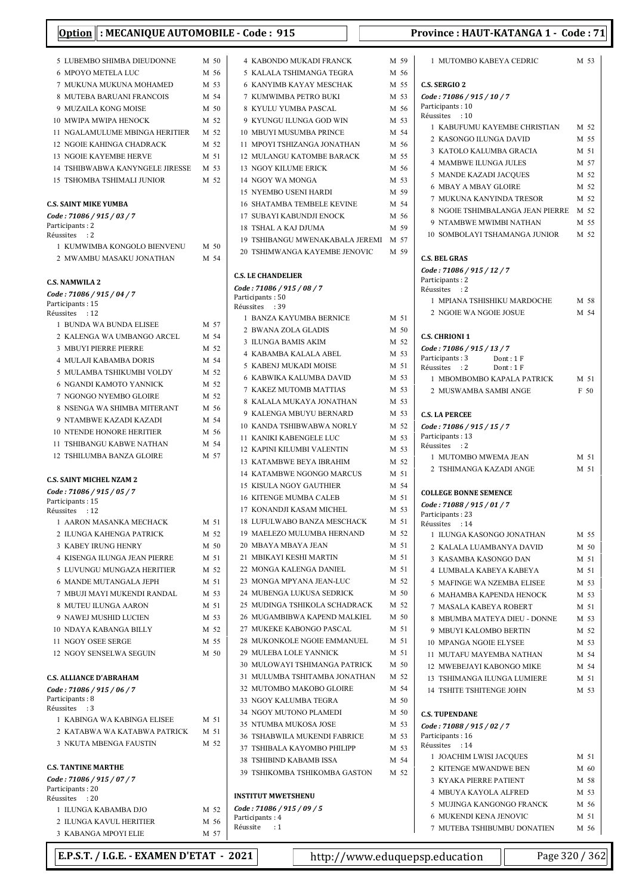| Option : MECANIQUE AUTOMOBILE - Code : 915          |              |                                                         |              | Province: HAUT-KATANGA 1 - Code: 71                       |              |
|-----------------------------------------------------|--------------|---------------------------------------------------------|--------------|-----------------------------------------------------------|--------------|
| 5 LUBEMBO SHIMBA DIEUDONNE                          | M 50         | <b>4 KABONDO MUKADI FRANCK</b>                          | M 59         | 1 MUTOMBO KABEYA CEDRIC                                   | M 53         |
| 6 MPOYO METELA LUC                                  | M 56         | 5 KALALA TSHIMANGA TEGRA                                | M 56         |                                                           |              |
| 7 MUKUNA MUKUNA MOHAMED                             | M 53         | 6 KANYIMB KAYAY MESCHAK                                 | M 55         | <b>C.S. SERGIO 2</b>                                      |              |
| 8 MUTEBA BARUANI FRANCOIS                           | M 54         | 7 KUMWIMBA PETRO BUKI                                   | M 53         | Code: 71086 / 915 / 10 / 7                                |              |
| 9 MUZAILA KONG MOISE                                | M 50         | 8 KYULU YUMBA PASCAL                                    | M 56         | Participants: 10                                          |              |
| 10 MWIPA MWIPA HENOCK                               | M 52         | 9 KYUNGU ILUNGA GOD WIN                                 | M 53         | Réussites : 10                                            |              |
| 11 NGALAMULUME MBINGA HERITIER                      | M 52         | 10 MBUYI MUSUMBA PRINCE                                 | M 54         | 1 KABUFUMU KAYEMBE CHRISTIAN                              | M 52         |
| 12 NGOIE KAHINGA CHADRACK                           | M 52         | 11 MPOYI TSHIZANGA JONATHAN                             | M 56         | 2 KASONGO ILUNGA DAVID                                    | M 55         |
| <b>13 NGOIE KAYEMBE HERVE</b>                       | M 51         | 12 MULANGU KATOMBE BARACK                               | M 55         | 3 KATOLO KALUMBA GRACIA                                   | M 51<br>M 57 |
| 14 TSHIBWABWA KANYNGELE JIRESSE                     | M 53         | <b>13 NGOY KILUME ERICK</b>                             | M 56         | 4 MAMBWE ILUNGA JULES<br>5 MANDE KAZADI JACQUES           | M 52         |
| <b>15 TSHOMBA TSHIMALI JUNIOR</b>                   | M 52         | 14 NGOY WA MONGA                                        | M 53         | <b>6 MBAY A MBAY GLOIRE</b>                               | M 52         |
|                                                     |              | 15 NYEMBO USENI HARDI                                   | M 59         | 7 MUKUNA KANYINDA TRESOR                                  | M 52         |
| <b>C.S. SAINT MIKE YUMBA</b>                        |              | <b>16 SHATAMBA TEMBELE KEVINE</b>                       | M 54         | 8 NGOIE TSHIMBALANGA JEAN PIERRE                          | M 52         |
| Code : 71086 / 915 / 03 / 7                         |              | 17 SUBAYI KABUNDJI ENOCK                                | M 56         | 9 NTAMBWE MWIMBI NATHAN                                   | M 55         |
| Participants: 2<br>Réussites : 2                    |              | 18 TSHAL A KAJ DJUMA                                    | M 59         | 10 SOMBOLAYI TSHAMANGA JUNIOR                             | M 52         |
| 1 KUMWIMBA KONGOLO BIENVENU                         | M 50         | 19 TSHIBANGU MWENAKABALA JEREMI                         | M 57         |                                                           |              |
| 2 MWAMBU MASAKU JONATHAN                            | M 54         | 20 TSHIMWANGA KAYEMBE JENOVIC                           | M 59         | <b>C.S. BEL GRAS</b>                                      |              |
|                                                     |              |                                                         |              | Code: 71086 / 915 / 12 / 7                                |              |
| <b>C.S. NAMWILA 2</b>                               |              | <b>C.S. LE CHANDELIER</b>                               |              | Participants: 2                                           |              |
| Code: 71086 / 915 / 04 / 7                          |              | Code: 71086 / 915 / 08 / 7<br>Participants: 50          |              | Réussites : 2                                             |              |
| Participants: 15                                    |              | Réussites : 39                                          |              | 1 MPIANA TSHISHIKU MARDOCHE                               | M 58         |
| Réussites : 12                                      |              | 1 BANZA KAYUMBA BERNICE                                 | M 51         | 2 NGOIE WA NGOIE JOSUE                                    | M 54         |
| 1 BUNDA WA BUNDA ELISEE                             | M 57         | 2 BWANA ZOLA GLADIS                                     | M 50         |                                                           |              |
| 2 KALENGA WA UMBANGO ARCEL                          | M 54         | 3 ILUNGA BAMIS AKIM                                     | M 52         | <b>C.S. CHRIONI 1</b>                                     |              |
| 3 MBUYI PIERRE PIERRE                               | M 52<br>M 54 | 4 KABAMBA KALALA ABEL                                   | M 53         | Code: 71086 / 915 / 13 / 7<br>Participants: 3<br>Dont: 1F |              |
| 4 MULAJI KABAMBA DORIS<br>5 MULAMBA TSHIKUMBI VOLDY | M 52         | 5 KABENJ MUKADI MOISE                                   | M 51         | Réussites : 2<br>Dont: 1F                                 |              |
| 6 NGANDI KAMOTO YANNICK                             | M 52         | 6 KABWIKA KALUMBA DAVID                                 | M 53         | 1 MBOMBOMBO KAPALA PATRICK                                | M 51         |
| 7 NGONGO NYEMBO GLOIRE                              | M 52         | 7 KAKEZ MUTOMB MATTIAS                                  | M 53         | 2 MUSWAMBA SAMBI ANGE                                     | F 50         |
| 8 NSENGA WA SHIMBA MITERANT                         | M 56         | 8 KALALA MUKAYA JONATHAN                                | M 53         |                                                           |              |
| 9 NTAMBWE KAZADI KAZADI                             | M 54         | 9 KALENGA MBUYU BERNARD                                 | M 53         | <b>C.S. LA PERCEE</b>                                     |              |
| <b>10 NTENDE HONORE HERITIER</b>                    | M 56         | 10 KANDA TSHIBWABWA NORLY                               | M 52         | Code: 71086 / 915 / 15 / 7                                |              |
| <b>11 TSHIBANGU KABWE NATHAN</b>                    | M 54         | 11 KANIKI KABENGELE LUC                                 | M 53         | Participants: 13<br>Réussites : 2                         |              |
| 12 TSHILUMBA BANZA GLOIRE                           | M 57         | <b>12 KAPINI KILUMBI VALENTIN</b>                       | M 53         | 1 MUTOMBO MWEMA JEAN                                      | M 51         |
|                                                     |              | <b>13 KATAMBWE BEYA IBRAHIM</b>                         | M 52         | 2 TSHIMANGA KAZADI ANGE                                   | M 51         |
| <b>C.S. SAINT MICHEL NZAM 2</b>                     |              | 14 KATAMBWE NGONGO MARCUS                               | M 51         |                                                           |              |
| Code: 71086 / 915 / 05 / 7                          |              | <b>15 KISULA NGOY GAUTHIER</b>                          | M 54         | <b>COLLEGE BONNE SEMENCE</b>                              |              |
| Participants : 15                                   |              | <b>16 KITENGE MUMBA CALEB</b>                           | M 51         | Code: 71088 / 915 / 01 / 7                                |              |
| Réussites : 12                                      |              | 17 KONANDJI KASAM MICHEL<br>18 LUFULWABO BANZA MESCHACK | M 53<br>M 51 | Participants: 23                                          |              |
| 1 AARON MASANKA MECHACK                             | M 51<br>M 52 | 19 MAELEZO MULUMBA HERNAND                              | M 52         | Réussites : 14                                            |              |
| 2 ILUNGA KAHENGA PATRICK<br>3 KABEY IRUNG HENRY     | M 50         | 20 MBAYA MBAYA JEAN                                     | M 51         | 1 ILUNGA KASONGO JONATHAN                                 | M 55         |
| 4 KISENGA ILUNGA JEAN PIERRE                        | M 51         | 21 MBIKAYI KESHI MARTIN                                 | M 51         | 2 KALALA LUAMBANYA DAVID                                  | M 50<br>M 51 |
| 5 LUVUNGU MUNGAZA HERITIER                          | M 52         | 22 MONGA KALENGA DANIEL                                 | M 51         | 3 KASAMBA KASONGO DAN<br>4 LUMBALA KABEYA KABEYA          | M 51         |
| 6 MANDE MUTANGALA JEPH                              | M 51         | 23 MONGA MPYANA JEAN-LUC                                | M 52         | 5 MAFINGE WA NZEMBA ELISEE                                | M 53         |
| 7 MBUJI MAYI MUKENDI RANDAL                         | M 53         | 24 MUBENGA LUKUSA SEDRICK                               | M 50         | 6 MAHAMBA KAPENDA HENOCK                                  | M 53         |
| 8 MUTEU ILUNGA AARON                                | M 51         | 25 MUDINGA TSHIKOLA SCHADRACK                           | M 52         | 7 MASALA KABEYA ROBERT                                    | M 51         |
| 9 NAWEJ MUSHID LUCIEN                               | M 53         | 26 MUGAMBIBWA KAPEND MALKIEL                            | M 50         | 8 MBUMBA MATEYA DIEU - DONNE                              | M 53         |
| 10 NDAYA KABANGA BILLY                              | M 52         | 27 MUKEKE KABONGO PASCAL                                | M 51         | 9 MBUYI KALOMBO BERTIN                                    | M 52         |
| 11 NGOY OSEE SERGE                                  | M 55         | 28 MUKONKOLE NGOIE EMMANUEL                             | M 51         | 10 MPANGA NGOIE ELYSEE                                    | M 53         |
| 12 NGOY SENSELWA SEGUIN                             | M 50         | 29 MULEBA LOLE YANNICK                                  | M 51         | 11 MUTAFU MAYEMBA NATHAN                                  | M 54         |
|                                                     |              | 30 MULOWAYI TSHIMANGA PATRICK                           | M 50         | 12 MWEBEJAYI KABONGO MIKE                                 | M 54         |
| <b>C.S. ALLIANCE D'ABRAHAM</b>                      |              | 31 MULUMBA TSHITAMBA JONATHAN                           | M 52         | 13 TSHIMANGA ILUNGA LUMIERE                               | M 51         |
| Code: 71086 / 915 / 06 / 7                          |              | 32 MUTOMBO MAKOBO GLOIRE                                | M 54         | 14 TSHITE TSHITENGE JOHN                                  | M 53         |
| Participants: 8                                     |              | 33 NGOY KALUMBA TEGRA                                   | M 50         |                                                           |              |
| Réussites : 3                                       |              | 34 NGOY MUTONO PLAMEDI                                  | M 50         | <b>C.S. TUPENDANE</b>                                     |              |
| 1 KABINGA WA KABINGA ELISEE                         | M 51         | 35 NTUMBA MUKOSA JOSE                                   | M 53         | Code: 71088 / 915 / 02 / 7                                |              |
| 2 KATABWA WA KATABWA PATRICK                        | M 51<br>M 52 | 36 TSHABWILA MUKENDI FABRICE                            | M 53         | Participants: 16                                          |              |
| 3 NKUTA MBENGA FAUSTIN                              |              | 37 TSHIBALA KAYOMBO PHILIPP                             | M 53         | Réussites : 14                                            |              |
| <b>C.S. TANTINE MARTHE</b>                          |              | 38 TSHIBIND KABAMB ISSA                                 | M 54         | 1 JOACHIM LWISI JACQUES                                   | M 51         |
| Code: 71086 / 915 / 07 / 7                          |              | 39 TSHIKOMBA TSHIKOMBA GASTON                           | M 52         | 2 KITENGE MWANDWE BEN                                     | M 60         |
| Participants: 20                                    |              |                                                         |              | 3 KYAKA PIERRE PATIENT                                    | M 58         |
| Réussites : 20                                      |              | <b>INSTITUT MWETSHENU</b>                               |              | 4 MBUYA KAYOLA ALFRED                                     | M 53<br>M 56 |
| 1 ILUNGA KABAMBA DJO                                | M 52         | Code : 71086 / 915 / 09 / 5                             |              | 5 MUJINGA KANGONGO FRANCK<br>6 MUKENDI KENA JENOVIC       | M 51         |
| 2 ILUNGA KAVUL HERITIER                             | M 56         | Participants: 4<br>Réussite<br>$\cdot$ :1               |              | 7 MUTEBA TSHIBUMBU DONATIEN                               | M 56         |
| 3 KABANGA MPOYI ELIE                                | M 57         |                                                         |              |                                                           |              |

| E.P.S.T. / I.G.E. - EXAMEN D'ETAT - 2021 |      |                                 | http://www.eduquepsp.education                           |  |
|------------------------------------------|------|---------------------------------|----------------------------------------------------------|--|
| 3 KABANGA MPOYI ELIE                     | M 57 |                                 |                                                          |  |
| 2 ILUNGA KAVUL HERITIER                  | M 56 | Participants: 4<br>Réussite : 1 | <b>7 MUTEBA TSHIBUMBU I</b>                              |  |
| 1 ILUNGA KABAMBA DJO                     | M 52 | Code: 71086 / 915 / 09 / 5      | <b>J</b> MUJINUA NARUUNUU<br><b>6 MUKENDI KENA JENOV</b> |  |

| Page 320 / 362 |  |  |
|----------------|--|--|
|                |  |  |

| FRANCK             | M 59         | 1 MUTOMBO KABEYA CEDRIC                                   | M 53         |
|--------------------|--------------|-----------------------------------------------------------|--------------|
| A TEGRA            | M 56         |                                                           |              |
| ESCHAK             | M 55         | <b>C.S. SERGIO 2</b>                                      |              |
| 3UKI               | M 53         | Code: 71086 / 915 / 10 / 7                                |              |
| CAL                | M 56         | Participants: 10<br>Réussites<br>:10                      |              |
| )D WIN             | M 53         | 1 KABUFUMU KAYEMBE CHRISTIAN                              | M 52         |
| RINCE              | M 54         | 2 KASONGO ILUNGA DAVID                                    | M 55         |
| ONATHAN            | M 56         | 3 KATOLO KALUMBA GRACIA                                   | M 51         |
| E BARACK           | M 55         | <b>4 MAMBWE ILUNGA JULES</b>                              | M 57         |
| ζ                  | M 56         | 5 MANDE KAZADI JACQUES                                    | M 52         |
|                    | M 53         | <b>6 MBAY A MBAY GLOIRE</b>                               | M 52         |
| .DI                | M 59         | 7 MUKUNA KANYINDA TRESOR                                  | M 52         |
| E KEVINE           | M 54         | 8 NGOIE TSHIMBALANGA JEAN PIERRE                          | M 52         |
| NOCK               | M 56         | 9 NTAMBWE MWIMBI NATHAN                                   | M 55         |
|                    | M 59         | 10 SOMBOLAYI TSHAMANGA JUNIOR                             | M 52         |
| KABALA JEREMI      | M 57         |                                                           |              |
| MBE JENOVIC:       | M 59         | <b>C.S. BEL GRAS</b>                                      |              |
|                    |              | Code: 71086 / 915 / 12 / 7                                |              |
|                    |              | Participants: 2                                           |              |
|                    |              | Réussites<br>$\cdot$ : 2<br>1 MPIANA TSHISHIKU MARDOCHE   | M 58         |
|                    |              | 2 NGOIE WA NGOIE JOSUE                                    | M 54         |
| ERNICE             | M 51         |                                                           |              |
| ΙS                 | M 50         | <b>C.S. CHRIONI 1</b>                                     |              |
| 1                  | M 52         | Code: 71086 / 915 / 13 / 7                                |              |
| ABEL               | M 53         | Participants: 3<br>Dont: 1 F                              |              |
| )ISE               | M 51         | Réussites<br>$\cdot$ : 2<br>Dont: 1F                      |              |
| DAVID ،            | M 53         | 1 MBOMBOMBO KAPALA PATRICK                                | M 51         |
| <b>TTIAS</b>       | M 53         | 2 MUSWAMBA SAMBI ANGE                                     | F 50         |
| )NATHAN            | M 53         |                                                           |              |
| ERNARD             | M 53         | <b>C.S. LA PERCEE</b>                                     |              |
| A NORLY            | M 52         | Code: 71086 / 915 / 15 / 7                                |              |
| LUC                | M 53         | Participants: 13<br>Réussites<br>$\cdot$ 2                |              |
| LENTIN             | M 53         | 1 MUTOMBO MWEMA JEAN                                      | M 51         |
| 3RAHIM             | M 52         | 2 TSHIMANGA KAZADI ANGE                                   | M 51         |
| O MARCUS<br>HIER   | M 51<br>M 54 |                                                           |              |
| <b>\LEB</b>        | M 51         | <b>COLLEGE BONNE SEMENCE</b>                              |              |
| IICHEL             | M 53         | Code: 71088 / 915 / 01 / 7                                |              |
| <b>MESCHACK</b>    | M 51         | Participants: 23                                          |              |
| A HERNAND          | M 52         | Réussites<br>$\therefore$ 14<br>1 ILUNGA KASONGO JONATHAN | M 55         |
| Ń                  | M 51         | 2 KALALA LUAMBANYA DAVID                                  | M 50         |
| <b>TIN</b>         | M 51         | 3 KASAMBA KASONGO DAN                                     | M 51         |
| ANIEL              | M 51         | <b>4 LUMBALA KABEYA KABEYA</b>                            | M 51         |
| AN-LUC             | M 52         | 5 MAFINGE WA NZEMBA ELISEE                                | M 53         |
| SEDRICK            | M 50         | <b>6 MAHAMBA KAPENDA HENOCK</b>                           | M 53         |
| <b>SCHADRACK</b>   | M 52         | 7 MASALA KABEYA ROBERT                                    | M 51         |
| <b>END MALKIEL</b> | M 50         | 8 MBUMBA MATEYA DIEU - DONNE                              | M 53         |
| PASCAL             | M 51         | 9 MBUYI KALOMBO BERTIN                                    | M 52         |
| <b>EMMANUEL</b>    | M 51         | 10 MPANGA NGOIE ELYSEE                                    | M 53         |
| ЛCK                | M 51         | 11 MUTAFU MAYEMBA NATHAN                                  | M 54         |
| NGA PATRICK        | M 50         | 12 MWEBEJAYI KABONGO MIKE                                 | M 54         |
| <b>BA JONATHAN</b> | M 52         | 13 TSHIMANGA ILUNGA LUMIERE                               | M 51         |
| <b>GLOIRE</b>      | M 54         | <b>14 TSHITE TSHITENGE JOHN</b>                           | M 53         |
| GRA                | M 50         |                                                           |              |
| MEDI               | M 50         | <b>C.S. TUPENDANE</b>                                     |              |
| OSE                | M 53         | Code: 71088 / 915 / 02 / 7                                |              |
| DI FABRICE         | M 53         | Participants: 16                                          |              |
| ) PHILIPP          | M 53         | Réussites<br>$\therefore 14$                              |              |
| SSA                | M 54         | 1 JOACHIM LWISI JACQUES                                   | M 51         |
| <b>MBA GASTON</b>  | M 52         | 2 KITENGE MWANDWE BEN                                     | M 60<br>M 58 |
|                    |              | 3 KYAKA PIERRE PATIENT<br><b>4 MBUYA KAYOLA ALFRED</b>    | M 53         |
|                    |              | 5 MUJINGA KANGONGO FRANCK                                 | M 56         |
|                    |              | 6 MUKENDI KENA JENOVIC                                    | M 51         |
|                    |              | 7 MUTEBA TSHIBUMBU DONATIEN                               | M 56         |
|                    |              |                                                           |              |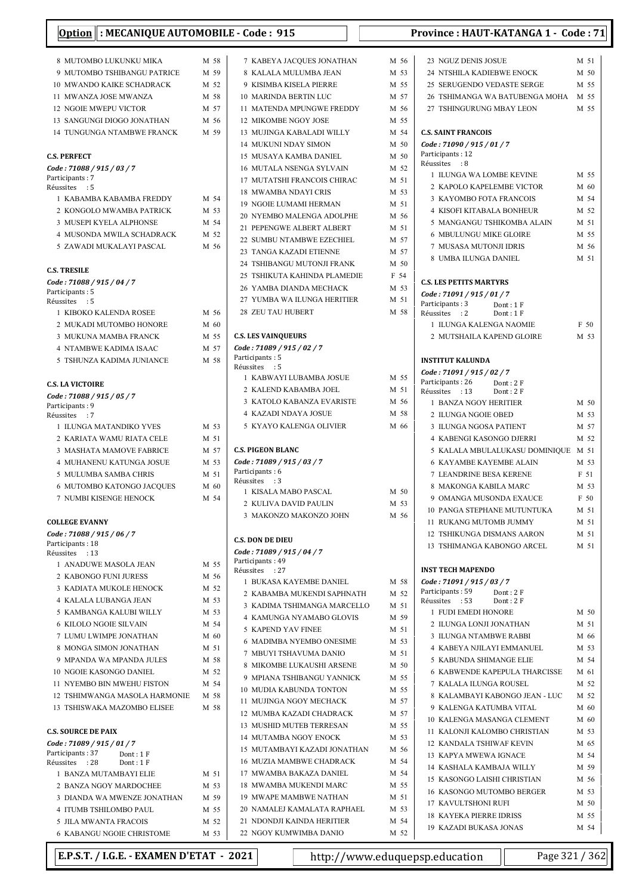#### 8 MUTOMBO LUKUNKU MIKA M 58 9 MUTOMBO TSHIBANGU PATRICE M 59 10 MWANDO KAIKE SCHADRACK M 52 11 MWANZA JOSE MWANZA M 58 12 NGOIE MWEPU VICTOR M 57 13 SANGUNGI DIOGO JONATHAN M 56 14 TUNGUNGA NTAMBWE FRANCK M 59 C.S. PERFECT Code : 71088 / 915 / 03 / 7 Participants: 7 Réussites : 5 1 KABAMBA KABAMBA FREDDY M 54 2 KONGOLO MWAMBA PATRICK M 53 3 MUSEPI KYELA ALPHONSE M 54 4 MUSONDA MWILA SCHADRACK M 52 5 ZAWADI MUKALAYI PASCAL M 56 C.S. TRESILE Code : 71088 / 915 / 04 / 7 Participants: 5 Réussites : 5 1 KIBOKO KALENDA ROSEE M 56 2 MUKADI MUTOMBO HONORE M 60 3 MUKUNA MAMBA FRANCK M 55 4 NTAMBWE KADIMA ISAAC M 57 5 TSHUNZA KADIMA JUNIANCE M 58 C.S. LA VICTOIRE Code : 71088 / 915 / 05 / 7 Particinants : 9 Réussites : 7 1 ILUNGA MATANDIKO YVES M 53 2 KARIATA WAMU RIATA CELE M 51 3 MASHATA MAMOVE FABRICE M 57 4 MUHANENU KATUNGA JOSUE M 53 5 MULUMBA SAMBA CHRIS M 51 6 MUTOMBO KATONGO JACQUES M 60 7 NUMBI KISENGE HENOCK M 54 COLLEGE EVANNY Code : 71088 / 915 / 06 / 7 Participants: 18 Réussites : 13 1 ANADUWE MASOLA JEAN M 55 2 KABONGO FUNI JURESS M 56 3 KADIATA MUKOLE HENOCK M 52 4 KALALA LUBANGA JEAN M 53 5 KAMBANGA KALUBI WILLY M 53 6 M 54 KILOLO NGOIE SILVAIN 7 LUMU LWIMPE JONATHAN M 60

- 8 MONGA SIMON JONATHAN M 51 9 MPANDA WA MPANDA JULES M 58 10 NGOIE KASONGO DANIEL M 52 11 NYEMBO BIN MWEHU FISTON M 54 12 TSHIMWANGA MASOLA HARMONIE M 58 13 TSHISWAKA MAZOMBO ELISEE M 58 C.S. SOURCE DE PAIX Code : 71089 / 915 / 01 / 7 Participants: 37 Dont: 1 F<br>Réussites : 28 Dont: 1 F Réussites : 28 1 BANZA MUTAMBAYI ELIE M 51
	- 2 BANZA NGOY MARDOCHEE M 53 3 DIANDA WA MWENZE JONATHAN M 59 4 ITUMB TSHILOMBO PAUL. M 55 5 III.A MWANTA FRACOIS M 52 6 M 53 KABANGU NGOIE CHRISTOME

7 KABEYA JACOUES JONATHAN M 56 8 KALALA MULUMBA JEAN M 53 9 KISIMBA KISELA PIERRE M 55 10 MARINDA BERTIN LUC M 57 11 MATENDA MPUNGWE FREDDY M 56 12 MIKOMBE NGOY JOSE M 55 13 MUJINGA KABALADI WILLY M 54 14 MUKUNI NDAY SIMON M 50 15 MUSAYA KAMBA DANIEL M 50 16 MUTALA NSENGA SYLVAIN M 52 17 MUTATSHI FRANCOIS CHIRAC M 51 18 MWAMBA NDAYI CRIS M 53 19 NGOIE LUMAMI HERMAN M 51 20 NYEMBO MALENGA ADOLPHE M 56 21 PEPENGWE ALBERT ALBERT M 51 22 SUMBU NTAMBWE EZECHIEL M 57 23 TANGA KAZADI ETIENNE M 57 24 TSHIBANGU MUTONJI FRANK M 50 25 TSHIKUTA KAHINDA PLAMEDIE F 54 26 YAMBA DIANDA MECHACK M 53 27 YUMBA WA ILUNGA HERITIER M 51 28 ZEU TAU HUBERT M 58 C.S. LES VAINQUEURS Code : 71089 / 915 / 02 / 7 Participants: 5 Réussites : 5 1 KABWAYI LUBAMBA JOSUE M 55 2 KALEND KABAMBA JOEL M 51 3 KATOLO KABANZA EVARISTE M 56 4 KAZADI NDAYA JOSUE M 58 5 KYAYO KALENGA OLIVIER M 66 C.S. PIGEON BLANC Code : 71089 / 915 / 03 / 7 Participants: 6 Réussites : 3 1 KISALA MABO PASCAL M 50 2 KULIVA DAVID PAULIN M 53 3 MAKONZO MAKONZO JOHN M 56 C.S. DON DE DIEU Code : 71089 / 915 / 04 / 7 Participants: 49 Réussites : 27 1 BUKASA KAYEMBE DANIEL M 58 2 KABAMBA MUKENDI SAPHNATH M 52 3 KADIMA TSHIMANGA MARCELLO M 51 4 KAMUNGA NYAMABO GLOVIS M 59 5 KAPEND YAV FINEE M 51 6 MADIMBA NYEMBO ONESIME M 53 7 MBUYI TSHAVUMA DANIO M 51 8 MIKOMBE LUKAUSHI ARSENE M 50 9 MPIANA TSHIBANGU YANNICK M 55 10 MUDIA KABUNDA TONTON M 55 11 MUJINGA NGOY MECHACK M 57 12 MUMBA KAZADI CHADRACK M 57 13 MUSHID MUTEB TERRESAN M 55 14 MUTAMBA NGOY ENOCK M 53 15 MUTAMBAYI KAZADI JONATHAN M 56 16 MUZIA MAMBWE CHADRACK M 54 17 MWAMBA BAKAZA DANIEL M 54 18 MWAMBA MUKENDI MARC M 55 19 MWAPE MAMBWE NATHAN M 51

| 23 NGUZ DENIS JOSUE                                    | M 51 |
|--------------------------------------------------------|------|
| 24 NTSHILA KADIEBWE ENOCK                              | M 50 |
| 25 SERUGENDO VEDASTE SERGE                             | M 55 |
| 26 TSHIMANGA WA BATUBENGA MOHA M 55                    |      |
| 27 TSHINGURUNG MBAY LEON                               | M 55 |
|                                                        |      |
| <b>C.S. SAINT FRANCOIS</b>                             |      |
| Code: 71090 / 915 / 01 / 7                             |      |
| Participants: 12                                       |      |
| Réussites : 8                                          |      |
| 1 ILUNGA WA LOMBE KEVINE                               | M 55 |
| 2 KAPOLO KAPELEMBE VICTOR                              | M 60 |
| <b>3 KAYOMBO FOTA FRANCOIS</b>                         | M 54 |
| <b>4 KISOFI KITABALA BONHEUR</b>                       | M 52 |
| 5 MANGANGU TSHIKOMBA ALAIN                             | M 51 |
| <b>6 MBULUNGU MIKE GLOIRE</b>                          | M 55 |
| 7 MUSASA MUTONJI IDRIS                                 | M 56 |
| 8 UMBA ILUNGA DANIEL                                   | M 51 |
| <b>C.S. LES PETITS MARTYRS</b>                         |      |
| Code: 71091 / 915 / 01 / 7                             |      |
| Participants: 3<br>Dont : 1 F                          |      |
| Réussites : 2<br>Dont: 1F                              |      |
| 1 ILUNGA KALENGA NAOMIE                                | F 50 |
| 2 MUTSHAILA KAPEND GLOIRE                              | M 53 |
| <b>INSTITUT KALUNDA</b>                                |      |
| Code: 71091 / 915 / 02 / 7                             |      |
| Participants: 26 Dont: 2F                              |      |
| Réussites : 13<br>Dont: 2F                             |      |
| 1 BANZA NGOY HERITIER                                  | M 50 |
| 2 ILUNGA NGOIE OBED                                    | M 53 |
| 3 ILUNGA NGOSA PATIENT                                 | M 57 |
| 4 KABENGI KASONGO DJERRI                               | M 52 |
| 5 KALALA MBULALUKASU DOMINIQUE                         | M 51 |
| <b>6 KAYAMBE KAYEMBE ALAIN</b>                         | M 53 |
| <b>7 LEANDRINE BESA KERENE</b>                         | F 51 |
| 8 MAKONGA KABILA MARC                                  | M 53 |
| 9 OMANGA MUSONDA EXAUCE                                | F 50 |
| 10 PANGA STEPHANE MUTUNTUKA                            | M 51 |
| 11 RUKANG MUTOMB JUMMY                                 | M 51 |
| 12 TSHIKUNGA DISMANS AARON                             | M 51 |
| 13 TSHIMANGA KABONGO ARCEL                             | M 51 |
|                                                        |      |
| <b>INST TECH MAPENDO</b><br>Code: 71091 / 915 / 03 / 7 |      |
| Participants: 59<br>Dont: 2F                           |      |
| Réussites : 53<br>Dont: 2F                             |      |
| 1 FUDI EMEDI HONORE                                    | M 50 |
|                                                        |      |
| 2 ILUNGA LONJI JONATHAN                                | M 51 |
| <b>3 ILUNGA NTAMBWE RABBI</b>                          | M 66 |
| 4  KABEYA NJILAYI EMMANUEL                             | M 53 |
| 5 KABUNDA SHIMANGE ELIE                                | M 54 |
| <b>6 KABWENDE KAPEPULA THARCISSE</b>                   | M 61 |
| 7 KALALA ILUNGA ROUSEL                                 | M 52 |
| 8 KALAMBAYI KABONGO JEAN - LUC                         | M 52 |
| 9 KALENGA KATUMBA VITAL                                | M 60 |
| 10 KALENGA MASANGA CLEMENT                             | M 60 |
| 11 KALONJI KALOMBO CHRISTIAN                           | M 53 |
| <b>12 KANDALA TSHIWAF KEVIN</b>                        | M 65 |
| 13 KAPYA MWEWA IGNACE                                  | M 54 |
| <b>14 KASHALA KAMBAJA WILLY</b>                        | M 59 |
| 15 KASONGO LAISHI CHRISTIAN                            | M 56 |
| 16 KASONGO MUTOMBO BERGER                              | M 53 |
| 17 KAVULTSHONI RUFI                                    | M 50 |
| <b>18 KAYEKA PIERRE IDRISS</b>                         | M 55 |

**E.P.S.T. / I.G.E. - EXAMEN D'ETAT - 2021** http://www.eduquepsp.education  $\vert$  Page 321 / 362

20 NAMALEJ KAMALATA RAPHAEL M 53 21 NDONDJI KAINDA HERITIER M 54 22 NGOY KUMWIMBA DANIO M 52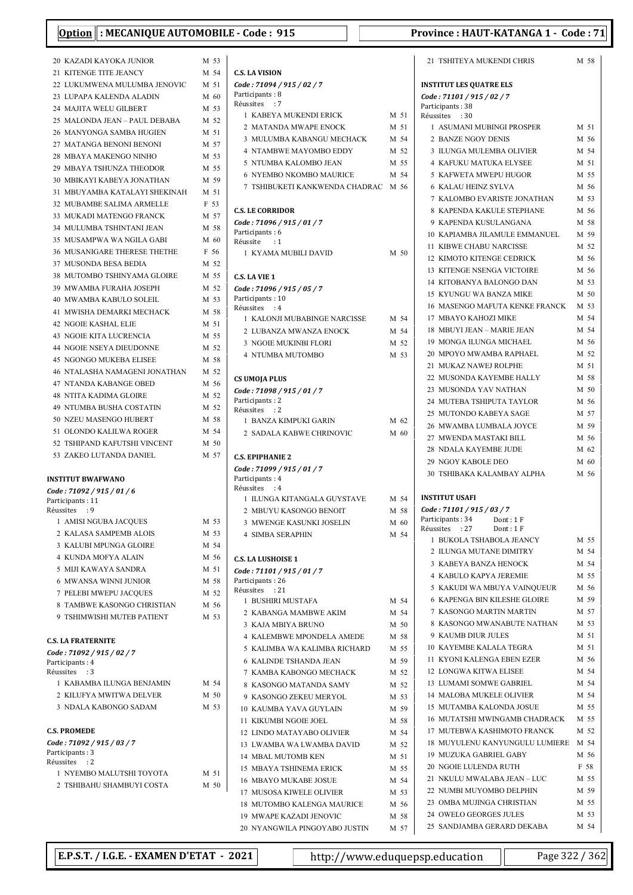| Option : MECANIQUE AUTOMOBILE - Code : 915            |                 |                                                       | P            |
|-------------------------------------------------------|-----------------|-------------------------------------------------------|--------------|
| 20 KAZADI KAYOKA JUNIOR                               | M 53            |                                                       |              |
| 21 KITENGE TITE JEANCY                                | M 54            | <b>C.S. LA VISION</b>                                 |              |
| 22 LUKUMWENA MULUMBA JENOVIC                          | M 51            | Code: 71094 / 915 / 02 / 7                            |              |
| 23 LUPAPA KALENDA ALADIN                              | M 60            | Participants: 8<br>Réussites : 7                      |              |
| 24 MAJITA WELU GILBERT                                | M 53            | 1 KABEYA MUKENDI ERICK                                | M 51         |
| 25 MALONDA JEAN - PAUL DEBABA                         | M 52<br>M 51    | 2 MATANDA MWAPE ENOCK                                 | M 51         |
| 26 MANYONGA SAMBA HUGIEN<br>27 MATANGA BENONI BENONI  | M 57            | 3 MULUMBA KABANGU MECHACK                             | M 54         |
| 28 MBAYA MAKENGO NINHO                                | M 53            | 4 NTAMBWE MAYOMBO EDDY                                | M 52         |
| 29 MBAYA TSHUNZA THEODOR                              | M 55            | 5 NTUMBA KALOMBO JEAN                                 | M 55         |
| 30 MBIKAYI KABEYA JONATHAN                            | M 59            | 6 NYEMBO NKOMBO MAURICE                               | M 54         |
| 31 MBUYAMBA KATALAYI SHEKINAH                         | M 51            | 7 TSHIBUKETI KANKWENDA CHADRAC                        | M 56         |
| 32 MUBAMBE SALIMA ARMELLE                             | F 53            | <b>C.S. LE CORRIDOR</b>                               |              |
| 33 MUKADI MATENGO FRANCK                              | M 57            | Code: 71096 / 915 / 01 / 7                            |              |
| 34 MULUMBA TSHINTANI JEAN                             | M 58            | Participants: 6                                       |              |
| 35 MUSAMPWA WA NGILA GABI                             | M 60            | Réussite<br>$\cdot$ :1                                |              |
| <b>36 MUSANIGARE THERESE THETHE</b>                   | F 56            | 1 KYAMA MUBILI DAVID                                  | M 50         |
| 37 MUSONDA BESA BEDIA<br>38 MUTOMBO TSHINYAMA GLOIRE  | M 52<br>M 55    | C.S. LA VIE 1                                         |              |
| 39 MWAMBA FURAHA JOSEPH                               | M 52            | Code: 71096 / 915 / 05 / 7                            |              |
| <b>40 MWAMBA KABULO SOLEIL</b>                        | M 53            | Participants: 10                                      |              |
| 41 MWISHA DEMARKI MECHACK                             | M 58            | Réussites : 4                                         |              |
| <b>42 NGOIE KASHAL ELIE</b>                           | M 51            | 1 KALONJI MUBABINGE NARCISSE                          | M 54         |
| 43 NGOIE KITA LUCRENCIA                               | M 55            | 2 LUBANZA MWANZA ENOCK                                | M 54         |
| <b>44 NGOIE NSEYA DIEUDONNE</b>                       | M 52            | 3 NGOIE MUKINBI FLORI                                 | M 52         |
| 45 NGONGO MUKEBA ELISEE                               | M 58            | 4 NTUMBA MUTOMBO                                      | M 53         |
| 46 NTALASHA NAMAGENI JONATHAN                         | M 52            | CS UMOJA PLUS                                         |              |
| 47 NTANDA KABANGE OBED                                | M 56            | Code: 71098 / 915 / 01 / 7                            |              |
| <b>48 NTITA KADIMA GLOIRE</b>                         | M 52            | Participants: 2                                       |              |
| 49 NTUMBA BUSHA COSTATIN                              | M 52            | Réussites : 2                                         |              |
| 50 NZEU MASENGO HUBERT<br>51 OLONDO KALILWA ROGER     | M 58<br>M 54    | 1 BANZA KIMPUKI GARIN                                 | M 62         |
| 52 TSHIPAND KAFUTSHI VINCENT                          | M <sub>50</sub> | 2 SADALA KABWE CHRINOVIC                              | M 60         |
| 53 ZAKEO LUTANDA DANIEL                               | M 57            | <b>C.S. EPIPHANIE 2</b>                               |              |
|                                                       |                 | Code: 71099 / 915 / 01 / 7                            |              |
| <b>INSTITUT BWAFWANO</b>                              |                 | Participants: 4                                       |              |
| Code: 71092 / 915 / 01 / 6                            |                 | Réussites : 4                                         |              |
| Participants : 11<br>Réussites : 9                    |                 | 1 ILUNGA KITANGALA GUYSTAVE<br>2 MBUYU KASONGO BENOIT | M 54<br>M 58 |
| 1 AMISI NGUBA JACQUES                                 | M 53            | 3 MWENGE KASUNKI JOSELIN                              | M 60         |
| 2 KALASA SAMPEMB ALOIS                                | M 53            | 4 SIMBA SERAPHIN                                      | M 54         |
| 3 KALUBI MPUNGA GLOIRE                                | M 54            |                                                       |              |
| <b>4 KUNDA MOFYA ALAIN</b>                            | M 56            | <b>C.S. LA LUSHOISE 1</b>                             |              |
| 5 MIJI KAWAYA SANDRA                                  | M 51            | Code: 71101 / 915 / 01 / 7                            |              |
| 6 MWANSA WINNI JUNIOR                                 | M 58            | Participants: 26<br>Réussites<br>$\cdot$ 21           |              |
| 7 PELEBI MWEPU JACOUES                                | M 52            | 1 BUSHIRI MUSTAFA                                     | M 54         |
| 8 TAMBWE KASONGO CHRISTIAN                            | M 56            | 2 KABANGA MAMBWE AKIM                                 | M 54         |
| 9 TSHIMWISHI MUTEB PATIENT                            | M 53            | 3 KAJA MBIYA BRUNO                                    | M 50         |
| <b>C.S. LA FRATERNITE</b>                             |                 | <b>4 KALEMBWE MPONDELA AMEDE</b>                      | M 58         |
| Code: 71092 / 915 / 02 / 7                            |                 | 5 KALIMBA WA KALIMBA RICHARD                          | M 55         |
| Participants: 4                                       |                 | 6 KALINDE TSHANDA JEAN                                | M 59         |
| Réussites : 3                                         |                 | 7 KAMBA KABONGO MECHACK                               | M 52         |
| 1 KABAMBA ILUNGA BENJAMIN                             | M 54            | 8 KASONGO MATANDA SAMY                                | M 52         |
| 2 KILUFYA MWITWA DELVER<br>3 NDALA KABONGO SADAM      | M 50<br>M 53    | 9 KASONGO ZEKEU MERYOL                                | M 53         |
|                                                       |                 | 10 KAUMBA YAVA GUYLAIN                                | M 59         |
| <b>C.S. PROMEDE</b>                                   |                 | 11 KIKUMBI NGOIE JOEL<br>12 LINDO MATAYABO OLIVIER    | M 58<br>M 54 |
| Code: 71092 / 915 / 03 / 7                            |                 | 13 LWAMBA WA LWAMBA DAVID                             | M 52         |
| Participants: 3                                       |                 | 14 MBAL MUTOMB KEN                                    | M 51         |
| Réussites : 2                                         |                 | <b>15 MBAYA TSHINEMA ERICK</b>                        | M 55         |
| 1 NYEMBO MALUTSHI TOYOTA<br>2 TSHIBAHU SHAMBUYI COSTA | M 51<br>M 50    | <b>16 MBAYO MUKABE JOSUE</b>                          | M 54         |
|                                                       |                 | 17 MUSOSA KIWELE OLIVIER                              | M 53         |
|                                                       |                 | 18 MUTOMBO KALENGA MAURICE                            | M 56         |

| <b>C.S. LA VISION</b>                              |      |              |
|----------------------------------------------------|------|--------------|
| Code: 71094 / 915 / 02 / 7<br>Participants: 8      |      |              |
| Réussites : 7                                      |      |              |
| 1 KABEYA MUKENDI ERICK                             |      | M 51         |
| 2 MATANDA MWAPE ENOCK                              |      | M 51         |
| 3 MULUMBA KABANGU MECHACK                          |      | M 54         |
| <b>4 NTAMBWE MAYOMBO EDDY</b>                      |      | M 52         |
| <b>5 NTUMBA KALOMBO JEAN</b>                       |      | M 55         |
| <b>6 NYEMBO NKOMBO MAURICE</b>                     |      | M 54         |
| 7 TSHIBUKETI KANKWENDA CHADRAC M 56                |      |              |
| <b>C.S. LE CORRIDOR</b>                            |      |              |
| Code: 71096 / 915 / 01 / 7<br>Participants: 6      |      |              |
| Réussite : 1                                       |      |              |
| 1 KYAMA MUBILI DAVID                               |      | M 50         |
| C.S. LA VIE 1                                      |      |              |
| Code: 71096 / 915 / 05 / 7                         |      |              |
| Participants: 10                                   |      |              |
| Réussites : 4<br>1 KALONJI MUBABINGE NARCISSE      | M 54 |              |
| 2 LUBANZA MWANZA ENOCK                             |      | M 54         |
| <b>3 NGOIE MUKINBI FLORI</b>                       |      | M 52         |
| <b>4 NTUMBA MUTOMBO</b>                            |      | M 53         |
|                                                    |      |              |
| <b>CS UMOJA PLUS</b><br>Code: 71098 / 915 / 01 / 7 |      |              |
| Participants: 2                                    |      |              |
| Réussites : 2                                      |      |              |
| 1 BANZA KIMPUKI GARIN                              |      | M 62         |
| 2 SADALA KABWE CHRINOVIC                           |      | M 60         |
| <b>C.S. EPIPHANIE 2</b>                            |      |              |
| Code: 71099 / 915 / 01 / 7                         |      |              |
| Participants: 4<br>Réussites : 4                   |      |              |
| 1 ILUNGA KITANGALA GUYSTAVE                        |      | M 54         |
| 2 MBUYU KASONGO BENOIT                             |      | M 58         |
| <b>3 MWENGE KASUNKI JOSELIN</b>                    |      | M 60         |
| <b>4 SIMBA SERAPHIN</b>                            |      | M 54         |
| <b>C.S. LA LUSHOISE 1</b>                          |      |              |
| Code: 71101 / 915 / 01 / 7                         |      |              |
| Participants: 26                                   |      |              |
| Réussites : 21                                     |      |              |
| 1 BUSHIRI MUSTAFA                                  |      | M 54         |
| 2 KABANGA MAMBWE AKIM<br>3 KAJA MBIYA BRUNO        |      | M 54<br>M 50 |
| <b>4 KALEMBWE MPONDELA AMEDE</b>                   |      | M 58         |
| 5 KALIMBA WA KALIMBA RICHARD                       |      | M 55         |
| <b>6 KALINDE TSHANDA JEAN</b>                      |      | M 59         |
| 7 KAMBA KABONGO MECHACK                            |      | M 52         |
| 8 KASONGO MATANDA SAMY                             |      | M 52         |
| 9 KASONGO ZEKEU MERYOL                             |      | M 53         |
| 10 KAUMBA YAVA GUYLAIN                             |      | M 59         |
| 11 KIKUMBI NGOIE JOEL                              |      | M 58         |
| 12 LINDO MATAYABO OLIVIER                          |      | M 54         |
| 13 LWAMBA WA LWAMBA DAVID                          |      | M 52         |
| <b>14 MBAL MUTOMB KEN</b>                          |      | M 51         |
| <b>15 MBAYA TSHINEMA ERICK</b>                     |      | M 55         |
| <b>16 MBAYO MUKABE JOSUE</b>                       |      | M 54         |
| 17 MUSOSA KIWELE OLIVIER                           |      | M 53         |
| 18 MUTOMBO KALENGA MAURICE                         |      | M 56         |
| 19 MWAPE KAZADI JENOVIC                            |      | M 58         |
| 20 NYANGWILA PINGOYABO JUSTIN                      |      | M 57         |
|                                                    |      |              |

| Province : HAUT-KATANGA 1 - Code : 71 |
|---------------------------------------|
|---------------------------------------|

|              | 21 TSHITEYA MUKENDI CHRIS                          | M 58         |
|--------------|----------------------------------------------------|--------------|
|              | <b>INSTITUT LES QUATRE ELS</b>                     |              |
|              | Code: 71101 / 915 / 02 / 7                         |              |
|              | Participants: 38                                   |              |
| M 51         | Réussites<br>$\cdot$ 30                            |              |
| M 51         | 1 ASUMANI MUBINGI PROSPER                          | M 51         |
| M 54         | 2 BANZE NGOY DENIS                                 | M 56         |
| M 52         | 3 ILUNGA MULEMBA OLIVIER                           | M 54         |
| M 55         | <b>4 KAFUKU MATUKA ELYSEE</b>                      | M 51         |
| M 54         | 5 KAFWETA MWEPU HUGOR                              | M 55         |
| M 56         | <b>6 KALAU HEINZ SYLVA</b>                         | M 56         |
|              | 7  KALOMBO EVARISTE JONATHAN                       | M 53<br>M 56 |
|              | 8 KAPENDA KAKULE STEPHANE<br>9 KAPENDA KUSULANGANA | M 58         |
|              | 10 KAPIAMBA JILAMULE EMMANUEL                      | M 59         |
|              | 11 KIBWE CHABU NARCISSE                            | M 52         |
| M 50         | 12 KIMOTO KITENGE CEDRICK                          | M 56         |
|              | <b>13 KITENGE NSENGA VICTOIRE</b>                  | M 56         |
|              | 14 KITOBANYA BALONGO DAN                           | M 53         |
|              | 15 KYUNGU WA BANZA MIKE                            | M 50         |
|              | 16 MASENGO MAFUTA KENKE FRANCK                     | M 53         |
| M 54         | 17 MBAYO KAHOZI MIKE                               | M 54         |
| M 54         | 18 MBUYI JEAN – MARIE JEAN                         | M 54         |
| M 52         | 19 MONGA ILUNGA MICHAEL                            | M 56         |
| M 53         | 20 MPOYO MWAMBA RAPHAEL                            | M 52         |
|              | 21 MUKAZ NAWEJ ROLPHE                              | M 51         |
|              | 22 MUSONDA KAYEMBE HALLY                           | M 58         |
|              | 23 MUSONDA YAV NATHAN                              | M 50         |
|              | 24 MUTEBA TSHIPUTA TAYLOR                          | M 56         |
| M 62         | 25 MUTONDO KABEYA SAGE                             | M 57         |
| M 60         | 26 MWAMBA LUMBALA JOYCE                            | M 59         |
|              | 27 MWENDA MASTAKI BILL                             | M 56         |
|              | 28 NDALA KAYEMBE JUDE<br>29 NGOY KABOLE DEO        | M 62         |
|              |                                                    | M 60         |
|              |                                                    |              |
|              | <b>30 TSHIBAKA KALAMBAY ALPHA</b>                  | M 56         |
| M 54         | <b>INSTITUT USAFI</b>                              |              |
| M 58         | Code : 71101 / 915 / 03 / 7                        |              |
| M 60         | Participants: 34<br>Dont : 1 F                     |              |
| M 54         | Réussites<br>: 27<br>Dont: 1 F                     |              |
|              | 1 BUKOLA TSHABOLA JEANCY                           | M 55         |
|              | 2 ILUNGA MUTANE DIMITRY<br>3 KABEYA BANZA HENOCK   | M 54<br>M 54 |
|              | 4 KABULO KAPYA JEREMIE                             | M 55         |
|              | 5  KAKUDI WA MBUYA VAINQUEUR                       | M 56         |
| M 54         | 6 KAPENGA BIN KILESHE GLOIRE                       | M 59         |
| M 54         | 7 KASONGO MARTIN MARTIN                            | M 57         |
| M 50         | 8 KASONGO MWANABUTE NATHAN                         | M 53         |
| M 58         | 9 KAUMB DIUR JULES                                 | M 51         |
| M 55         | 10 KAYEMBE KALALA TEGRA                            | M 51         |
| M 59         | 11 KYONI KALENGA EBEN EZER                         | M 56         |
| M 52         | 12 LONGWA KITWA ELISEE                             | M 54         |
| M 52         | 13 LUMAMI SOMWE GABRIEL                            | M 54         |
| M 53         | 14 MALOBA MUKELE OLIVIER                           | M 54         |
| M 59         | 15 MUTAMBA KALONDA JOSUE                           | M 55         |
| M 58         | 16 MUTATSHI MWINGAMB CHADRACK                      | M 55         |
| M 54         | 17 MUTEBWA KASHIMOTO FRANCK                        | M 52         |
| M 52         | 18 MUYULENU KANYUNGULU LUMIERE M 54                |              |
| M 51         | 19 MUZUKA GABRIEL GABY<br>20 NGOIE LULENDA RUTH    | M 56<br>F 58 |
| M 55         | 21 NKULU MWALABA JEAN – LUC                        | M 55         |
| M 54<br>M 53 | 22 NUMBI MUYOMBO DELPHIN                           | M 59         |
| M 56         | 23 OMBA MUJINGA CHRISTIAN                          | M 55         |
| M 58         | 24 OWELO GEORGES JULES                             | M 53         |

E.P.S.T. / I.G.E. - EXAMEN D'ETAT - 2021 http://www.eduquepsp.education Page 322 / 362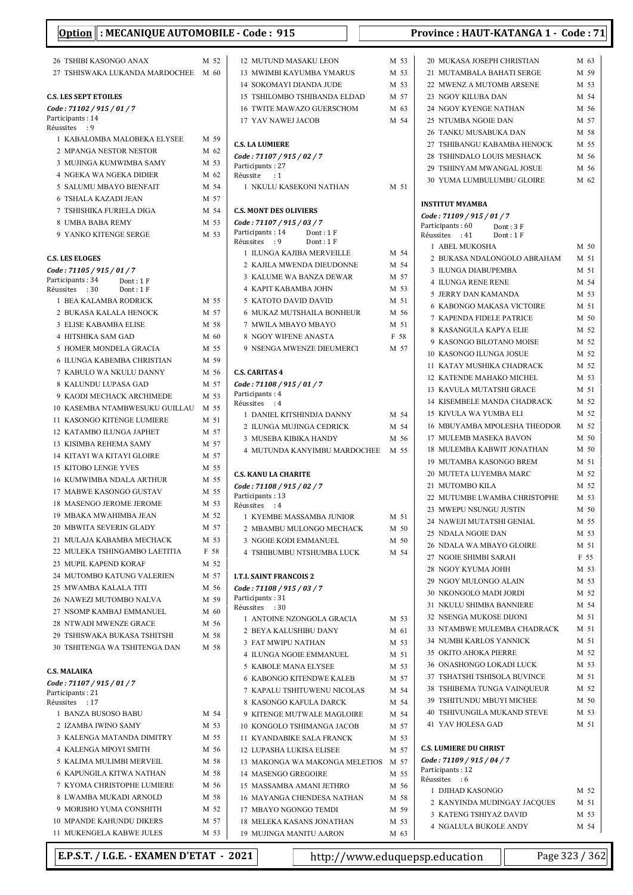| Option : MECANIQUE AUTOMOBILE - Code : 915                   |      |                                                           |      | Province: HAUT-KATANGA 1 - Code: 71 |      |
|--------------------------------------------------------------|------|-----------------------------------------------------------|------|-------------------------------------|------|
| 26 TSHIBI KASONGO ANAX                                       | M 52 | 12 MUTUND MASAKU LEON                                     | M 53 | 20 MUKASA JOSEPH CHRISTIAN          | M 63 |
| 27 TSHISWAKA LUKANDA MARDOCHEE M 60                          |      | 13 MWIMBI KAYUMBA YMARUS                                  | M 53 | 21 MUTAMBALA BAHATI SERGE           | M 59 |
|                                                              |      | 14 SOKOMAYI DIANDA JUDE                                   | M 53 | 22 MWENZ A MUTOMB ARSENE            | M 53 |
| <b>C.S. LES SEPT ETOILES</b>                                 |      | 15 TSHILOMBO TSHIBANDA ELDAD                              | M 57 | 23 NGOY KILUBA DAN                  | M 54 |
| Code: 71102 / 915 / 01 / 7                                   |      | 16 TWITE MAWAZO GUERSCHOM                                 | M 63 | 24 NGOY KYENGE NATHAN               | M 56 |
| Participants: 14                                             |      | 17 YAV NAWEJ JACOB                                        | M 54 | 25 NTUMBA NGOIE DAN                 | M 57 |
| Réussites : 9                                                |      |                                                           |      | 26 TANKU MUSABUKA DAN               | M 58 |
| 1 KABALOMBA MALOBEKA ELYSEE                                  | M 59 | <b>C.S. LA LUMIERE</b>                                    |      | 27 TSHIBANGU KABAMBA HENOCK         | M 55 |
| 2 MPANGA NESTOR NESTOR                                       | M 62 | Code: 71107 / 915 / 02 / 7                                |      | 28 TSHINDALO LOUIS MESHACK          | M 56 |
| 3 MUJINGA KUMWIMBA SAMY                                      | M 53 | Participants: 27                                          |      | 29 TSHINYAM MWANGAL JOSUE           | M 56 |
| 4 NGEKA WA NGEKA DIDIER                                      | M 62 | Réussite<br>$\cdot$ :1                                    |      | 30 YUMA LUMBULUMBU GLOIRE           | M 62 |
| 5 SALUMU MBAYO BIENFAIT                                      | M 54 | 1 NKULU KASEKONI NATHAN                                   | M 51 |                                     |      |
| <b>6 TSHALA KAZADI JEAN</b>                                  | M 57 |                                                           |      | <b>INSTITUT MYAMBA</b>              |      |
| 7 TSHISHIKA FURIELA DIGA                                     | M 54 | <b>C.S. MONT DES OLIVIERS</b>                             |      | Code: 71109 / 915 / 01 / 7          |      |
| 8 UMBA BABA REMY                                             | M 53 | Code: 71107 / 915 / 03 / 7                                |      | Participants: 60<br>Dont: 3 F       |      |
| 9 YANKO KITENGE SERGE                                        | M 53 | Participants: 14<br>Dont: 1F<br>Réussites : 9<br>Dont: 1F |      | Réussites : 41<br>Dont: 1F          |      |
|                                                              |      | 1 ILUNGA KAJIBA MERVEILLE                                 | M 54 | 1 ABEL MUKOSHA                      | M 50 |
| <b>C.S. LES ELOGES</b>                                       |      | 2 KAJILA MWENDA DIEUDONNE                                 | M 54 | 2 BUKASA NDALONGOLO ABRAHAM         | M 51 |
| Code: 71105 / 915 / 01 / 7                                   |      | 3 KALUME WA BANZA DEWAR                                   | M 57 | 3 ILUNGA DIABUPEMBA                 | M 51 |
| Participants: 34<br>Dont: 1 F<br>Réussites : 30<br>Dont: 1 F |      | 4 KAPIT KABAMBA JOHN                                      | M 53 | <b>4 ILUNGA RENE RENE</b>           | M 54 |
| 1 BEA KALAMBA RODRICK                                        | M 55 | 5 KATOTO DAVID DAVID                                      | M 51 | 5 JERRY DAN KAMANDA                 | M 53 |
| 2 BUKASA KALALA HENOCK                                       | M 57 | 6 MUKAZ MUTSHAILA BONHEUR                                 | M 56 | <b>6 KABONGO MAKASA VICTOIRE</b>    | M 51 |
| 3 ELISE KABAMBA ELISE                                        | M 58 | 7 MWILA MBAYO MBAYO                                       | M 51 | 7 KAPENDA FIDELE PATRICE            | M 50 |
| 4 HITSHIKA SAM GAD                                           | M 60 | 8 NGOY WIFENE ANASTA                                      | F 58 | 8 KASANGULA KAPYA ELIE              | M 52 |
| 5 HOMER MONDELA GRACIA                                       | M 55 | 9 NSENGA MWENZE DIEUMERCI                                 | M 57 | 9 KASONGO BILOTANO MOISE            | M 52 |
| <b>6 ILUNGA KABEMBA CHRISTIAN</b>                            | M 59 |                                                           |      | 10 KASONGO ILUNGA JOSUE             | M 52 |
| 7 KABULO WA NKULU DANNY                                      | M 56 | <b>C.S. CARITAS 4</b>                                     |      | 11 KATAY MUSHIKA CHADRACK           | M 52 |
| 8 KALUNDU LUPASA GAD                                         | M 57 | Code: 71108 / 915 / 01 / 7                                |      | 12 KATENDE MAHAKO MICHEL            | M 53 |
| 9 KAODI MECHACK ARCHIMEDE                                    | M 53 | Participants: 4                                           |      | 13 KAVULA MUTATSHI GRACE            | M 51 |
| 10 KASEMBA NTAMBWESUKU GUILLAU                               | M 55 | Réussites : 4                                             |      | 14 KISEMBELE MANDA CHADRACK         | M 52 |
| 11 KASONGO KITENGE LUMIERE                                   | M 51 | 1 DANIEL KITSHINDJA DANNY                                 | M 54 | 15 KIVULA WA YUMBA ELI              | M 52 |
| 12 KATAMBO ILUNGA JAPHET                                     | M 57 | 2 ILUNGA MUJINGA CEDRICK                                  | M 54 | 16 MBUYAMBA MPOLESHA THEODOR        | M 52 |
| 13 KISIMBA REHEMA SAMY                                       | M 57 | 3 MUSEBA KIBIKA HANDY                                     | M 56 | 17 MULEMB MASEKA BAVON              | M 50 |
| 14 KITAYI WA KITAYI GLOIRE                                   | M 57 | 4 MUTUNDA KANYIMBU MARDOCHEE                              | M 55 | 18 MULEMBA KABWIT JONATHAN          | M 50 |
| <b>15 KITOBO LENGE YVES</b>                                  | M 55 |                                                           |      | 19 MUTAMBA KASONGO BREM             | M 51 |
| <b>16 KUMWIMBA NDALA ARTHUR</b>                              | M 55 | <b>C.S. KANU LA CHARITE</b>                               |      | 20 MUTETA LUYEMBA MARC              | M 52 |
| 17 MABWE KASONGO GUSTAV                                      | M 55 | Code: 71108 / 915 / 02 / 7                                |      | 21 MUTOMBO KILA                     | M 52 |
| 18 MASENGO JEROME JEROME                                     | M 53 | Participants: 13<br>Réussites : 4                         |      | 22 MUTUMBE LWAMBA CHRISTOPHE        | M 53 |
| 19 MBAKA MWAHIMBA JEAN                                       | M 52 | 1 KYEMBE MASSAMBA JUNIOR                                  | M 51 | 23 MWEPU NSUNGU JUSTIN              | M 50 |
| 20 MBWITA SEVERIN GLADY                                      | M 57 | 2 MBAMBU MULONGO MECHACK                                  | M 50 | 24 NAWEJI MUTATSHI GENIAL           | M 55 |
| 21 MULAJA KABAMBA MECHACK                                    | M 53 | 3 NGOIE KODI EMMANUEL                                     | M 50 | 25 NDALA NGOIE DAN                  | M 53 |
| 22 MULEKA TSHINGAMBO LAETITIA                                | F 58 | 4 TSHIBUMBU NTSHUMBA LUCK                                 | M 54 | 26 NDALA WA MBAYO GLOIRE            | M 51 |
| 23 MUPIL KAPEND KORAF                                        | M 52 |                                                           |      | 27 NGOIE SHIMBI SARAH               | F 55 |
| 24 MUTOMBO KATUNG VALERIEN                                   | M 57 | <b>I.T.I. SAINT FRANCOIS 2</b>                            |      | 28 NGOY KYUMA JOHH                  | M 53 |
| 25 MWAMBA KALALA TITI                                        | M 56 | Code: 71108 / 915 / 03 / 7                                |      | 29 NGOY MULONGO ALAIN               | M 53 |
| 26 NAWEZI MUTOMBO NALVA                                      | M 59 | Participants: 31                                          |      | 30 NKONGOLO MADI JORDI              | M 52 |
| 27 NSOMP KAMBAJ EMMANUEL                                     | M 60 | Réussites : 30                                            |      | 31 NKULU SHIMBA BANNIERE            | M 54 |
| 28 NTWADI MWENZE GRACE                                       | M 56 | 1 ANTOINE NZONGOLA GRACIA                                 | M 53 | 32 NSENGA MUKOSE DIJONI             | M 51 |
| 29 TSHISWAKA BUKASA TSHITSHI                                 | M 58 | 2 BEYA KALUSHIBU DANY                                     | M 61 | 33 NTAMBWE MULEMBA CHADRACK         | M 51 |
| 30 TSHITENGA WA TSHITENGA DAN                                | M 58 | 3 FAT MWIPU NATHAN                                        | M 53 | 34 NUMBI KARLOS YANNICK             | M 51 |
|                                                              |      | 4 ILUNGA NGOIE EMMANUEL                                   | M 51 | 35 OKITO AHOKA PIERRE               | M 52 |
| <b>C.S. MALAIKA</b>                                          |      | 5 KABOLE MANA ELYSEE                                      | M 53 | 36 ONASHONGO LOKADI LUCK            | M 53 |
| Code: 71107 / 915 / 01 / 7                                   |      | <b>6 KABONGO KITENDWE KALEB</b>                           | M 57 | 37 TSHATSHI TSHISOLA BUVINCE        | M 51 |
| Participants: 21                                             |      | 7 KAPALU TSHITUWENU NICOLAS                               | M 54 | 38 TSHIBEMA TUNGA VAINQUEUR         | M 52 |
| Réussites : 17                                               |      | 8 KASONGO KAFULA DARCK                                    | M 54 | 39 TSHITUNDU MBUYI MICHEE           | M 50 |
| 1 BANZA BUSOSO BABU                                          | M 54 | 9 KITENGE MUTWALE MAGLOIRE                                | M 54 | 40 TSHIVUNGILA MUKAND STEVE         | M 53 |
| 2 IZAMBA IWINO SAMY                                          | M 53 | 10 KONGOLO TSHIMANGA JACOB                                | M 57 | 41 YAV HOLESA GAD                   | M 51 |
| 3 KALENGA MATANDA DIMITRY                                    | M 55 | <b>11 KYANDABIKE SALA FRANCK</b>                          | M 53 |                                     |      |
| 4 KALENGA MPOYI SMITH                                        | M 56 | 12 LUPASHA LUKISA ELISEE                                  | M 57 | <b>C.S. LUMIERE DU CHRIST</b>       |      |
| 5 KALIMA MULIMBI MERVEIL                                     | M 58 | 13 MAKONGA WA MAKONGA MELETIOS                            | M 57 | Code: 71109 / 915 / 04 / 7          |      |
| 6 KAPUNGILA KITWA NATHAN                                     | M 58 | 14 MASENGO GREGOIRE                                       | M 55 | Participants: 12<br>Réussites : 6   |      |
| 7 KYOMA CHRISTOPHE LUMIERE                                   | M 56 | 15 MASSAMBA AMANI JETHRO                                  | M 56 | 1 DJIHAD KASONGO                    | M 52 |
| 8 LWAMBA MUKADI ARNOLD                                       | M 58 | 16 MAYANGA CHENDESA NATHAN                                | M 58 | 2 KANYINDA MUDINGAY JACQUES         | M 51 |
| 9 MORISHO YUMA CONSHITH                                      | M 52 | 17 MBAYO NGONGO TEMDI                                     | M 59 | 3 KATENG TSHIYAZ DAVID              | M 53 |
| 10 MPANDE KAHUNDU DIKERS                                     | M 57 | <b>18 MELEKA KASANS JONATHAN</b>                          | M 53 | 4 NGALULA BUKOLE ANDY               | M 54 |
| 11 MUKENGELA KABWE JULES                                     | M 53 | 19 MUJINGA MANITU AARON                                   | M 63 |                                     |      |

E.P.S.T. / I.G.E. - EXAMEN D'ETAT - 2021 http://www.eduquepsp.education Page 323 / 362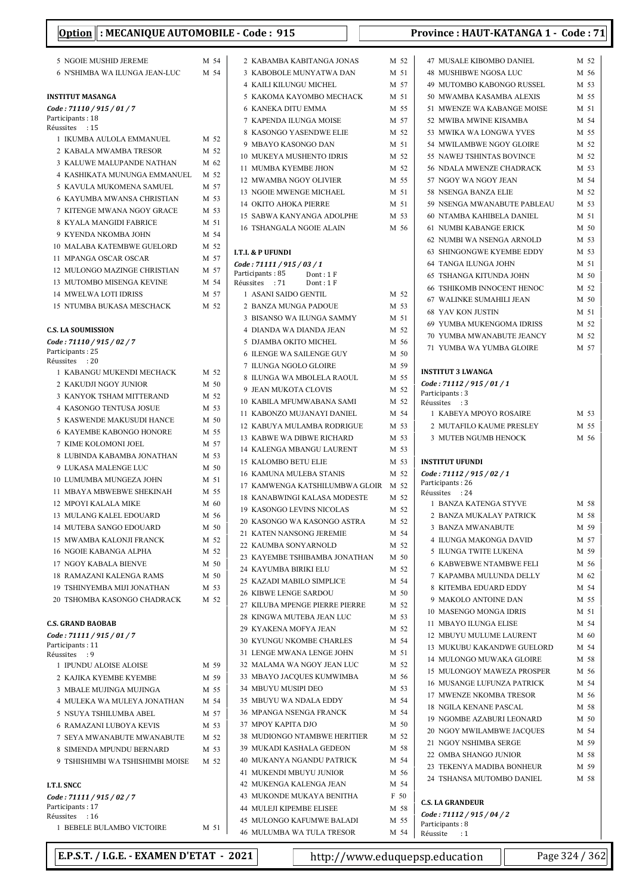| 5 NGOIE MUSHID JEREME                                          | M 54         | 2 KABAMBA KABITANGA JONAS                                        | M 52         | 47 MUSALE                           |
|----------------------------------------------------------------|--------------|------------------------------------------------------------------|--------------|-------------------------------------|
| 6 N'SHIMBA WA ILUNGA JEAN-LUC                                  | M 54         | 3 KABOBOLE MUNYATWA DAN                                          | M 51         | 48 MUSHIB                           |
|                                                                |              | <b>4 KAILI KILUNGU MICHEL</b>                                    | M 57         | 49 MUTOM                            |
| <b>INSTITUT MASANGA</b>                                        |              | 5 KAKOMA KAYOMBO MECHACK                                         | M 51         | 50 MWAMB                            |
| Code: 71110 / 915 / 01 / 7                                     |              | <b>6 KANEKA DITU EMMA</b>                                        | M 55         | 51 MWENZI                           |
| Participants: 18<br>Réussites : 15                             |              | 7 KAPENDA ILUNGA MOISE                                           | M 57         | 52 MWIBA I                          |
| 1 IKUMBA AULOLA EMMANUEL                                       | M 52         | 8 KASONGO YASENDWE ELIE                                          | M 52         | 53 MWIKA                            |
| 2 KABALA MWAMBA TRESOR                                         | M 52         | 9 MBAYO KASONGO DAN                                              | M 51         | 54 MWILAN                           |
| 3 KALUWE MALUPANDE NATHAN                                      | M 62         | 10 MUKEYA MUSHENTO IDRIS                                         | M 52         | 55 NAWEJ 7                          |
| 4 KASHIKATA MUNUNGA EMMANUEL                                   | M 52         | 11 MUMBA KYEMBE JHON<br>12 MWAMBA NGOY OLIVIER                   | M 52<br>M 55 | 56 NDALA I<br>57 NGOY W             |
| 5 KAVULA MUKOMENA SAMUEL                                       | M 57         | 13 NGOIE MWENGE MICHAEL                                          | M 51         | 58 NSENGA                           |
| 6 KAYUMBA MWANSA CHRISTIAN                                     | M 53         | <b>14 OKITO AHOKA PIERRE</b>                                     | M 51         | 59 NSENGA                           |
| 7 KITENGE MWANA NGOY GRACE                                     | M 53         | 15 SABWA KANYANGA ADOLPHE                                        | M 53         | 60 NTAMBA                           |
| 8 KYALA MANGIDI FABRICE                                        | M 51         | <b>16 TSHANGALA NGOIE ALAIN</b>                                  | M 56         | 61 NUMBI F                          |
| 9 KYENDA NKOMBA JOHN                                           | M 54         |                                                                  |              | 62 NUMBI V                          |
| <b>10 MALABA KATEMBWE GUELORD</b>                              | M 52         | <b>I.T.I. &amp; P UFUNDI</b>                                     |              | 63 SHINGOI                          |
| 11 MPANGA OSCAR OSCAR                                          | M 57         | Code: 71111 / 915 / 03 / 1                                       |              | 64 TANGA I                          |
| 12 MULONGO MAZINGE CHRISTIAN                                   | M 57<br>M 54 | Participants: 85<br>Dont: $1 F$                                  |              | 65 TSHANG                           |
| 13 MUTOMBO MISENGA KEVINE<br><b>14 MWELWA LOTI IDRISS</b>      | M 57         | Réussites : 71<br>Dont: 1F<br>1 ASANI SAIDO GENTIL               | M 52         | <b>66 TSHIKON</b>                   |
| 15 NTUMBA BUKASA MESCHACK                                      | M 52         | 2 BANZA MUNGA PADOUE                                             | M 53         | 67 WALINK                           |
|                                                                |              | 3 BISANSO WA ILUNGA SAMMY                                        | M 51         | 68 YAV KO                           |
| <b>C.S. LA SOUMISSION</b>                                      |              | 4 DIANDA WA DIANDA JEAN                                          | M 52         | 69 YUMBA                            |
| Code: 71110 / 915 / 02 / 7                                     |              | 5 DJAMBA OKITO MICHEL                                            | M 56         | 70 YUMBA                            |
| Participants: 25                                               |              | <b>6 ILENGE WA SAILENGE GUY</b>                                  | M 50         | 71 YUMBA                            |
| Réussites<br>$\therefore 20$                                   |              | 7 ILUNGA NGOLO GLOIRE                                            | M 59         |                                     |
| 1 KABANGU MUKENDI MECHACK                                      | M 52         | 8 ILUNGA WA MBOLELA RAOUL                                        | M 55         | <b>INSTITUT 3 LV</b><br>Code: 71112 |
| 2 KAKUDJI NGOY JUNIOR<br>3 KANYOK TSHAM MITTERAND              | M 50<br>M 52 | 9 JEAN MUKOTA CLOVIS                                             | M 52         | Participants: 3                     |
| 4 KASONGO TENTUSA JOSUE                                        | M 53         | 10 KABILA MFUMWABANA SAMI                                        | M 52         | Réussites<br>$\cdot$ :3             |
| 5 KASWENDE MAKUSUDI HANCE                                      | M 50         | 11 KABONZO MUJANAYI DANIEL                                       | M 54         | 1 KABEYA                            |
| <b>6 KAYEMBE KABONGO HONORE</b>                                | M 55         | 12 KABUYA MULAMBA RODRIGUE                                       | M 53         | 2 MUTAFII                           |
| 7 KIME KOLOMONI JOEL                                           | M 57         | 13 KABWE WA DIBWE RICHARD                                        | M 53         | 3 MUTEB I                           |
| 8 LUBINDA KABAMBA JONATHAN                                     | M 53         | 14 KALENGA MBANGU LAURENT                                        | M 53         |                                     |
| 9 LUKASA MALENGE LUC                                           | M 50         | 15 KALOMBO BETU ELIE                                             | M 53         | <b>INSTITUT UFU</b>                 |
| 10 LUMUMBA MUNGEZA JOHN                                        | M 51         | <b>16 KAMUNA MULEBA STANIS</b><br>17 KAMWENGA KATSHILUMBWA GLOIR | M 52<br>M 52 | Code : 71112 /<br>Participants: 2   |
| 11 MBAYA MBWEBWE SHEKINAH                                      | M 55         | <b>18 KANABWINGI KALASA MODESTE</b>                              | M 52         | Réussites : 2                       |
| 12 MPOYI KALALA MIKE                                           | M 60         | <b>19 KASONGO LEVINS NICOLAS</b>                                 | M 52         | 1 BANZA F                           |
| <b>13 MULANG KALEL EDOUARD</b>                                 | M 56         | 20 KASONGO WA KASONGO ASTRA                                      | M 52         | 2 BANZAN                            |
| 14 MUTEBA SANGO EDOUARD                                        | M 50         | 21 KATEN NANSONG JEREMIE                                         | M 54         | 3 BANZA N                           |
| 15 MWAMBA KALONJI FRANCK                                       | M 52         | 22 KAUMBA SONYARNOLD                                             | M 52         | 4 ILUNGA                            |
| <b>16 NGOIE KABANGA ALPHA</b>                                  | M 52         | 23 KAYEMBE TSHIBAMBA JONATHAN                                    | M 50         | 5 ILUNGA                            |
| 17 NGOY KABALA BIENVE                                          | M 50         | 24 KAYUMBA BIRIKI ELU                                            | M 52         | 6 KABWEE                            |
| <b>18 RAMAZANI KALENGA RAMS</b><br>19 TSHINYEMBA MIJI JONATHAN | M 50<br>M 53 | 25 KAZADI MABILO SIMPLICE                                        | M 54         | 7 KAPAME<br>8 KITEMB.               |
| 20 TSHOMBA KASONGO CHADRACK                                    | M 52         | <b>26 KIBWE LENGE SARDOU</b>                                     | M 50         | 9 MAKOLO                            |
|                                                                |              | 27 KILUBA MPENGE PIERRE PIERRE                                   | M 52         | 10 MASENC                           |
| <b>C.S. GRAND BAOBAB</b>                                       |              | 28 KINGWA MUTEBA JEAN LUC                                        | M 53         | 11 MBAYO                            |
| Code: 71111 / 915 / 01 / 7                                     |              | 29 KYAKENA MOFYA JEAN                                            | M 52         | 12 MBUYU                            |
| Participants: 11                                               |              | 30 KYUNGU NKOMBE CHARLES                                         | M 54         | 13 MUKUBI                           |
| Réussites : 9                                                  |              | 31 LENGE MWANA LENGE JOHN<br>32 MALAMA WA NGOY JEAN LUC          | M 51<br>M 52 | 14 MULONO                           |
| 1 IPUNDU ALOISE ALOISE<br>2 KAJIKA KYEMBE KYEMBE               | M 59<br>M 59 | 33 MBAYO JACQUES KUMWIMBA                                        | M 56         | 15 MULONO                           |
| 3 MBALE MUJINGA MUJINGA                                        | M 55         | 34 MBUYU MUSIPI DEO                                              | M 53         | 16 MUSANG                           |
| 4 MULEKA WA MULEYA JONATHAN                                    | M 54         | 35 MBUYU WA NDALA EDDY                                           | M 54         | 17 MWENZI                           |
| 5 NSUYA TSHILUMBA ABEL                                         | M 57         | 36 MPANGA NSENGA FRANCK                                          | M 54         | 18 NGILAK                           |
| <b>6 RAMAZANI LUBOYA KEVIS</b>                                 | M 53         | 37 MPOY KAPITA DJO                                               | M 50         | 19 NGOMBI                           |
| 7 SEYA MWANABUTE MWANABUTE                                     | M 52         | 38 MUDIONGO NTAMBWE HERITIER                                     | M 52         | 20 NGOY M                           |
| 8 SIMENDA MPUNDU BERNARD                                       | M 53         | 39 MUKADI KASHALA GEDEON                                         | M 58         | 21 NGOY N                           |
| 9 TSHISHIMBI WA TSHISHIMBI MOISE                               | M 52         | 40 MUKANYA NGANDU PATRICK                                        | M 54         | 22 OMBA SI<br>23 TEKENY             |
|                                                                |              | 41 MUKENDI MBUYU JUNIOR                                          | M 56         | 24 TSHANS.                          |
| <b>I.T.I. SNCC</b>                                             |              | 42 MUKENGA KALENGA JEAN                                          | M 54         |                                     |
| Code: 71111 / 915 / 02 / 7                                     |              | 43 MUKONDE MUKAYA BENITHA                                        | F 50         | <b>C.S. LA GRANI</b>                |
| Participants: 17<br>Réussites<br>$\cdot$ 16                    |              | <b>44 MULEJI KIPEMBE ELISEE</b>                                  | M 58         | Code: 71112                         |
| 1 BEBELE BULAMBO VICTOIRE                                      | M 51         | 45 MULONGO KAFUMWE BALADI                                        | M 55         | Participants: 8                     |
|                                                                |              | <b>46 MULUMBA WA TULA TRESOR</b>                                 | M 54         | Réussite : 1                        |

| M 52 | <b>47 MUSALE KIBOMBO DANIEL</b>                  | M 52            |
|------|--------------------------------------------------|-----------------|
| M 51 | <b>48 MUSHIBWE NGOSA LUC</b>                     | M 56            |
| M 57 | 49 MUTOMBO KABONGO RUSSEL                        | M 53            |
| M 51 | 50 MWAMBA KASAMBA ALEXIS                         | M 55            |
| M 55 | 51 MWENZE WA KABANGE MOISE                       | M 51            |
| M 57 | 52 MWIBA MWINE KISAMBA                           | M 54            |
|      |                                                  |                 |
| M 52 | 53 MWIKA WA LONGWA YVES                          | M 55            |
| M 51 | 54 MWILAMBWE NGOY GLOIRE                         | M 52            |
| M 52 | 55 NAWEJ TSHINTAS BOVINCE                        | M 52            |
| M 52 | <b>56 NDALA MWENZE CHADRACK</b>                  | M 53            |
| M 55 | 57 NGOY WA NGOY JEAN                             | M 54            |
| M 51 | 58 NSENGA BANZA ELIE                             | M 52            |
| M 51 | 59 NSENGA MWANABUTE PABLEAU                      | M 53            |
|      |                                                  |                 |
| M 53 | 60 NTAMBA KAHIBELA DANIEL                        | M 51            |
| M 56 | <b>61 NUMBI KABANGE ERICK</b>                    | M 50            |
|      | 62 NUMBI WA NSENGA ARNOLD                        | M 53            |
|      | 63 SHINGONGWE KYEMBE EDDY                        | M 53            |
|      | 64 TANGA ILUNGA JOHN                             | M 51            |
|      | <b>65 TSHANGA KITUNDA JOHN</b>                   | M <sub>50</sub> |
|      | <b>66 TSHIKOMB INNOCENT HENOC</b>                | M 52            |
| M 52 | 67 WALINKE SUMAHILI JEAN                         |                 |
| M 53 |                                                  | M 50            |
| M 51 | <b>68 YAV KON JUSTIN</b>                         | M 51            |
| M 52 | 69 YUMBA MUKENGOMA IDRISS                        | M 52            |
| M 56 | 70 YUMBA MWANABUTE JEANCY                        | M 52            |
|      | 71 YUMBA WA YUMBA GLOIRE                         | M 57            |
| M 50 |                                                  |                 |
| M 59 | <b>INSTITUT 3 LWANGA</b>                         |                 |
| M 55 | Code: 71112 / 915 / 01 / 1                       |                 |
| M 52 | Participants: 3                                  |                 |
| M 52 | Réussites : 3                                    |                 |
| M 54 | 1 KABEYA MPOYO ROSAIRE                           | M 53            |
| M 53 | 2 MUTAFILO KAUME PRESLEY                         | M 55            |
| M 53 | 3 MUTEB NGUMB HENOCK                             | M 56            |
|      |                                                  |                 |
|      |                                                  |                 |
| M 53 |                                                  |                 |
| M 53 | <b>INSTITUT UFUNDI</b>                           |                 |
| M 52 | Code: 71112 / 915 / 02 / 1                       |                 |
| M 52 | Participants: 26                                 |                 |
| M 52 | Réussites : 24                                   |                 |
| M 52 | 1 BANZA KATENGA STYVE                            | M 58            |
| M 52 | 2 BANZA MUKALAY PATRICK                          | M 58            |
|      | 3 BANZA MWANABUTE                                | M 59            |
| M 54 | <b>4 ILUNGA MAKONGA DAVID</b>                    | M 57            |
| M 52 | 5 ILUNGA TWITE LUKENA                            | M 59            |
| M 50 | <b>6 KABWEBWE NTAMBWE FELI</b>                   | M 56            |
| M 52 |                                                  | M 62            |
| M 54 | 7 KAPAMBA MULUNDA DELLY<br>8 KITEMBA EDUARD EDDY | M 54            |
| M 50 |                                                  |                 |
| M 52 | 9 MAKOLO ANTOINE DAN                             | M 55            |
| M 53 | 10 MASENGO MONGA IDRIS                           | M 51            |
| M 52 | 11 MBAYO ILUNGA ELISE                            | M 54            |
| M 54 | 12 MBUYU MULUME LAURENT                          | M 60            |
|      | 13 MUKUBU KAKANDWE GUELORD                       | M 54            |
| M 51 | 14 MULONGO MUWAKA GLOIRE                         | M 58            |
| M 52 | 15 MULONGOY MAWEZA PROSPER                       | M 56            |
| M 56 | 16 MUSANGE LUFUNZA PATRICK                       | M 54            |
| M 53 | 17 MWENZE NKOMBA TRESOR                          | M 56            |
| M 54 |                                                  |                 |
| M 54 | <b>18 NGILA KENANE PASCAL</b>                    | M 58            |
| M 50 | 19 NGOMBE AZABURI LEONARD                        | M 50            |
| M 52 | 20 NGOY MWILAMBWE JACQUES                        | M 54            |
|      | 21 NGOY NSHIMBA SERGE                            | M 59            |
| M 58 | 22 OMBA SHANGO JUNIOR                            | M 58            |
| M 54 | 23 TEKENYA MADIBA BONHEUR                        | M 59            |
| M 56 | 24 TSHANSA MUTOMBO DANIEL                        | M 58            |
| M 54 |                                                  |                 |
| F 50 |                                                  |                 |
| M 58 | <b>C.S. LA GRANDEUR</b>                          |                 |
| M 55 | Code: 71112 / 915 / 04 / 2<br>Participants: 8    |                 |

E.P.S.T. / I.G.E. - EXAMEN D'ETAT - 2021 http://www.eduquepsp.education  $\parallel$  Page 324 / 362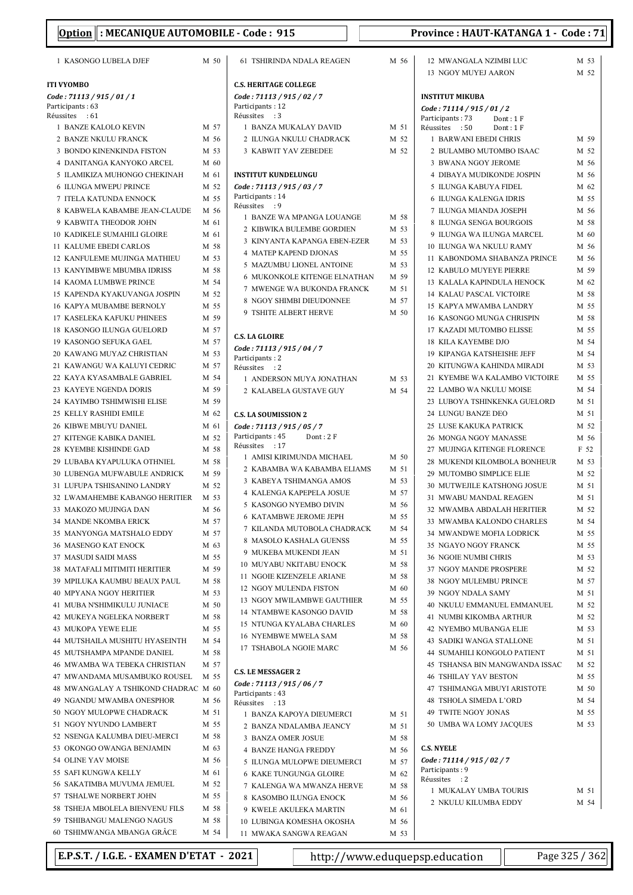| 1 KASONGO LUBELA DJEF                                      |              | M 50         | <b>61 TSHIRINDA NDALA REAGEN</b>                       | M 56         |
|------------------------------------------------------------|--------------|--------------|--------------------------------------------------------|--------------|
| ITI VYOMBO                                                 |              |              | <b>C.S. HERITAGE COLLEGE</b>                           |              |
| Code : 71113 / 915 / 01 / 1                                |              |              | Code: 71113 / 915 / 02 / 7                             |              |
| Participants: 63<br>Réussites : 61                         |              |              | Participants: 12<br>Réussites : 3                      |              |
| 1 BANZE KALOLO KEVIN                                       | M 57         |              | 1 BANZA MUKALAY DAVID                                  | M 51         |
| 2 BANZE NKULU FRANCK                                       | M 56         |              | 2 ILUNGA NKULU CHADRACK                                | M 52         |
| 3 BONDO KINENKINDA FISTON                                  | M 53         |              | 3 KABWIT YAV ZEBEDEE                                   | M 52         |
| 4 DANITANGA KANYOKO ARCEL                                  | M 60         |              |                                                        |              |
| 5 ILAMIKIZA MUHONGO CHEKINAH                               | M 61         |              | <b>INSTITUT KUNDELUNGU</b>                             |              |
| <b>6 ILUNGA MWEPU PRINCE</b>                               | M 52         |              | Code: 71113 / 915 / 03 / 7                             |              |
| 7 ITELA KATUNDA ENNOCK                                     | M 55         |              | Participants: 14                                       |              |
| 8 KABWELA KABAMBE JEAN-CLAUDE                              | M 56         |              | Réussites : 9<br>1 BANZE WA MPANGA LOUANGE             | M 58         |
| 9 KABWITA THEODOR JOHN                                     | M 61         |              | 2 KIBWIKA BULEMBE GORDIEN                              | M 53         |
| <b>10 KADIKELE SUMAHILI GLOIRE</b>                         | M 61         |              | 3 KINYANTA KAPANGA EBEN-EZER                           | M 53         |
| 11 KALUME EBEDI CARLOS                                     | M 58         |              | <b>4 MATEP KAPEND DJONAS</b>                           | M 55         |
| 12 KANFULEME MUJINGA MATHIEU                               | M 53         |              | 5 MAZUMBU LIONEL ANTOINE                               | M 53         |
| <b>13 KANYIMBWE MBUMBA IDRISS</b>                          | M 58         |              | <b>6 MUKONKOLE KITENGE ELNATHAN</b>                    | M 59         |
| <b>14 KAOMA LUMBWE PRINCE</b>                              | M 54         |              | 7 MWENGE WA BUKONDA FRANCK                             | M 51         |
| <b>15 KAPENDA KYAKUVANGA JOSPIN</b>                        | M 52         |              | 8 NGOY SHIMBI DIEUDONNEE                               | M 57         |
| <b>16 KAPYA MUBAMBE BERNOLY</b>                            | M 55         |              | 9 TSHITE ALBERT HERVE                                  | M 50         |
| <b>17 KASELEKA KAFUKU PHINEES</b>                          |              | M 59         |                                                        |              |
| 18 KASONGO ILUNGA GUELORD<br><b>19 KASONGO SEFUKA GAEL</b> | M 57<br>M 57 |              | <b>C.S. LA GLOIRE</b>                                  |              |
| 20 KAWANG MUYAZ CHRISTIAN                                  | M 53         |              | Code: 71113 / 915 / 04 / 7                             |              |
| 21 KAWANGU WA KALUYI CEDRIC                                | M 57         |              | Participants: 2                                        |              |
| 22 KAYA KYASAMBALE GABRIEL                                 | M 54         |              | Réussites : 2<br>1 ANDERSON MUYA JONATHAN              | M 53         |
| 23 KAYEYE NGENDA DORIS                                     | M 59         |              | 2 KALABELA GUSTAVE GUY                                 | M 54         |
| 24 KAYIMBO TSHIMWISHI ELISE                                | M 59         |              |                                                        |              |
| 25 KELLY RASHIDI EMILE                                     | M 62         |              | <b>C.S. LA SOUMISSION 2</b>                            |              |
| 26 KIBWE MBUYU DANIEL                                      | M 61         |              | Code: 71113 / 915 / 05 / 7                             |              |
| 27 KITENGE KABIKA DANIEL                                   | M 52         |              | Participants: 45<br>Dont: 2F                           |              |
| 28 KYEMBE KISHINDE GAD                                     | M 58         |              | Réussites<br>:17                                       |              |
| 29 LUBABA KYAPULUKA OTHNIEL                                | M 58         |              | 1 AMISI KIRIMUNDA MICHAEL                              | M 50         |
| 30 LUBENGA MUFWABULE ANDRICK                               | M 59         |              | 2 KABAMBA WA KABAMBA ELIAMS                            | M 51         |
| 31 LUFUPA TSHISANINO LANDRY                                | M 52         |              | 3 KABEYA TSHIMANGA AMOS                                | M 53         |
| 32 LWAMAHEMBE KABANGO HERITIER                             | M 53         |              | 4 KALENGA KAPEPELA JOSUE                               | M 57         |
| 33  MAKOZO MUJINGA DAN                                     | M 56         |              | 5 KASONGO NYEMBO DIVIN                                 | M 56         |
| 34 MANDE NKOMBA ERICK                                      | M 57         |              | <b>6 KATAMBWE JEROME JEPH</b>                          | M 55<br>M 54 |
| 35 MANYONGA MATSHALO EDDY                                  |              | M 57         | 7 KILANDA MUTOBOLA CHADRACK<br>8 MASOLO KASHALA GUENSS | M 55         |
| <b>36 MASENGO KAT ENOCK</b>                                |              | M 63         | 9 MUKEBA MUKENDI JEAN                                  | M 51         |
| 37 MASUDI SAIDI MASS                                       |              | M 55         | 10 MUYABU NKITABU ENOCK                                | M 58         |
| 38 MATAFALI MITIMITI HERITIER                              |              | M 59         | 11 NGOIE KIZENZELE ARIANE                              | M 58         |
| 39 MPILUKA KAUMBU BEAUX PAUL                               |              | M 58         | 12 NGOY MULENDA FISTON                                 | M 60         |
| <b>40 MPYANA NGOY HERITIER</b>                             |              | M 53         | 13 NGOY MWILAMBWE GAUTHIER                             | M 55         |
| 41 MUBA N'SHIMIKULU JUNIACE                                |              | M 50         | 14 NTAMBWE KASONGO DAVID                               | M 58         |
| 42 MUKEYA NGELEKA NORBERT<br><b>43 MUKOPA YEWE ELIE</b>    |              | M 58         | 15 NTUNGA KYALABA CHARLES                              | M 60         |
| 44 MUTSHAILA MUSHITU HYASEINTH                             |              | M 55<br>M 54 | <b>16 NYEMBWE MWELA SAM</b>                            | M 58         |
| 45 MUTSHAMPA MPANDE DANIEL                                 |              | M 58         | 17 TSHABOLA NGOIE MARC                                 | M 56         |
| 46 MWAMBA WA TEBEKA CHRISTIAN                              | M 57         |              |                                                        |              |
| 47 MWANDAMA MUSAMBUKO ROUSEL                               |              | M 55         | <b>C.S. LE MESSAGER 2</b>                              |              |
| 48 MWANGALAY A TSHIKOND CHADRAC M 60                       |              |              | Code: 71113 / 915 / 06 / 7                             |              |
| 49 NGANDU MWAMBA ONESPHOR                                  |              | M 56         | Participants: 43                                       |              |
| 50 NGOY MULOPWE CHADRACK                                   | M 51         |              | Réussites : 13<br>1 BANZA KAPOYA DIEUMERCI             | M 51         |
| 51 NGOY NYUNDO LAMBERT                                     |              | M 55         | 2 BANZA NDALAMBA JEANCY                                | M 51         |
| 52 NSENGA KALUMBA DIEU-MERCI                               |              | M 58         | 3 BANZA OMER JOSUE                                     | M 58         |
| 53 OKONGO OWANGA BENJAMIN                                  | M 63         |              | <b>4 BANZE HANGA FREDDY</b>                            | M 56         |
| 54 OLINE YAV MOISE                                         |              | M 56         | 5 ILUNGA MULOPWE DIEUMERCI                             | M 57         |
| 55 SAFI KUNGWA KELLY                                       | M 61         |              | 6 KAKE TUNGUNGA GLOIRE                                 | M 62         |
| 56 SAKATIMBA MUVUMA JEMUEL                                 | M 52         |              | 7 KALENGA WA MWANZA HERVE                              | M 58         |
| 57 TSHALWE NORBERT JOHN                                    | M 55         |              | 8 KASOMBO ILUNGA ENOCK                                 | M 56         |
| 58 TSHEJA MBOLELA BIENVENU FILS                            |              | M 58         | 9 KWELE AKULEKA MARTIN                                 | M 61         |
| 59 TSHIBANGU MALENGO NAGUS                                 |              | M 58         | 10 LUBINGA KOMESHA OKOSHA                              | M 56         |
| 60 TSHIMWANGA MBANGA GRÂCE                                 |              | M 54         | 11 MWAKA SANGWA REAGAN                                 | M 53         |

| M 56 | 12 MWANGALA NZIMBI LUC                        | M 53 |
|------|-----------------------------------------------|------|
|      | <b>13 NGOY MUYEJ AARON</b>                    | M 52 |
|      |                                               |      |
|      | <b>INSTITUT MIKUBA</b>                        |      |
|      | Code: 71114 / 915 / 01 / 2                    |      |
|      | Participants : 73<br>Dont: 1 F                |      |
| M 51 | Réussites<br>:50<br>Dont : 1 F                |      |
| M 52 | 1 BARWANI EBEDI CHRIS                         | M 59 |
| M 52 | 2 BULAMBO MUTOMBO ISAAC                       | M 52 |
|      | 3 BWANA NGOY JEROME                           | M 56 |
|      | <b>4 DIBAYA MUDIKONDE JOSPIN</b>              | M 56 |
|      | 5 ILUNGA KABUYA FIDEL                         | M 62 |
|      | 6 ILUNGA KALENGA IDRIS                        | M 55 |
| M 58 | 7 ILUNGA MIANDA JOSEPH                        | M 56 |
| M 53 | 8 ILUNGA SENGA BOURGOIS                       | M 58 |
| M 53 | 9 ILUNGA WA ILUNGA MARCEL                     | M 60 |
| M 55 | <b>10 ILUNGA WA NKULU RAMY</b>                | M 56 |
| M 53 | 11 KABONDOMA SHABANZA PRINCE                  | M 56 |
| M 59 | 12 KABULO MUYEYE PIERRE                       | M 59 |
| M 51 | 13 KALALA KAPINDULA HENOCK                    | M 62 |
| M 57 | 14 KALAU PASCAL VICTOIRE                      | M 58 |
| M 50 | 15 KAPYA MWAMBA LANDRY                        | M 55 |
|      | 16 KASONGO MUNGA CHRISPIN                     | M 58 |
|      | 17 KAZADI MUTOMBO ELISSE                      | M 55 |
|      | <b>18 KILA KAYEMBE DJO</b>                    | M 54 |
|      | 19 KIPANGA KATSHEISHE JEFF                    | M 54 |
|      | 20 KITUNGWA KAHINDA MIRADI                    | M 53 |
| M 53 | 21 KYEMBE WA KALAMBO VICTOIRE                 | M 55 |
| M 54 | 22 LAMBO WA NKULU MOISE                       | M 54 |
|      | 23 LUBOYA TSHINKENKA GUELORD                  | M 51 |
|      | 24 LUNGU BANZE DEO                            | M 51 |
|      | 25 LUSE KAKUKA PATRICK                        | M 52 |
|      | 26 MONGA NGOY MANASSE                         | M 56 |
| M 50 | 27 MUJINGA KITENGE FLORENCE                   | F 52 |
| M 51 | 28 MUKENDI KILOMBOLA BONHEUR                  | M 53 |
| M 53 | 29 MUTOMBO SIMPLICE ELIE                      | M 52 |
| M 57 | 30 MUTWEJILE KATSHONG JOSUE                   | M 51 |
| M 56 | 31 MWABU MANDAL REAGEN                        | M 51 |
| M 55 | 32 MWAMBA ABDALAH HERITIER                    | M 52 |
| M 54 | 33 MWAMBA KALONDO CHARLES                     | M 54 |
| M 55 | 34 MWANDWE MOFIA LODRICK                      | M 55 |
| M 51 | 35 NGAYO NGOY FRANCK                          | M 55 |
| M 58 | <b>36 NGOIE NUMBI CHRIS</b>                   | M 53 |
| M 58 | 37 NGOY MANDE PROSPERE                        | M 52 |
| M 60 | 38 NGOY MULEMBU PRINCE                        | M 57 |
| M 55 | 39 NGOY NDALA SAMY                            | M 51 |
| M 58 | 40 NKULU EMMANUEL EMMANUEL                    | M 52 |
| M 60 | <b>41 NUMBI KIKOMBA ARTHUR</b>                | M 52 |
| M 58 | <b>42 NYEMBO MUBANGA ELIE</b>                 | M 53 |
| M 56 | <b>43 SADIKI WANGA STALLONE</b>               | M 51 |
|      | <b>44 SUMAHILI KONGOLO PATIENT</b>            | M 51 |
|      | 45 TSHANSA BIN MANGWANDA ISSAC                | M 52 |
|      | <b>46 TSHILAY YAV BESTON</b>                  | M 55 |
|      | 47 TSHIMANGA MBUYI ARISTOTE                   | M 50 |
|      | <b>48 TSHOLA SIMEDA L'ORD</b>                 | M 54 |
| M 51 | 49 TWITE NGOY JONAS                           | M 55 |
| M 51 | 50 UMBA WA LOMY JACQUES                       | M 53 |
| M 58 |                                               |      |
| M 56 | <b>C.S. NYELE</b>                             |      |
| M 57 | Code: 71114 / 915 / 02 / 7<br>Participants: 9 |      |
| M 62 | Réussites : 2                                 |      |
| M 58 | 1 MUKALAY UMBA TOURIS                         | M 51 |
| M 56 | 2 NKULU KILUMBA EDDY                          | M 54 |
| M 61 |                                               |      |
| M 56 |                                               |      |

E.P.S.T. / I.G.E. - EXAMEN D'ETAT - 2021 http://www.eduquepsp.education  $\parallel$  Page 325 / 362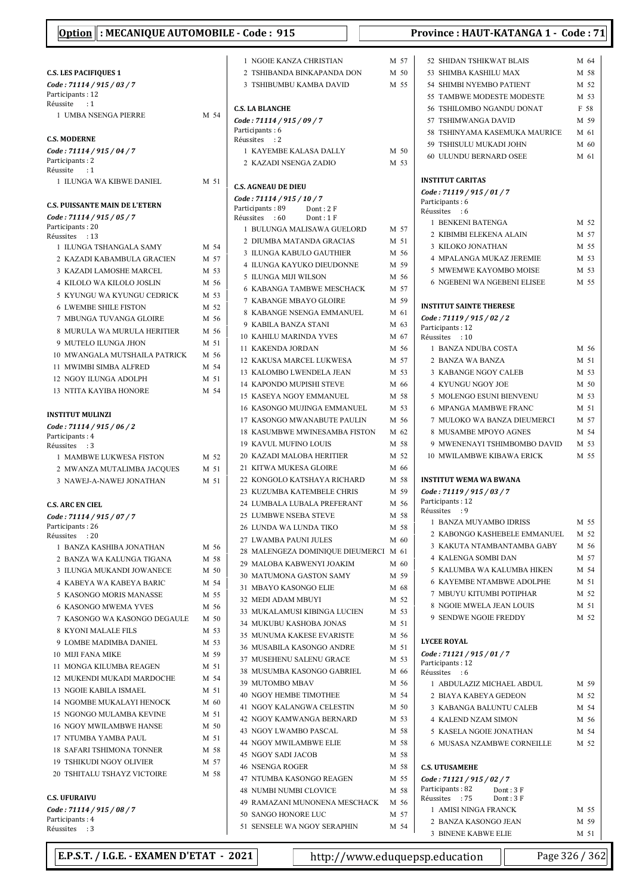| Option : MECANIQUE AUTOMOBILE - Code : 915 |      |                                                              |      | Province: HAUT-KATANGA 1 - Code: 71            |      |
|--------------------------------------------|------|--------------------------------------------------------------|------|------------------------------------------------|------|
|                                            |      | 1 NGOIE KANZA CHRISTIAN                                      | M 57 | 52 SHIDAN TSHIKWAT BLAIS                       | M 64 |
| <b>C.S. LES PACIFIQUES 1</b>               |      | 2 TSHIBANDA BINKAPANDA DON                                   | M 50 | 53 SHIMBA KASHILU MAX                          | M 58 |
| Code: 71114 / 915 / 03 / 7                 |      | 3 TSHIBUMBU KAMBA DAVID                                      | M 55 | 54 SHIMBI NYEMBO PATIENT                       | M 52 |
| Participants: 12                           |      |                                                              |      | 55 TAMBWE MODESTE MODESTE                      | M 53 |
| Réussite<br>$\cdot$ :1                     |      | <b>C.S. LA BLANCHE</b>                                       |      | <b>56 TSHILOMBO NGANDU DONAT</b>               | F 58 |
| 1 UMBA NSENGA PIERRE                       | M 54 | Code: 71114 / 915 / 09 / 7                                   |      | 57 TSHIMWANGA DAVID                            | M 59 |
|                                            |      | Participants: 6                                              |      | 58 TSHINYAMA KASEMUKA MAURICE                  | M 61 |
| <b>C.S. MODERNE</b>                        |      | Réussites : 2                                                |      | 59 TSHISULU MUKADI JOHN                        | M 60 |
| Code: 71114 / 915 / 04 / 7                 |      | 1 KAYEMBE KALASA DALLY                                       | M 50 | 60 ULUNDU BERNARD OSEE                         | M 61 |
| Participants: 2<br>Réussite<br>$\cdot$ :1  |      | 2 KAZADI NSENGA ZADIO                                        | M 53 |                                                |      |
| 1 ILUNGA WA KIBWE DANIEL                   | M 51 |                                                              |      | <b>INSTITUT CARITAS</b>                        |      |
|                                            |      | C.S. AGNEAU DE DIEU                                          |      | Code: 71119 / 915 / 01 / 7                     |      |
| <b>C.S. PUISSANTE MAIN DE L'ETERN</b>      |      | Code: 71114 / 915 / 10 / 7                                   |      | Participants: 6                                |      |
| Code: 71114 / 915 / 05 / 7                 |      | Participants: 89<br>Dont: 2F<br>Réussites<br>Dont: 1F<br>:60 |      | Réussites : 6                                  |      |
| Participants: 20                           |      | 1 BULUNGA MALISAWA GUELORD                                   | M 57 | 1 BENKENI BATENGA                              | M 52 |
| Réussites : 13                             |      | 2 DIUMBA MATANDA GRACIAS                                     | M 51 | 2 KIBIMBI ELEKENA ALAIN                        | M 57 |
| 1 ILUNGA TSHANGALA SAMY                    | M 54 | 3 ILUNGA KABULO GAUTHIER                                     | M 56 | 3 KILOKO JONATHAN                              | M 55 |
| 2 KAZADI KABAMBULA GRACIEN                 | M 57 | 4 ILUNGA KAYUKO DIEUDONNE                                    | M 59 | 4 MPALANGA MUKAZ JEREMIE                       | M 53 |
| 3 KAZADI LAMOSHE MARCEL                    | M 53 | 5 ILUNGA MIJI WILSON                                         | M 56 | 5 MWEMWE KAYOMBO MOISE                         | M 53 |
| 4 KILOLO WA KILOLO JOSLIN                  | M 56 | <b>6 KABANGA TAMBWE MESCHACK</b>                             | M 57 | <b>6 NGEBENI WA NGEBENI ELISEE</b>             | M 55 |
| 5 KYUNGU WA KYUNGU CEDRICK                 | M 53 | 7 KABANGE MBAYO GLOIRE                                       | M 59 |                                                |      |
| <b>6 LWEMBE SHILE FISTON</b>               | M 52 | 8 KABANGE NSENGA EMMANUEL                                    | M 61 | <b>INSTITUT SAINTE THERESE</b>                 |      |
| 7 MBUNGA TUVANGA GLOIRE                    | M 56 |                                                              |      | Code: 71119 / 915 / 02 / 2                     |      |
| 8 MURULA WA MURULA HERITIER                | M 56 | 9 KABILA BANZA STANI                                         | M 63 | Participants: 12                               |      |
| 9 MUTELO ILUNGA JHON                       | M 51 | <b>10 KAHILU MARINDA YVES</b>                                | M 67 | Réussites : 10                                 |      |
| 10 MWANGALA MUTSHAILA PATRICK              | M 56 | 11 KAKENDA JORDAN                                            | M 56 | 1 BANZA NDUBA COSTA                            | M 56 |
| 11 MWIMBI SIMBA ALFRED                     | M 54 | 12 KAKUSA MARCEL LUKWESA                                     | M 57 | 2 BANZA WA BANZA                               | M 51 |
| 12 NGOY ILUNGA ADOLPH                      | M 51 | 13 KALOMBO LWENDELA JEAN                                     | M 53 | 3 KABANGE NGOY CALEB                           | M 53 |
| <b>13 NTITA KAYIBA HONORE</b>              | M 54 | 14 KAPONDO MUPISHI STEVE                                     | M 66 | 4 KYUNGU NGOY JOE                              | M 50 |
|                                            |      | <b>15 KASEYA NGOY EMMANUEL</b>                               | M 58 | 5 MOLENGO ESUNI BIENVENU                       | M 53 |
| <b>INSTITUT MULINZI</b>                    |      | 16 KASONGO MUJINGA EMMANUEL                                  | M 53 | <b>6 MPANGA MAMBWE FRANC</b>                   | M 51 |
| Code: 71114 / 915 / 06 / 2                 |      | 17 KASONGO MWANABUTE PAULIN                                  | M 56 | 7 MULOKO WA BANZA DIEUMERCI                    | M 57 |
| Participants: 4                            |      | <b>18 KASUMBWE MWINESAMBA FISTON</b>                         | M 62 | 8 MUSAMBE MPOYO AGNES                          | M 54 |
| Réussites : 3                              |      | <b>19 KAVUL MUFINO LOUIS</b>                                 | M 58 | 9 MWENENAYI TSHIMBOMBO DAVID                   | M 53 |
| 1 MAMBWE LUKWESA FISTON                    | M 52 | <b>20 KAZADI MALOBA HERITIER</b>                             | M 52 | 10 MWILAMBWE KIBAWA ERICK                      | M 55 |
| 2 MWANZA MUTALIMBA JACQUES                 | M 51 | 21 KITWA MUKESA GLOIRE                                       | M 66 |                                                |      |
| 3 NAWEJ-A-NAWEJ JONATHAN                   | M 51 | 22 KONGOLO KATSHAYA RICHARD                                  | M 58 | <b>INSTITUT WEMA WA BWANA</b>                  |      |
|                                            |      | 23 KUZUMBA KATEMBELE CHRIS                                   | M 59 | Code: 71119 / 915 / 03 / 7                     |      |
| <b>C.S. ARC EN CIEL</b>                    |      | 24 LUMBALA LUBALA PREFERANT                                  | M 56 | Participants: 12<br>Réussites : 9              |      |
| Code: 71114 / 915 / 07 / 7                 |      | 25 LUMBWE NSEBA STEVE                                        | M 58 | 1 BANZA MUYAMBO IDRISS                         | M 55 |
| Participants: 26<br>Réussites : 20         |      | 26 LUNDA WA LUNDA TIKO                                       | M 58 | 2 KABONGO KASHEBELE EMMANUEL                   | M 52 |
| 1 BANZA KASHIBA JONATHAN                   | M 56 | 27 LWAMBA PAUNI JULES                                        | M 60 | 3 KAKUTA NTAMBANTAMBA GABY                     | M 56 |
| 2 BANZA WA KALUNGA TIGANA                  | M 58 | 28 MALENGEZA DOMINIQUE DIEUMERCI M 61                        |      | 4 KALENGA SOMBI DAN                            | M 57 |
| 3 ILUNGA MUKANDI JOWANECE                  | M 50 | 29 MALOBA KABWENYI JOAKIM                                    | M 60 | 5 KALUMBA WA KALUMBA HIKEN                     | M 54 |
| 4 KABEYA WA KABEYA BARIC                   | M 54 | 30 MATUMONA GASTON SAMY                                      | M 59 | <b>6 KAYEMBE NTAMBWE ADOLPHE</b>               | M 51 |
|                                            |      | 31 MBAYO KASONGO ELIE                                        | M 68 | 7 MBUYU KITUMBI POTIPHAR                       | M 52 |
| 5 KASONGO MORIS MANASSE                    | M 55 | 32 MEDI ADAM MBUYI                                           | M 52 | 8 NGOIE MWELA JEAN LOUIS                       | M 51 |
| <b>6 KASONGO MWEMA YVES</b>                | M 56 | 33 MUKALAMUSI KIBINGA LUCIEN                                 | M 53 | 9 SENDWE NGOIE FREDDY                          | M 52 |
| 7 KASONGO WA KASONGO DEGAULE               | M 50 | 34 MUKUBU KASHOBA JONAS                                      | M 51 |                                                |      |
| 8 KYONI MALALE FILS                        | M 53 | 35 MUNUMA KAKESE EVARISTE                                    | M 56 |                                                |      |
| 9 LOMBE MADIMBA DANIEL                     | M 53 | 36 MUSABILA KASONGO ANDRE                                    | M 51 | <b>LYCEE ROYAL</b>                             |      |
| 10 MIJI FANA MIKE                          | M 59 | 37 MUSEHENU SALENU GRACE                                     | M 53 | Code: 71121 / 915 / 01 / 7<br>Participants: 12 |      |
| 11 MONGA KILUMBA REAGEN                    | M 51 | 38 MUSUMBA KASONGO GABRIEL                                   | M 66 | Réussites : 6                                  |      |
| 12 MUKENDI MUKADI MARDOCHE                 | M 54 | 39 MUTOMBO MBAV                                              | M 56 | 1 ABDULAZIZ MICHAEL ABDUL                      | M 59 |
| 13 NGOIE KABILA ISMAEL                     | M 51 | 40 NGOY HEMBE TIMOTHEE                                       | M 54 | 2 BIAYA KABEYA GEDEON                          | M 52 |
| 14 NGOMBE MUKALAYI HENOCK                  | M 60 | 41 NGOY KALANGWA CELESTIN                                    | M 50 | 3 KABANGA BALUNTU CALEB                        | M 54 |
| 15 NGONGO MULAMBA KEVINE                   | M 51 | 42 NGOY KAMWANGA BERNARD                                     | M 53 | 4 KALEND NZAM SIMON                            | M 56 |
| <b>16 NGOY MWILAMBWE HANSE</b>             | M 50 | 43 NGOY LWAMBO PASCAL                                        | M 58 | 5 KASELA NGOIE JONATHAN                        | M 54 |
| 17 NTUMBA YAMBA PAUL                       | M 51 | 44 NGOY MWILAMBWE ELIE                                       | M 58 | 6 MUSASA NZAMBWE CORNEILLE                     | M 52 |
| <b>18 SAFARI TSHIMONA TONNER</b>           | M 58 | 45 NGOY SADI JACOB                                           | M 58 |                                                |      |
| <b>19 TSHIKUDI NGOY OLIVIER</b>            | M 57 | 46 NSENGA ROGER                                              | M 58 | <b>C.S. UTUSAMEHE</b>                          |      |
| 20 TSHITALU TSHAYZ VICTOIRE                | M 58 | 47 NTUMBA KASONGO REAGEN                                     | M 55 | Code: 71121 / 915 / 02 / 7                     |      |
|                                            |      | 48 NUMBI NUMBI CLOVICE                                       | M 58 | Participants: 82<br>Dont: 3F                   |      |
| <b>C.S. UFURAIVU</b>                       |      | 49 RAMAZANI MUNONENA MESCHACK                                | M 56 | Réussites : 75<br>Dont: 3F                     |      |
| Code: 71114 / 915 / 08 / 7                 |      | 50 SANGO HONORE LUC                                          | M 57 | 1 AMISI NINGA FRANCK                           | M 55 |
| Participants: 4                            |      | 51 SENSELE WA NGOY SERAPHIN                                  | M 54 | 2 BANZA KASONGO JEAN                           | M 59 |
| Réussites : 3                              |      |                                                              |      | 3 BINENE KABWE ELIE                            | M 51 |

| <b>54 SHIMBI NYEMBO PATIENT</b>                            | M 52         |
|------------------------------------------------------------|--------------|
| 55 TAMBWE MODESTE MODESTE                                  | M 53         |
| 56 TSHILOMBO NGANDU DONAT                                  | F 58         |
| 57 TSHIMWANGA DAVID                                        | M 59         |
| 58 TSHINYAMA KASEMUKA MAURICE                              | M 61         |
| 59 TSHISULU MUKADI JOHN                                    | M 60         |
| 60 ULUNDU BERNARD OSEE                                     | M 61         |
|                                                            |              |
| <b>INSTITUT CARITAS</b>                                    |              |
| Code: 71119 / 915 / 01 / 7                                 |              |
| Participants: 6                                            |              |
| Réussites : 6<br>1 BENKENI BATENGA                         |              |
| 2 KIBIMBI ELEKENA ALAIN                                    | M 52<br>M 57 |
| 3 KILOKO JONATHAN                                          | M 55         |
| <b>4 MPALANGA MUKAZ JEREMIE</b>                            | M 53         |
| 5 MWEMWE KAYOMBO MOISE                                     | M 53         |
| <b>6 NGEBENI WA NGEBENI ELISEE</b>                         | M 55         |
|                                                            |              |
| <b>INSTITUT SAINTE THERESE</b>                             |              |
| Code: 71119 / 915 / 02 / 2                                 |              |
| Participants: 12                                           |              |
| Réussites : 10                                             |              |
| 1 BANZA NDUBA COSTA                                        | M 56         |
| 2 BANZA WA BANZA                                           | M 51         |
| 3 KABANGE NGOY CALEB                                       | M 53         |
| <b>4 KYUNGU NGOY JOE</b>                                   | M 50         |
| 5 MOLENGO ESUNI BIENVENU                                   | M 53         |
| <b>6 MPANGA MAMBWE FRANC</b>                               | M 51         |
| 7 MULOKO WA BANZA DIEUMERCI                                | M 57         |
| 8 MUSAMBE MPOYO AGNES                                      | M 54         |
| 9 MWENENAYI TSHIMBOMBO DAVID                               | M 53         |
|                                                            | M 55         |
| <b>10 MWILAMBWE KIBAWA ERICK</b>                           |              |
|                                                            |              |
| <b>INSTITUT WEMA WA BWANA</b>                              |              |
| Code: 71119 / 915 / 03 / 7                                 |              |
| Participants: 12                                           |              |
| Réussites : 9                                              |              |
| 1 BANZA MUYAMBO IDRISS                                     | M 55         |
| 2 KABONGO KASHEBELE EMMANUEL                               | M 52         |
| 3 KAKUTA NTAMBANTAMBA GABY                                 | M 56         |
| 4 KALENGA SOMBI DAN                                        | M 57         |
| 5 KALUMBA WA KALUMBA HIKEN                                 | M 54         |
| <b>6 KAYEMBE NTAMBWE ADOLPHE</b>                           | M 51         |
| 7 MBUYU KITUMBI POTIPHAR                                   | M 52<br>M 51 |
| 8 NGOIE MWELA JEAN LOUIS                                   | M 52         |
| 9 SENDWE NGOIE FREDDY                                      |              |
| <b>LYCEE ROYAL</b>                                         |              |
| Code: 71121 / 915 / 01 / 7                                 |              |
| Participants: 12                                           |              |
| Réussites : 6                                              |              |
| 1 ABDULAZIZ MICHAEL ABDUL                                  | M 59         |
| 2 BIAYA KABEYA GEDEON                                      | M 52         |
| 3 KABANGA BALUNTU CALEB                                    | M 54         |
| <b>4 KALEND NZAM SIMON</b>                                 | M 56         |
| 5 KASELA NGOIE JONATHAN                                    | M 54         |
| 6 MUSASA NZAMBWE CORNEILLE                                 | M 52         |
|                                                            |              |
| <b>C.S. UTUSAMEHE</b>                                      |              |
| Code: 71121 / 915 / 02 / 7                                 |              |
| Participants: 82<br>Dont: 3F<br>Réussites : 75<br>Dont: 3F |              |
| 1 AMISI NINGA FRANCK                                       | M 55         |

E.P.S.T. / I.G.E. - EXAMEN D'ETAT - 2021 http://www.eduquepsp.education Page 326 / 362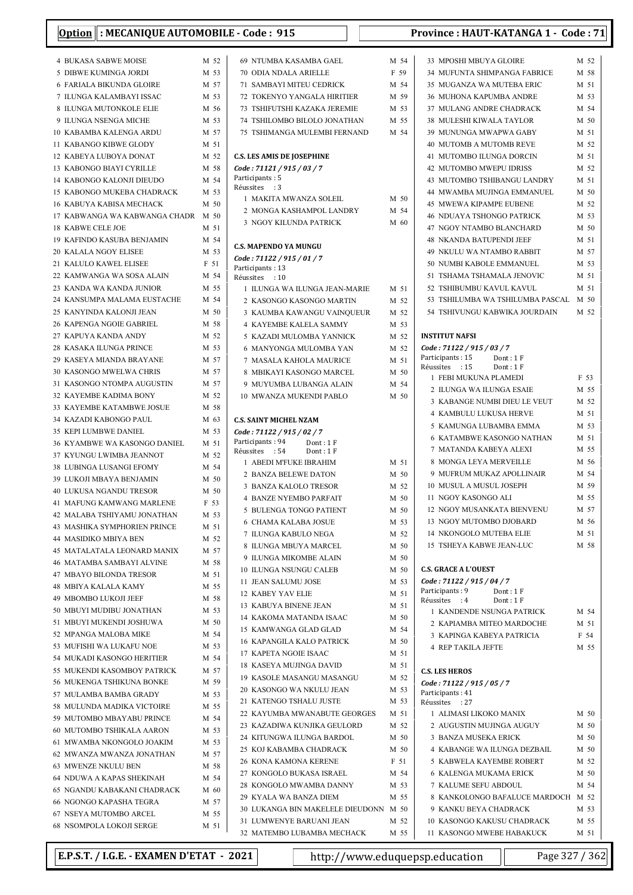| : MECANIQUE AUTOMOBILE - Code: 915<br><b>Option</b>     |              |                                                             |              | Province: HAUT-KATANGA 1 - Code: 71                               |              |  |
|---------------------------------------------------------|--------------|-------------------------------------------------------------|--------------|-------------------------------------------------------------------|--------------|--|
| <b>4 BUKASA SABWE MOISE</b>                             | M 52         | 69 NTUMBA KASAMBA GAEL                                      | M 54         | 33 MPOSHI MBUYA GLOIRE                                            | M 52         |  |
| 5 DIBWE KUMINGA JORDI                                   | M 53         | 70 ODIA NDALA ARIELLE                                       | F 59         | 34 MUFUNTA SHIMPANGA FABRICE                                      | M 58         |  |
| 6 FARIALA BIKUNDA GLOIRE                                | M 57         | <b>71 SAMBAYI MITEU CEDRICK</b>                             | M 54         | 35 MUGANZA WA MUTEBA ERIC                                         | M 51         |  |
| 7 ILUNGA KALAMBAYI ISSAC                                | M 53         | 72 TOKENYO YANGALA HIRITIER                                 | M 59         | <b>36 MUHONA KAPUMBA ANDRE</b>                                    | M 53         |  |
| 8 ILUNGA MUTONKOLE ELIE                                 | M 56         | 73 TSHIFUTSHI KAZAKA JEREMIE                                | M 53         | 37 MULANG ANDRE CHADRACK                                          | M 54         |  |
| 9 ILUNGA NSENGA MICHE                                   | M 53         | 74 TSHILOMBO BILOLO JONATHAN                                | M 55         | 38 MULESHI KIWALA TAYLOR                                          | M 50         |  |
| 10 KABAMBA KALENGA ARDU                                 | M 57         | 75 TSHIMANGA MULEMBI FERNAND                                | M 54         | 39 MUNUNGA MWAPWA GABY                                            | M 51         |  |
| 11 KABANGO KIBWE GLODY                                  | M 51         |                                                             |              | 40 MUTOMB A MUTOMB REVE                                           | M 52         |  |
| 12 KABEYA LUBOYA DONAT                                  | M 52         | <b>C.S. LES AMIS DE JOSEPHINE</b>                           |              | 41 MUTOMBO ILUNGA DORCIN                                          | M 51         |  |
| 13  KABONGO BIAYI CYRILLE                               | M 58         | Code: 71121 / 915 / 03 / 7                                  |              | 42 MUTOMBO MWEPU IDRISS                                           | M 52         |  |
| 14  KABONGO KALONJI DIEUDO                              | M 54         | Participants: 5                                             |              | 43 MUTOMBO TSHIBANGU LANDRY                                       | M 51         |  |
| 15 KABONGO MUKEBA CHADRACK                              | M 53         | Réussites : 3<br>1 MAKITA MWANZA SOLEIL                     | M 50         | 44 MWAMBA MUJINGA EMMANUEL                                        | M 50         |  |
| <b>16 KABUYA KABISA MECHACK</b>                         | M 50         | 2 MONGA KASHAMPOL LANDRY                                    | M 54         | <b>45 MWEWA KIPAMPE EUBENE</b>                                    | M 52         |  |
| 17 KABWANGA WA KABWANGA CHADR M 50                      |              | 3 NGOY KILUNDA PATRICK                                      | M 60         | <b>46 NDUAYA TSHONGO PATRICK</b>                                  | M 53         |  |
| <b>18 KABWE CELE JOE</b>                                | M 51         |                                                             |              | 47 NGOY NTAMBO BLANCHARD                                          | M 50         |  |
| 19 KAFINDO KASUBA BENJAMIN                              | M 54         | <b>C.S. MAPENDO YA MUNGU</b>                                |              | <b>48 NKANDA BATUPENDI JEEF</b>                                   | M 51         |  |
| <b>20 KALALA NGOY ELISEE</b>                            | M 53         | Code: 71122 / 915 / 01 / 7                                  |              | <b>49 NKULU WA NTAMBO RABBIT</b>                                  | M 57         |  |
| 21 KALULO KAWEL ELISEE                                  | F 51         | Participants: 13                                            |              | 50 NUMBI KABOLE EMMANUEL                                          | M 53         |  |
| 22 KAMWANGA WA SOSA ALAIN                               | M 54         | Réussites : 10                                              |              | 51 TSHAMA TSHAMALA JENOVIC                                        | M 51         |  |
| 23 KANDA WA KANDA JUNIOR                                | M 55         | 1 ILUNGA WA ILUNGA JEAN-MARIE                               | M 51         | 52 TSHIBUMBU KAVUL KAVUL                                          | M 51         |  |
| 24 KANSUMPA MALAMA EUSTACHE<br>25 KANYINDA KALONJI JEAN | M 54<br>M 50 | 2 KASONGO KASONGO MARTIN                                    | M 52         | 53 TSHILUMBA WA TSHILUMBA PASCAL<br>54 TSHIVUNGU KABWIKA JOURDAIN | M 50<br>M 52 |  |
| 26 KAPENGA NGOIE GABRIEL                                | M 58         | 3 KAUMBA KAWANGU VAINOUEUR                                  | M 52         |                                                                   |              |  |
| 27 KAPUYA KANDA ANDY                                    | M 52         | <b>4 KAYEMBE KALELA SAMMY</b><br>5 KAZADI MULOMBA YANNICK   | M 53<br>M 52 | <b>INSTITUT NAFSI</b>                                             |              |  |
| 28 KASAKA ILUNGA PRINCE                                 | M 53         | 6 MANYONGA MULOMBA YAN                                      | M 52         | Code: 71122 / 915 / 03 / 7                                        |              |  |
| 29 KASEYA MIANDA BRAYANE                                | M 57         | 7 MASALA KAHOLA MAURICE                                     | M 51         | Participants: 15<br>Dont: 1F                                      |              |  |
| 30 KASONGO MWELWA CHRIS                                 | M 57         | 8 MBIKAYI KASONGO MARCEL                                    | M 50         | Réussites : 15<br>Dont: $1 F$                                     |              |  |
| 31 KASONGO NTOMPA AUGUSTIN                              | M 57         | 9 MUYUMBA LUBANGA ALAIN                                     | M 54         | 1 FEBI MUKUNA PLAMEDI                                             | F 53         |  |
| 32 KAYEMBE KADIMA BONY                                  | M 52         | 10 MWANZA MUKENDI PABLO                                     | M 50         | 2 ILUNGA WA ILUNGA ESAIE                                          | M 55         |  |
| 33 KAYEMBE KATAMBWE JOSUE                               | M 58         |                                                             |              | 3 KABANGE NUMBI DIEU LE VEUT                                      | M 52         |  |
| 34 KAZADI KABONGO PAUL                                  | M 63         | <b>C.S. SAINT MICHEL NZAM</b>                               |              | 4 KAMBULU LUKUSA HERVE                                            | M 51         |  |
| 35 KEPI LUMBWE DANIEL                                   | M 53         | Code: 71122 / 915 / 02 / 7                                  |              | 5 KAMUNGA LUBAMBA EMMA                                            | M 53         |  |
| 36 KYAMBWE WA KASONGO DANIEL                            | M 51         | Participants: 94<br>Dont: $1 F$                             |              | <b>6 KATAMBWE KASONGO NATHAN</b>                                  | M 51         |  |
| 37 KYUNGU LWIMBA JEANNOT                                | M 52         | Réussites : 54<br>Dont: $1 F$                               |              | 7 MATANDA KABEYA ALEXI                                            | M 55<br>M 56 |  |
| 38 LUBINGA LUSANGI EFOMY                                | M 54         | 1 ABEDI M'FUKE IBRAHIM<br>2 BANZA BELEWE DATON              | M 51         | 8 MONGA LEYA MERVEILLE<br>9 MUFRUM MUKAZ APOLLINAIR               | M 54         |  |
| 39 LUKOJI MBAYA BENJAMIN                                | M 50         | 3 BANZA KALOLO TRESOR                                       | M 50<br>M 52 | 10 MUSUL A MUSUL JOSEPH                                           | M 59         |  |
| 40 LUKUSA NGANDU TRESOR                                 | M 50         | <b>4 BANZE NYEMBO PARFAIT</b>                               | M 50         | 11 NGOY KASONGO ALI                                               | M 55         |  |
| 41 MAFUNG KAMWANG MARLENE                               | F 53         | 5 BULENGA TONGO PATIENT                                     | M 50         | 12 NGOY MUSANKATA BIENVENU                                        | M 57         |  |
| 42 MALABA TSHIYAMU JONATHAN                             | M 53         | 6 CHAMA KALABA JOSUE                                        | M 53         | 13 NGOY MUTOMBO DJOBARD                                           | M 56         |  |
| 43 MASHIKA SYMPHORIEN PRINCE                            | M 51         | 7 ILUNGA KABULO NEGA                                        | M 52         | 14 NKONGOLO MUTEBA ELIE                                           | M 51         |  |
| 44 MASIDIKO MBIYA BEN                                   | M 52         | 8 ILUNGA MBUYA MARCEL                                       | M 50         | 15 TSHEYA KABWE JEAN-LUC                                          | M 58         |  |
| 45 MATALATALA LEONARD MANIX                             | M 57         | 9 ILUNGA MIKOMBE ALAIN                                      | M 50         |                                                                   |              |  |
| 46 MATAMBA SAMBAYI ALVINE<br>47 MBAYO BILONDA TRESOR    | M 58         | 10 ILUNGA NSUNGU CALEB                                      | M 50         | <b>C.S. GRACE A L'OUEST</b>                                       |              |  |
| <b>48 MBIYA KALALA KAMY</b>                             | M 51<br>M 55 | 11 JEAN SALUMU JOSE                                         | M 53         | Code: 71122 / 915 / 04 / 7                                        |              |  |
| 49 MBOMBO LUKOJI JEEF                                   | M 58         | 12 KABEY YAV ELIE                                           | M 51         | Participants: 9<br>Dont: 1F<br>Réussites : 4                      |              |  |
| 50 MBUYI MUDIBU JONATHAN                                | M 53         | 13 KABUYA BINENE JEAN                                       | M 51         | Dont: 1F<br>1 KANDENDE NSUNGA PATRICK                             | M 54         |  |
| 51 MBUYI MUKENDI JOSHUWA                                | M 50         | 14 KAKOMA MATANDA ISAAC                                     | M 50         | 2 KAPIAMBA MITEO MARDOCHE                                         | M 51         |  |
| 52 MPANGA MALOBA MIKE                                   | M 54         | 15 KAMWANGA GLAD GLAD                                       | M 54         | 3 KAPINGA KABEYA PATRICIA                                         | F 54         |  |
| 53 MUFISHI WA LUKAFU NOE                                | M 53         | <b>16 KAPANGILA KALO PATRICK</b>                            | M 50         | 4 REP TAKILA JEFTE                                                | M 55         |  |
| 54 MUKADI KASONGO HERITIER                              | M 54         | 17 KAPETA NGOIE ISAAC                                       | M 51         |                                                                   |              |  |
| 55 MUKENDI KASOMBOY PATRICK                             | M 57         | 18 KASEYA MUJINGA DAVID                                     | M 51         | <b>C.S. LES HEROS</b>                                             |              |  |
| 56 MUKENGA TSHIKUNA BONKE                               | M 59         | 19 KASOLE MASANGU MASANGU                                   | M 52         | Code: 71122 / 915 / 05 / 7                                        |              |  |
| 57 MULAMBA BAMBA GRADY                                  | M 53         | 20 KASONGO WA NKULU JEAN                                    | M 53         | Participants: 41                                                  |              |  |
| 58 MULUNDA MADIKA VICTOIRE                              | M 55         | 21 KATENGO TSHALU JUSTE                                     | M 53         | Réussites : 27                                                    |              |  |
| 59 MUTOMBO MBAYABU PRINCE                               | M 54         | 22 KAYUMBA MWANABUTE GEORGES<br>23 KAZADIWA KUNJIKA GEULORD | M 51<br>M 52 | 1 ALIMASI LIKOKO MANIX<br>2 AUGUSTIN MUJINGA AUGUY                | M 50<br>M 50 |  |
| 60 MUTOMBO TSHIKALA AARON                               | M 53         | 24 KITUNGWA ILUNGA BARDOL                                   | M 50         | 3 BANZA MUSEKA ERICK                                              | M 50         |  |
| 61 MWAMBA NKONGOLO JOAKIM                               | M 53         | 25 KOJ KABAMBA CHADRACK                                     | M 50         | 4 KABANGE WA ILUNGA DEZBAIL                                       | M 50         |  |
| 62 MWANZA MWANZA JONATHAN                               | M 57         | 26 KONA KAMONA KERENE                                       | F 51         | 5 KABWELA KAYEMBE ROBERT                                          | M 52         |  |
| 63 MWENZE NKULU BEN                                     | M 58         | 27 KONGOLO BUKASA ISRAEL                                    | M 54         | 6 KALENGA MUKAMA ERICK                                            | M 50         |  |
| 64 NDUWA A KAPAS SHEKINAH                               | M 54         | 28 KONGOLO MWAMBA DANNY                                     | M 53         | 7 KALUME SEFU ABDOUL                                              | M 54         |  |
| 65 NGANDU KABAKANI CHADRACK                             | M 60         | 29 KYALA WA BANZA DIEM                                      | M 55         | 8 KANKOLONGO BAFALUCE MARDOCH M 52                                |              |  |
| 66 NGONGO KAPASHA TEGRA                                 | M 57         | 30 LUKANGA BIN MAKELELE DIEUDONN M 50                       |              | 9 KANKU BEYA CHADRACK                                             | M 53         |  |
| 67 NSEYA MUTOMBO ARCEL<br>68 NSOMPOLA LOKOJI SERGE      | M 55<br>M 51 | 31 LUMWENYE BARUANI JEAN                                    | M 52         | 10 KASONGO KAKUSU CHADRACK                                        | M 55         |  |
|                                                         |              | 32 MATEMBO LUBAMBA MECHACK                                  | M 55         | 11 KASONGO MWEBE HABAKUCK                                         | M 51         |  |

| M 54 | 33 MPOSHI MBUYA GLOIRE                                                | M 52         |
|------|-----------------------------------------------------------------------|--------------|
| F 59 | 34 MUFUNTA SHIMPANGA FABRICE                                          | M 58         |
| M 54 | 35 MUGANZA WA MUTEBA ERIC                                             | M 51         |
| M 59 | <b>36 MUHONA KAPUMBA ANDRE</b>                                        | M 53         |
| M 53 | 37 MULANG ANDRE CHADRACK                                              | M 54         |
| M 55 | 38 MULESHI KIWALA TAYLOR                                              | M 50         |
| M 54 | 39 MUNUNGA MWAPWA GABY                                                | M 51         |
|      | 40 MUTOMB A MUTOMB REVE                                               | M 52         |
|      |                                                                       | M 51         |
|      | 41 MUTOMBO ILUNGA DORCIN                                              |              |
|      | 42 MUTOMBO MWEPU IDRISS                                               | M 52         |
|      | 43 MUTOMBO TSHIBANGU LANDRY                                           | M 51         |
| M 50 | 44 MWAMBA MUJINGA EMMANUEL                                            | M 50         |
| M 54 | <b>45 MWEWA KIPAMPE EUBENE</b>                                        | M 52         |
| M 60 | <b>46 NDUAYA TSHONGO PATRICK</b>                                      | M 53         |
|      | 47 NGOY NTAMBO BLANCHARD                                              | M 50         |
|      | <b>48 NKANDA BATUPENDI JEEF</b>                                       | M 51         |
|      | 49 NKULU WA NTAMBO RABBIT                                             | M 57         |
|      | 50 NUMBI KABOLE EMMANUEL                                              | M 53         |
|      | 51 TSHAMA TSHAMALA JENOVIC                                            | M 51         |
| M 51 | 52 TSHIBUMBU KAVUL KAVUL                                              | M 51         |
| M 52 | 53  TSHILUMBA WA TSHILUMBA PASCAL                                     | M 50         |
| M 52 | 54  TSHIVUNGU KABWIKA JOURDAIN                                        | M 52         |
| M 53 |                                                                       |              |
| M 52 | <b>INSTITUT NAFSI</b>                                                 |              |
| M 52 | Code: 71122 / 915 / 03 / 7                                            |              |
| M 51 | Participants : 15<br>Dont: 1F                                         |              |
| M 50 | Réussites : 15<br>Dont: 1F                                            |              |
| M 54 | 1 FEBI MUKUNA PLAMEDI                                                 | F 53         |
| M 50 | 2 ILUNGA WA ILUNGA ESAIE                                              | M 55<br>M 52 |
|      | 3 KABANGE NUMBI DIEU LE VEUT                                          |              |
|      | <b>4 KAMBULU LUKUSA HERVE</b>                                         | M 51         |
|      | 5 KAMUNGA LUBAMBA EMMA                                                | M 53         |
|      | 6 KATAMBWE KASONGO NATHAN                                             | M 51         |
|      | 7 MATANDA KABEYA ALEXI                                                | M 55         |
| M 51 | 8 MONGA LEYA MERVEILLE                                                | M 56         |
| M 50 | 9 MUFRUM MUKAZ APOLLINAIR                                             | M 54         |
| M 52 | 10 MUSUL A MUSUL JOSEPH                                               | M 59         |
| M 50 | 11 NGOY KASONGO ALI                                                   | M 55         |
| M 50 | 12 NGOY MUSANKATA BIENVENU                                            | M 57         |
| M 53 | 13 NGOY MUTOMBO DJOBARD                                               | M 56         |
| M 52 | 14 NKONGOLO MUTEBA ELIE                                               | M 51         |
| M 50 | 15 TSHEYA KABWE JEAN-LUC                                              | M 58         |
| M 50 |                                                                       |              |
| M 50 | <b>C.S. GRACE A L'OUEST</b>                                           |              |
| M 53 | Code: 71122 / 915 / 04 / 7                                            |              |
| M 51 | Participants : 9<br>Dont: 1 F<br>Réussites<br>$\cdot$ : 4<br>Dont: 1F |              |
| M 51 | 1 KANDENDE NSUNGA PATRICK                                             | M 54         |
| M 50 | 2 KAPIAMBA MITEO MARDOCHE                                             | M 51         |
| M 54 | 3 KAPINGA KABEYA PATRICIA                                             | F 54         |
| M 50 | <b>4 REP TAKILA JEFTE</b>                                             | M 55         |
| M 51 |                                                                       |              |
| M 51 | <b>C.S. LES HEROS</b>                                                 |              |
| M 52 | Code: 71122 / 915 / 05 / 7                                            |              |
| M 53 | Participants: 41                                                      |              |
| M 53 | Réussites : 27                                                        |              |
| M 51 | 1 ALIMASI LIKOKO MANIX                                                | M 50         |
| M 52 | 2 AUGUSTIN MUJINGA AUGUY                                              | M 50         |
| M 50 | 3 BANZA MUSEKA ERICK                                                  | M 50         |
| M 50 | 4 KABANGE WA ILUNGA DEZBAIL                                           | M 50         |
| F 51 | 5 KABWELA KAYEMBE ROBERT                                              | M 52         |
| M 54 | <b>6 KALENGA MUKAMA ERICK</b>                                         | M 50         |
| M 53 | 7 KALUME SEFU ABDOUL                                                  | M 54         |
| M 55 | 8 KANKOLONGO BAFALUCE MARDOCH                                         | M 52         |
| M 50 | 9 KANKU BEYA CHADRACK                                                 | M 53         |
| M 52 | 10 KASONGO KAKUSU CHADRACK                                            | M 55         |
| M 55 | 11 KASONGO MWEBE HABAKUCK                                             | M 51         |

E.P.S.T. / I.G.E. - EXAMEN D'ETAT - 2021 http://www.eduquepsp.education Page 327 / 362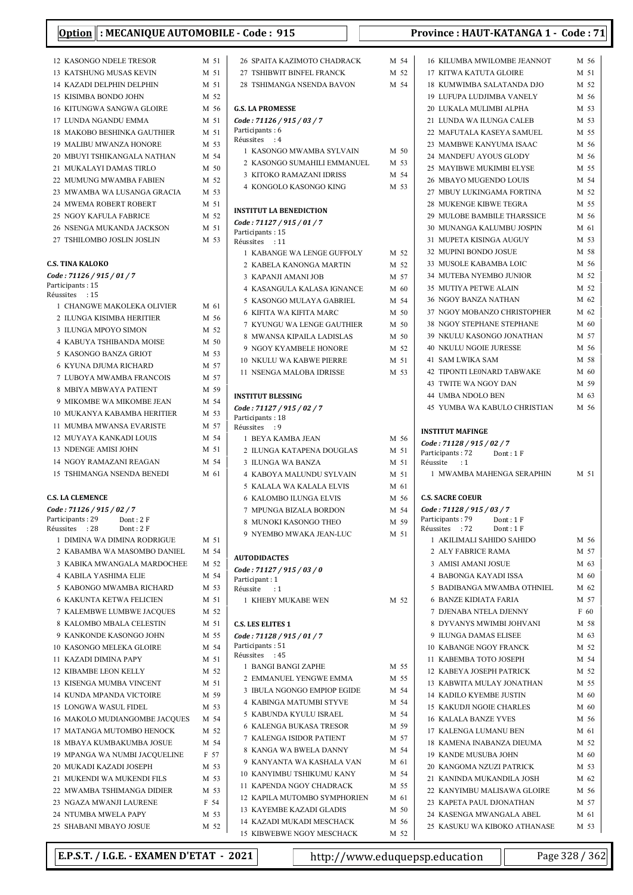| : MECANIQUE AUTOMOBILE - Code: 915<br><b>Option</b>        |              |                                              |      | Provi                              |
|------------------------------------------------------------|--------------|----------------------------------------------|------|------------------------------------|
| 12 KASONGO NDELE TRESOR                                    | M 51         | 26 SPAITA KAZIMOTO CHADRACK                  | M 54 | 16 <sup>1</sup>                    |
| 13 KATSHUNG MUSAS KEVIN                                    | M 51         | 27 TSHIBWIT BINFEL FRANCK                    | M 52 | 17 <sup>1</sup>                    |
| 14 KAZADI DELPHIN DELPHIN                                  | M 51         | 28 TSHIMANGA NSENDA BAVON                    | M 54 | 18 <sup>1</sup>                    |
| 15 KISIMBA BONDO JOHN                                      | M 52         |                                              |      | 19 <sup>1</sup>                    |
| 16 KITUNGWA SANGWA GLOIRE                                  | M 56         | <b>G.S. LA PROMESSE</b>                      |      | 20 <sup>1</sup>                    |
| 17 LUNDA NGANDU EMMA                                       | M 51         | Code: 71126 / 915 / 03 / 7                   |      | 21 <sup>1</sup>                    |
| <b>18 MAKOBO BESHINKA GAUTHIER</b>                         | M 51         | Participants: 6<br>Réussites : 4             |      | 22 <sup>1</sup>                    |
| 19 MALIBU MWANZA HONORE                                    | M 53         | 1 KASONGO MWAMBA SYLVAIN                     | M 50 | 23 <sup>1</sup>                    |
| 20 MBUYI TSHIKANGALA NATHAN                                | M 54         | 2 KASONGO SUMAHILI EMMANUEL                  | M 53 | 24                                 |
| 21 MUKALAYI DAMAS TIRLO                                    | M 50         | 3 KITOKO RAMAZANI IDRISS                     | M 54 | 25 <sup>1</sup>                    |
| 22 MUMUNG MWAMBA FABIEN<br>23 MWAMBA WA LUSANGA GRACIA     | M 52<br>M 53 | 4 KONGOLO KASONGO KING                       | M 53 | 26 <sup>1</sup><br>271             |
| 24 MWEMA ROBERT ROBERT                                     | M 51         |                                              |      | 28                                 |
| 25 NGOY KAFULA FABRICE                                     | M 52         | <b>INSTITUT LA BENEDICTION</b>               |      | $29$ 1                             |
| 26 NSENGA MUKANDA JACKSON                                  | M 51         | Code: 71127 / 915 / 01 / 7                   |      | 30 <sup>1</sup>                    |
| 27 TSHILOMBO JOSLIN JOSLIN                                 | M 53         | Participants: 15<br>Réussites : 11           |      | 31 <sup>1</sup>                    |
|                                                            |              | 1 KABANGE WA LENGE GUFFOLY                   | M 52 | 32 <sup>1</sup>                    |
| <b>C.S. TINA KALOKO</b>                                    |              | 2 KABELA KANONGA MARTIN                      | M 52 | 33 <sup>1</sup>                    |
| Code: 71126 / 915 / 01 / 7                                 |              | 3 KAPANJI AMANI JOB                          | M 57 | 34                                 |
| Participants: 15                                           |              | 4 KASANGULA KALASA IGNANCE                   | M 60 | 35 <sup>1</sup>                    |
| Réussites : 15                                             |              | 5 KASONGO MULAYA GABRIEL                     | M 54 | 36 <sup>1</sup>                    |
| 1 CHANGWE MAKOLEKA OLIVIER                                 | M 61         | <b>6 KIFITA WA KIFITA MARC</b>               | M 50 | 371                                |
| 2 ILUNGA KISIMBA HERITIER                                  | M 56         | 7 KYUNGU WA LENGE GAUTHIER                   | M 50 | 38                                 |
| 3 ILUNGA MPOYO SIMON                                       | M 52         | 8 MWANSA KIPAILA LADISLAS                    | M 50 | 39]                                |
| 4 KABUYA TSHIBANDA MOISE<br>5 KASONGO BANZA GRIOT          | M 50<br>M 53 | 9 NGOY KYAMBELE HONORE                       | M 52 | 40 <sup>1</sup>                    |
| <b>6 KYUNA DJUMA RICHARD</b>                               | M 57         | 10 NKULU WA KABWE PIERRE                     | M 51 | 41:                                |
| 7 LUBOYA MWAMBA FRANCOIS                                   | M 57         | 11 NSENGA MALOBA IDRISSE                     | M 53 | 42                                 |
| 8 MBIYA MBWAYA PATIENT                                     | M 59         |                                              |      | 43                                 |
| 9 MIKOMBE WA MIKOMBE JEAN                                  | M 54         | <b>INSTITUT BLESSING</b>                     |      | 44                                 |
| 10 MUKANYA KABAMBA HERITIER                                | M 53         | Code: 71127 / 915 / 02 / 7                   |      | 45                                 |
| 11 MUMBA MWANSA EVARISTE                                   | M 57         | Participants: 18<br>Réussites : 9            |      |                                    |
| 12 MUYAYA KANKADI LOUIS                                    | M 54         | 1 BEYA KAMBA JEAN                            | M 56 | <b>INSTI</b>                       |
| 13 NDENGE AMISI JOHN                                       | M 51         | 2 ILUNGA KATAPENA DOUGLAS                    | M 51 | Code:<br>Partic                    |
| 14 NGOY RAMAZANI REAGAN                                    | M 54         | 3 ILUNGA WA BANZA                            | M 51 | Réuss                              |
| <b>15 TSHIMANGA NSENDA BENEDI</b>                          | M 61         | 4 KABOYA MALUNDU SYLVAIN                     | M 51 | 1 <sup>1</sup>                     |
|                                                            |              | 5 KALALA WA KALALA ELVIS                     | M 61 |                                    |
| <b>C.S. LA CLEMENCE</b>                                    |              | 6 KALOMBO ILUNGA ELVIS                       | M 56 | C.S. S.                            |
| Code: 71126 / 915 / 02 / 7                                 |              | 7 MPUNGA BIZALA BORDON                       | M 54 | Code                               |
| Participants: 29<br>Dont: 2F<br>Réussites : 28<br>Dont: 2F |              | 8 MUNOKI KASONGO THEO                        | M 59 | Partic<br>Réuss                    |
| 1 DIMINA WA DIMINA RODRIGUE                                | M 51         | 9 NYEMBO MWAKA JEAN-LUC                      | M 51 | $1$ .                              |
| 2 KABAMBA WA MASOMBO DANIEL                                | M 54         |                                              |      | $2$ .                              |
| 3 KABIKA MWANGALA MARDOCHEE                                | M 52         | <b>AUTODIDACTES</b>                          |      | $3$ .                              |
| <b>4 KABILA YASHIMA ELIE</b>                               | M 54         | Code: 71127 / 915 / 03 / 0<br>Participant: 1 |      | 4                                  |
| 5 KABONGO MWAMBA RICHARD                                   | M 53         | Réussite<br>$\cdot$ : 1                      |      | 5 <sup>1</sup>                     |
| <b>6 KAKUNTA KETWA FELICIEN</b>                            | M 51         | 1 KHEBY MUKABE WEN                           | M 52 | 6                                  |
| 7 KALEMBWE LUMBWE JACQUES                                  | M 52         |                                              |      | 7 <sup>1</sup>                     |
| 8 KALOMBO MBALA CELESTIN                                   | M 51         | <b>C.S. LES ELITES 1</b>                     |      | 8                                  |
| 9 KANKONDE KASONGO JOHN                                    | M 55         | Code: 71128 / 915 / 01 / 7                   |      | 9 <sup>1</sup>                     |
| 10 KASONGO MELEKA GLOIRE                                   | M 54         | Participants: 51<br>Réussites : 45           |      | 10 <sup>1</sup>                    |
| 11 KAZADI DIMINA PAPY                                      | M 51         | 1 BANGI BANGI ZAPHE                          | M 55 | 11 <sup>1</sup>                    |
| 12 KIBAMBE LEON KELLY                                      | M 52         | 2 EMMANUEL YENGWE EMMA                       | M 55 | 12 <sup>1</sup>                    |
| 13 KISENGA MUMBA VINCENT                                   | M 51         | 3 IBULA NGONGO EMPIOP EGIDE                  | M 54 | 13 <sup>1</sup>                    |
| 14 KUNDA MPANDA VICTOIRE                                   | M 59         | <b>4 KABINGA MATUMBI STYVE</b>               | M 54 | 14                                 |
| 15 LONGWA WASUL FIDEL                                      | M 53         | 5 KABUNDA KYULU ISRAEL                       | M 54 | 15 <sup>1</sup>                    |
| 16 MAKOLO MUDIANGOMBE JACQUES                              | M 54         | <b>6 KALENGA BUKASA TRESOR</b>               | M 59 | 16 <sup>1</sup>                    |
| 17 MATANGA MUTOMBO HENOCK                                  | M 52         | 7 KALENGA ISIDOR PATIENT                     | M 57 | 17 <sup>1</sup>                    |
| 18 MBAYA KUMBAKUMBA JOSUE<br>19 MPANGA WA NUMBI JACQUELINE | M 54<br>F 57 | 8 KANGA WA BWELA DANNY                       | M 54 | 18 <sup>1</sup><br>19 <sup>1</sup> |
| 20 MUKADI KAZADI JOSEPH                                    | M 53         | 9 KANYANTA WA KASHALA VAN                    | M 61 | 20 <sup>1</sup>                    |
| 21 MUKENDI WA MUKENDI FILS                                 | M 53         | 10 KANYIMBU TSHIKUMU KANY                    | M 54 | 21                                 |
| 22 MWAMBA TSHIMANGA DIDIER                                 | M 53         | 11 KAPENDA NGOY CHADRACK                     | M 55 | 22 <sub>1</sub>                    |
| 23 NGAZA MWANJI LAURENE                                    | F 54         | 12 KAPILA MUTOMBO SYMPHORIEN                 | M 61 | 23 <sup>1</sup>                    |
| 24 NTUMBA MWELA PAPY                                       | M 53         | 13 KAYEMBE KAZADI GLADIS                     | M 50 | 24                                 |
| 25 SHABANI MBAYO JOSUE                                     | M 52         | 14 KAZADI MUKADI MESCHACK                    | M 56 | 25                                 |
|                                                            |              | 15 KIBWEBWE NGOY MESCHACK                    | M 52 |                                    |

### nce : HAUT-KATANGA 1 - Code : 71

| 16 KILUMBA MWILOMBE JEANNOT                                                    | M 56         |
|--------------------------------------------------------------------------------|--------------|
| 17 KITWA KATUTA GLOIRE                                                         | M 51         |
| 18 KUMWIMBA SALATANDA DJO                                                      | M 52         |
| 19 LUFUPA LUDJIMBA VANELY                                                      | M 56         |
|                                                                                |              |
| 20 LUKALA MULIMBI ALPHA                                                        | M 53         |
| 21 LUNDA WA ILUNGA CALEB                                                       | M 53         |
| 22 MAFUTALA KASEYA SAMUEL                                                      | M 55         |
| 23 MAMBWE KANYUMA ISAAC                                                        | M 56         |
| 24 MANDEFU AYOUS GLODY                                                         | M 56         |
| 25 MAYIBWE MUKIMBI ELYSE                                                       | M 55         |
|                                                                                |              |
| 26 MBAYO MUGENDO LOUIS                                                         | M 54         |
| 27 MBUY LUKINGAMA FORTINA                                                      | M 52         |
| <b>28 MUKENGE KIBWE TEGRA</b>                                                  | M 55         |
| 29 MULOBE BAMBILE THARSSICE                                                    | M 56         |
| 30 MUNANGA KALUMBU JOSPIN                                                      | M 61         |
| 31 MUPETA KISINGA AUGUY                                                        | M 53         |
|                                                                                |              |
| 32 MUPINI BONDO JOSUE                                                          | M 58         |
| 33 MUSOLE KABAMBA LOIC                                                         | M 56         |
| 34 MUTEBA NYEMBO JUNIOR                                                        | M 52         |
| 35 MUTIYA PETWE ALAIN                                                          | M 52         |
| <b>36 NGOY BANZA NATHAN</b>                                                    | M 62         |
|                                                                                |              |
| 37 NGOY MOBANZO CHRISTOPHER                                                    | M 62         |
| <b>38 NGOY STEPHANE STEPHANE</b>                                               | M 60         |
| 39 NKULU KASONGO JONATHAN                                                      | M 57         |
| <b>40 NKULU NGOIE JURESSE</b>                                                  | M 56         |
| 41 SAM LWIKA SAM                                                               | M 58         |
| 42 TIPONTI LE0NARD TABWAKE                                                     | M 60         |
|                                                                                |              |
| 43 TWITE WA NGOY DAN                                                           | M 59         |
| 44 UMBA NDOLO BEN                                                              | M 63         |
| 45 YUMBA WA KABULO CHRISTIAN M 56                                              |              |
| Code: 71128 / 915 / 02 / 7                                                     |              |
| Participants: 72<br>Dont: 1F<br>Réussite : 1<br>1 MWAMBA MAHENGA SERAPHIN M 51 |              |
|                                                                                |              |
| <b>C.S. SACRE COEUR</b>                                                        |              |
| Code: 71128 / 915 / 03 / 7                                                     |              |
| Participants : 79                                                              |              |
| $Dont: 1 F$<br>$Dont: 1 F$<br>Réussites :72 Dont : 1 F                         |              |
| 1 AKILIMALI SAHIDO SAHIDO                                                      | M 56         |
| 2 ALY FABRICE RAMA                                                             | M 57         |
| 3 AMISI AMANI JOSUE                                                            | M 63         |
| <b>4 BABONGA KAYADI ISSA</b>                                                   | M 60         |
| 5 BADIBANGA MWAMBA OTHNIEL                                                     | M 62         |
| <b>6 BANZE KIDIATA FARIA</b>                                                   | M 57         |
|                                                                                |              |
| 7 DJENABA NTELA DJENNY                                                         | F 60         |
| 8 DYVANYS MWIMBI JOHVANI                                                       | M 58         |
| 9 ILUNGA DAMAS ELISEE                                                          | M 63         |
| 10 KABANGE NGOY FRANCK                                                         | M 52         |
| 11 KABEMBA TOTO JOSEPH                                                         | M 54         |
| 12 KABEYA JOSEPH PATRICK                                                       | M 52         |
| 13 KABWITA MULAY JONATHAN                                                      | M 55         |
| <b>14 KADILO KYEMBE JUSTIN</b>                                                 | M 60         |
|                                                                                |              |
| 15  KAKUDJI NGOIE CHARLES                                                      | M 60         |
| <b>16 KALALA BANZE YVES</b>                                                    | M 56         |
| 17 KALENGA LUMANU BEN                                                          | M 61         |
| 18 KAMENA INABANZA DIEUMA                                                      | M 52         |
| 19 KANDE MUSUBA JOHN                                                           | M 60         |
| 20 KANGOMA NZUZI PATRICK                                                       | M 53         |
| 21 KANINDA MUKANDILA JOSH                                                      | M 62         |
| 22 KANYIMBU MALISAWA GLOIRE                                                    | M 56         |
|                                                                                |              |
| 23 KAPETA PAUL DJONATHAN                                                       | M 57         |
| 24 KASENGA MWANGALA ABEL<br>25  KASUKU WA KIBOKO ATHANASE                      | M 61<br>M 53 |

E.P.S.T. / I.G.E. - EXAMEN D'ETAT - 2021 http://www.eduquepsp.education Page 328 / 362